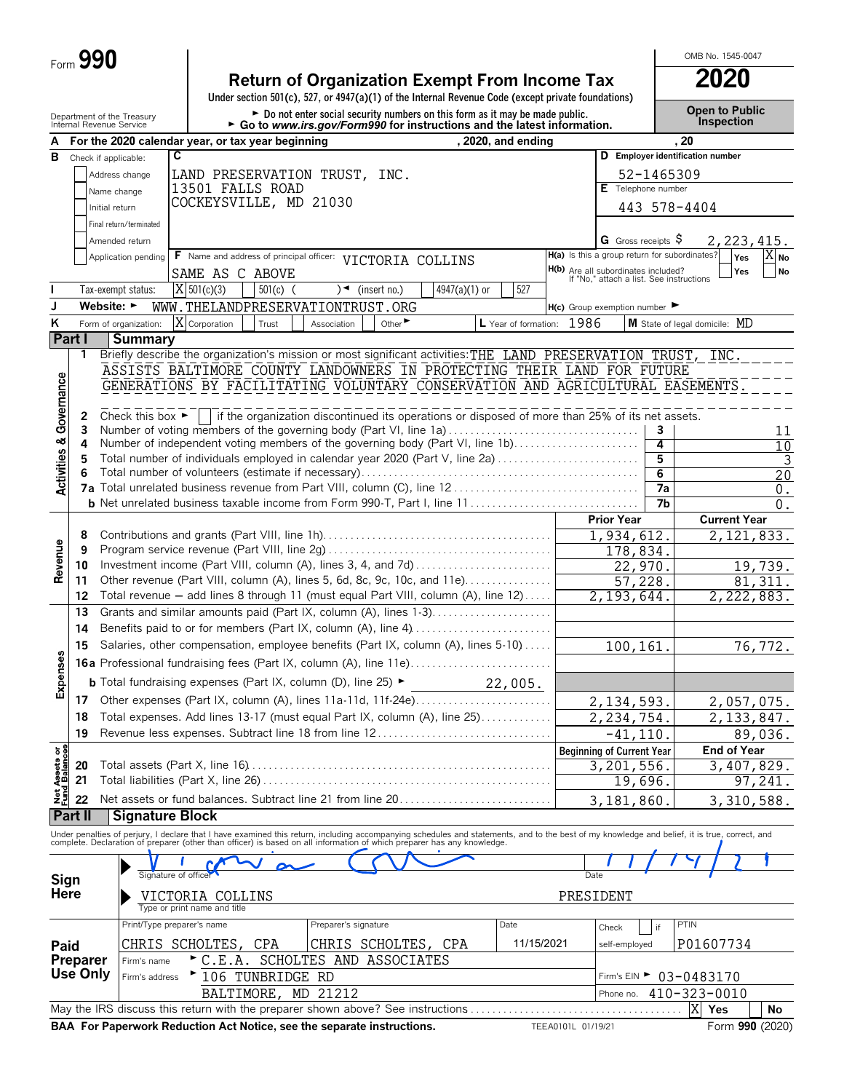| Form $\boldsymbol{J}$ | 990 |
|-----------------------|-----|
|-----------------------|-----|

### **Return of Organization Exempt From Income Tax 2020**

**Under section 501(c), 527, or 4947(a)(1) of the Internal Revenue Code (except private foundations)**

Department of the Treasury **Depent to Public**<br>Internal Revenue Service **Depent to Public**<br>Internal Revenue Service **Depention From Octo www.irs.gov/Form990 for instructions and the latest information. This pection** 

OMB No. 1545-0047

| A                                      |                 | <u>iliterial Revertie oervice</u><br>For the 2020 calendar year, or tax year beginning                                                                                                   |                                                                                                     |                                            |            | $\sim$ Go to www.irs.gov/Formalo for instructions and the latest imormation.                    |                             |               | , 2020, and ending        |                    |                                                                                 |                                   | . 20                                                                                                                                                                                                                           |                    |
|----------------------------------------|-----------------|------------------------------------------------------------------------------------------------------------------------------------------------------------------------------------------|-----------------------------------------------------------------------------------------------------|--------------------------------------------|------------|-------------------------------------------------------------------------------------------------|-----------------------------|---------------|---------------------------|--------------------|---------------------------------------------------------------------------------|-----------------------------------|--------------------------------------------------------------------------------------------------------------------------------------------------------------------------------------------------------------------------------|--------------------|
|                                        |                 |                                                                                                                                                                                          | C                                                                                                   |                                            |            |                                                                                                 |                             |               |                           |                    |                                                                                 |                                   | D Employer identification number                                                                                                                                                                                               |                    |
| В                                      |                 | Check if applicable:                                                                                                                                                                     |                                                                                                     |                                            |            |                                                                                                 |                             |               |                           |                    |                                                                                 |                                   |                                                                                                                                                                                                                                |                    |
|                                        |                 | Address change                                                                                                                                                                           |                                                                                                     |                                            |            | LAND PRESERVATION TRUST, INC.                                                                   |                             |               |                           |                    | $E$ Telephone number                                                            | 52-1465309                        |                                                                                                                                                                                                                                |                    |
|                                        |                 | Name change                                                                                                                                                                              |                                                                                                     | 13501 FALLS ROAD<br>COCKEYSVILLE, MD 21030 |            |                                                                                                 |                             |               |                           |                    |                                                                                 |                                   |                                                                                                                                                                                                                                |                    |
|                                        |                 | Initial return                                                                                                                                                                           |                                                                                                     |                                            |            |                                                                                                 |                             |               |                           |                    |                                                                                 |                                   | 443 578-4404                                                                                                                                                                                                                   |                    |
|                                        |                 | Final return/terminated                                                                                                                                                                  |                                                                                                     |                                            |            |                                                                                                 |                             |               |                           |                    |                                                                                 |                                   |                                                                                                                                                                                                                                |                    |
|                                        |                 | Amended return                                                                                                                                                                           |                                                                                                     |                                            |            |                                                                                                 |                             |               |                           |                    | <b>G</b> Gross receipts $\varsigma$                                             |                                   | 2, 223, 415.                                                                                                                                                                                                                   |                    |
|                                        |                 | Application pending                                                                                                                                                                      |                                                                                                     |                                            |            | F Name and address of principal officer: VICTORIA COLLINS                                       |                             |               |                           |                    | H(a) Is this a group return for subordinates?                                   |                                   | Yes                                                                                                                                                                                                                            | $X_{N0}$           |
|                                        |                 |                                                                                                                                                                                          |                                                                                                     | SAME AS C ABOVE                            |            |                                                                                                 |                             |               |                           |                    | H(b) Are all subordinates included?<br>If "No," attach a list. See instructions |                                   | Yes                                                                                                                                                                                                                            | <b>No</b>          |
|                                        |                 | Tax-exempt status:                                                                                                                                                                       |                                                                                                     | $X$ 501(c)(3)                              | $501(c)$ ( |                                                                                                 | $)$ (insert no.)            | 4947(a)(1) or | 527                       |                    |                                                                                 |                                   |                                                                                                                                                                                                                                |                    |
| J                                      |                 | Website: $\blacktriangleright$                                                                                                                                                           |                                                                                                     |                                            |            | WWW.THELANDPRESERVATIONTRUST.ORG                                                                |                             |               |                           |                    | $H(c)$ Group exemption number                                                   |                                   |                                                                                                                                                                                                                                |                    |
| ĸ                                      |                 | Form of organization:                                                                                                                                                                    |                                                                                                     | X Corporation                              | Trust      | Association                                                                                     | Other $\blacktriangleright$ |               | L Year of formation: 1986 |                    |                                                                                 |                                   | M State of legal domicile: MD                                                                                                                                                                                                  |                    |
|                                        | Part I          | <b>Summary</b>                                                                                                                                                                           |                                                                                                     |                                            |            |                                                                                                 |                             |               |                           |                    |                                                                                 |                                   |                                                                                                                                                                                                                                |                    |
|                                        | 1               | Briefly describe the organization's mission or most significant activities: THE LAND PRESERVATION TRUST, INC.<br>ASSISTS BALTIMORE COUNTY LANDOWNERS IN PROTECTING THEIR LAND FOR FUTURE |                                                                                                     |                                            |            |                                                                                                 |                             |               |                           |                    |                                                                                 |                                   |                                                                                                                                                                                                                                |                    |
|                                        |                 | GENERATIONS BY FACILITATING VOLUNTARY CONSERVATION AND AGRICULTURAL EASEMENTS.                                                                                                           |                                                                                                     |                                            |            |                                                                                                 |                             |               |                           |                    |                                                                                 |                                   |                                                                                                                                                                                                                                |                    |
|                                        |                 |                                                                                                                                                                                          |                                                                                                     |                                            |            |                                                                                                 |                             |               |                           |                    |                                                                                 |                                   |                                                                                                                                                                                                                                |                    |
| <b>Activities &amp; Governance</b>     | 2               | Check this box $\blacktriangleright$                                                                                                                                                     |                                                                                                     |                                            |            | if the organization discontinued its operations or disposed of more than 25% of its net assets. |                             |               |                           |                    |                                                                                 |                                   |                                                                                                                                                                                                                                |                    |
|                                        | 3               | Number of voting members of the governing body (Part VI, line 1a)                                                                                                                        |                                                                                                     |                                            |            |                                                                                                 |                             |               |                           |                    |                                                                                 | 3                                 |                                                                                                                                                                                                                                | 11                 |
|                                        | 4               | Number of independent voting members of the governing body (Part VI, line 1b)                                                                                                            |                                                                                                     |                                            |            |                                                                                                 |                             |               |                           |                    |                                                                                 | 4                                 |                                                                                                                                                                                                                                | 10                 |
|                                        | 5               | Total number of individuals employed in calendar year 2020 (Part V, line 2a)                                                                                                             |                                                                                                     |                                            |            |                                                                                                 |                             |               |                           |                    |                                                                                 | 5                                 |                                                                                                                                                                                                                                | $\mathbf{3}$       |
|                                        | 6               |                                                                                                                                                                                          |                                                                                                     |                                            |            |                                                                                                 |                             |               |                           |                    |                                                                                 | 6                                 |                                                                                                                                                                                                                                | 20                 |
|                                        |                 |                                                                                                                                                                                          |                                                                                                     |                                            |            |                                                                                                 |                             |               |                           |                    |                                                                                 | $\overline{7a}$<br>7 <sub>b</sub> |                                                                                                                                                                                                                                | $\boldsymbol{0}$ . |
|                                        |                 |                                                                                                                                                                                          |                                                                                                     |                                            |            |                                                                                                 |                             |               |                           |                    | <b>Prior Year</b>                                                               |                                   | <b>Current Year</b>                                                                                                                                                                                                            | $0$ .              |
|                                        | 8               |                                                                                                                                                                                          |                                                                                                     |                                            |            |                                                                                                 |                             |               |                           |                    | 1,934,612.                                                                      |                                   | 2, 121, 833.                                                                                                                                                                                                                   |                    |
|                                        | 9               |                                                                                                                                                                                          |                                                                                                     |                                            |            |                                                                                                 |                             |               |                           |                    | 178,834.                                                                        |                                   |                                                                                                                                                                                                                                |                    |
| Revenue                                | 10              | Investment income (Part VIII, column (A), lines 3, 4, and 7d)                                                                                                                            |                                                                                                     |                                            |            |                                                                                                 |                             |               |                           |                    | 22,970.                                                                         |                                   |                                                                                                                                                                                                                                | 19,739.            |
|                                        | 11              | Other revenue (Part VIII, column (A), lines 5, 6d, 8c, 9c, 10c, and 11e)                                                                                                                 |                                                                                                     |                                            |            |                                                                                                 |                             |               |                           |                    | 57,228.                                                                         |                                   |                                                                                                                                                                                                                                | 81, 311.           |
|                                        | 12              | Total revenue - add lines 8 through 11 (must equal Part VIII, column (A), line 12)                                                                                                       |                                                                                                     |                                            |            |                                                                                                 |                             |               |                           |                    | 2,193,644.                                                                      |                                   | 2,222,883.                                                                                                                                                                                                                     |                    |
|                                        | 13              | Grants and similar amounts paid (Part IX, column (A), lines 1-3)                                                                                                                         |                                                                                                     |                                            |            |                                                                                                 |                             |               |                           |                    |                                                                                 |                                   |                                                                                                                                                                                                                                |                    |
|                                        | 14              |                                                                                                                                                                                          |                                                                                                     |                                            |            |                                                                                                 |                             |               |                           |                    |                                                                                 |                                   |                                                                                                                                                                                                                                |                    |
|                                        | 15              | Salaries, other compensation, employee benefits (Part IX, column (A), lines 5-10)                                                                                                        |                                                                                                     |                                            |            |                                                                                                 |                             |               |                           |                    | 100,161.                                                                        |                                   |                                                                                                                                                                                                                                | 76,772.            |
| Expenses                               |                 | <b>16a</b> Professional fundraising fees (Part IX, column (A), line 11e)                                                                                                                 |                                                                                                     |                                            |            |                                                                                                 |                             |               |                           |                    |                                                                                 |                                   |                                                                                                                                                                                                                                |                    |
|                                        |                 |                                                                                                                                                                                          | <b>b</b> Total fundraising expenses (Part IX, column (D), line 25) $\blacktriangleright$<br>22,005. |                                            |            |                                                                                                 |                             |               |                           |                    |                                                                                 |                                   |                                                                                                                                                                                                                                |                    |
|                                        | 17              |                                                                                                                                                                                          |                                                                                                     |                                            |            |                                                                                                 |                             |               |                           |                    | 2, 134, 593.                                                                    |                                   | 2,057,075.                                                                                                                                                                                                                     |                    |
|                                        | 18              | Total expenses. Add lines 13-17 (must equal Part IX, column (A), line 25)                                                                                                                |                                                                                                     |                                            |            |                                                                                                 |                             |               |                           |                    | 2,234,754.                                                                      |                                   | 2, 133, 847.                                                                                                                                                                                                                   |                    |
|                                        | 19              | Revenue less expenses. Subtract line 18 from line 12                                                                                                                                     |                                                                                                     |                                            |            |                                                                                                 |                             |               |                           |                    | $-41, 110.$                                                                     |                                   |                                                                                                                                                                                                                                | 89,036.            |
|                                        |                 |                                                                                                                                                                                          |                                                                                                     |                                            |            |                                                                                                 |                             |               |                           |                    | <b>Beginning of Current Year</b>                                                |                                   | <b>End of Year</b>                                                                                                                                                                                                             |                    |
|                                        | 20              |                                                                                                                                                                                          |                                                                                                     |                                            |            |                                                                                                 |                             |               |                           |                    | 3,201,556.                                                                      |                                   | 3,407,829.                                                                                                                                                                                                                     |                    |
| <b>Net Assets or<br/>Fund Balances</b> | 21              |                                                                                                                                                                                          |                                                                                                     |                                            |            |                                                                                                 |                             |               |                           |                    | 19,696.                                                                         |                                   |                                                                                                                                                                                                                                | 97,241.            |
|                                        | 22              | Net assets or fund balances. Subtract line 21 from line 20                                                                                                                               |                                                                                                     |                                            |            |                                                                                                 |                             |               |                           |                    | 3, 181, 860.                                                                    |                                   | 3,310,588.                                                                                                                                                                                                                     |                    |
|                                        | Part II         | <b>Signature Block</b>                                                                                                                                                                   |                                                                                                     |                                            |            |                                                                                                 |                             |               |                           |                    |                                                                                 |                                   |                                                                                                                                                                                                                                |                    |
|                                        |                 |                                                                                                                                                                                          |                                                                                                     |                                            |            |                                                                                                 |                             |               |                           |                    |                                                                                 |                                   | Under penalties of perjury, I declare that I have examined this return, including accompanying schedules and statements, and to the best of my knowledge and belief, it is true, correct, and complete. Declaration of prepare |                    |
|                                        |                 |                                                                                                                                                                                          |                                                                                                     |                                            |            |                                                                                                 |                             |               |                           |                    |                                                                                 |                                   |                                                                                                                                                                                                                                |                    |
| Sign                                   |                 |                                                                                                                                                                                          |                                                                                                     |                                            |            |                                                                                                 |                             |               |                           |                    | Date                                                                            |                                   |                                                                                                                                                                                                                                |                    |
| Here                                   |                 |                                                                                                                                                                                          |                                                                                                     | VICTORIA COLLINS                           |            |                                                                                                 |                             |               |                           |                    | PRESIDENT                                                                       |                                   |                                                                                                                                                                                                                                |                    |
|                                        |                 |                                                                                                                                                                                          |                                                                                                     | Type or print name and title               |            |                                                                                                 |                             |               |                           |                    |                                                                                 |                                   |                                                                                                                                                                                                                                |                    |
|                                        |                 | Print/Type preparer's name                                                                                                                                                               |                                                                                                     |                                            |            | Preparer's signature                                                                            |                             |               | Date                      |                    | Check                                                                           | if                                | PTIN                                                                                                                                                                                                                           |                    |
| Paid                                   |                 |                                                                                                                                                                                          |                                                                                                     | CHRIS SCHOLTES, CPA                        |            |                                                                                                 | CHRIS SCHOLTES, CPA         |               | 11/15/2021                |                    | self-employed                                                                   |                                   | P01607734                                                                                                                                                                                                                      |                    |
|                                        | <b>Preparer</b> | Firm's name                                                                                                                                                                              |                                                                                                     | $\triangleright$ C.E.A.                    |            | SCHOLTES AND ASSOCIATES                                                                         |                             |               |                           |                    |                                                                                 |                                   |                                                                                                                                                                                                                                |                    |
|                                        | Use Only        | Firm's address                                                                                                                                                                           |                                                                                                     | 106 TUNBRIDGE RD                           |            |                                                                                                 |                             |               |                           |                    |                                                                                 |                                   | Firm's EIN $\triangleright$ 03-0483170                                                                                                                                                                                         |                    |
|                                        |                 |                                                                                                                                                                                          |                                                                                                     |                                            |            | BALTIMORE, MD 21212                                                                             |                             |               |                           |                    | Phone no.                                                                       |                                   | 410-323-0010                                                                                                                                                                                                                   |                    |
|                                        |                 | May the IRS discuss this return with the preparer shown above? See instructions                                                                                                          |                                                                                                     |                                            |            |                                                                                                 |                             |               |                           |                    |                                                                                 |                                   | X<br>Yes                                                                                                                                                                                                                       | No                 |
|                                        |                 | BAA For Paperwork Reduction Act Notice, see the separate instructions.                                                                                                                   |                                                                                                     |                                            |            |                                                                                                 |                             |               |                           | TEEA0101L 01/19/21 |                                                                                 |                                   | Form 990 (2020)                                                                                                                                                                                                                |                    |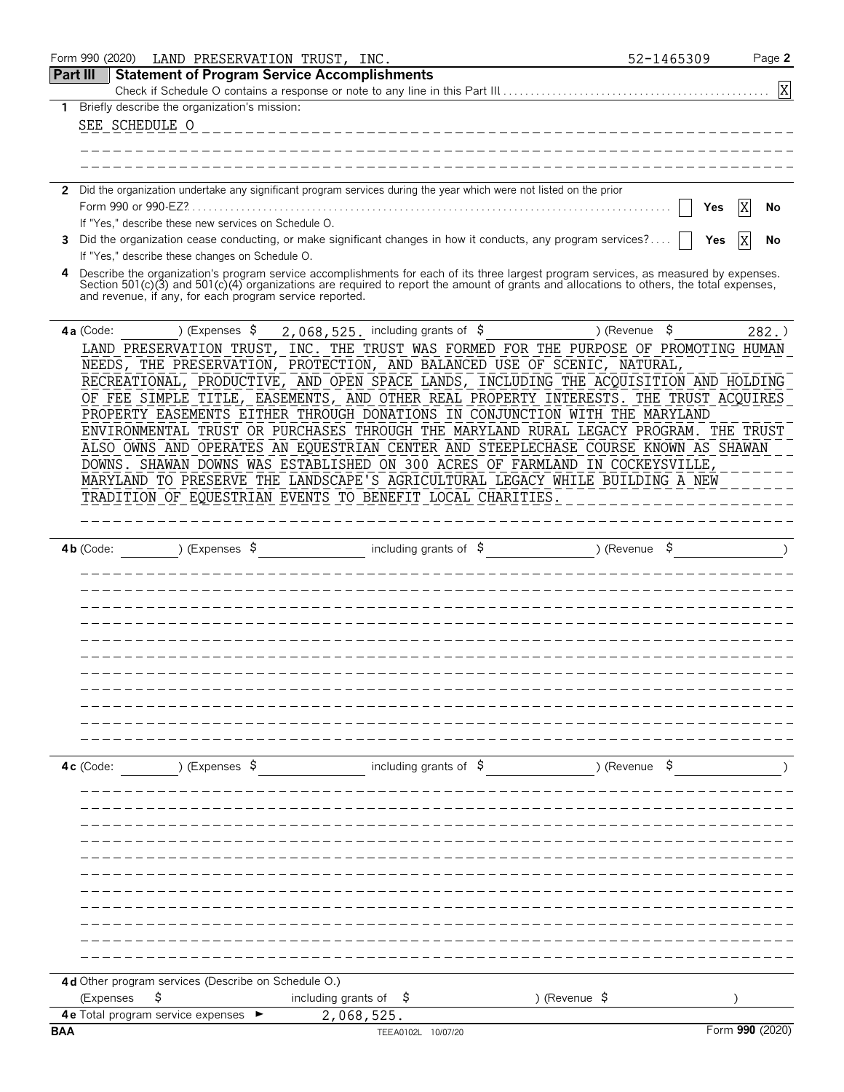| Part III<br><b>Statement of Program Service Accomplishments</b><br>X<br>Briefly describe the organization's mission:<br>1.<br>SEE SCHEDULE O<br>2 Did the organization undertake any significant program services during the year which were not listed on the prior<br>X<br>No<br>Yes<br>If "Yes," describe these new services on Schedule O.<br>Did the organization cease conducting, or make significant changes in how it conducts, any program services?<br>3<br>Yes<br>No<br>If "Yes," describe these changes on Schedule O.<br>Describe the organization's program service accomplishments for each of its three largest program services, as measured by expenses.<br>4<br>Section 501(c)(3) and 501(c)(4) organizations are required to report the amount of grants and allocations to others, the total expenses,<br>and revenue, if any, for each program service reported.<br>2,068,525. including grants of \$<br>) (Revenue<br>\$<br>) (Expenses \$<br>4a (Code:<br>282.<br>LAND PRESERVATION TRUST, INC.<br>THE TRUST WAS FORMED FOR THE PURPOSE OF PROMOTING HUMAN<br>NEEDS, THE PRESERVATION, PROTECTION, AND BALANCED USE OF SCENIC, NATURAL,<br>RECREATIONAL, PRODUCTIVE, AND OPEN SPACE LANDS, INCLUDING THE ACQUISITION AND HOLDING<br>OF FEE SIMPLE TITLE, EASEMENTS, AND OTHER REAL PROPERTY INTERESTS. THE TRUST ACQUIRES<br>PROPERTY EASEMENTS EITHER THROUGH DONATIONS IN CONJUNCTION WITH THE MARYLAND<br>ENVIRONMENTAL TRUST OR PURCHASES THROUGH THE MARYLAND RURAL LEGACY PROGRAM.<br>THE TRUST<br>ALSO OWNS AND OPERATES AN EQUESTRIAN CENTER AND STEEPLECHASE COURSE KNOWN AS SHAWAN<br>DOWNS. SHAWAN DOWNS WAS ESTABLISHED ON 300 ACRES OF FARMLAND IN COCKEYSVILLE,<br>MARYLAND TO PRESERVE THE LANDSCAPE'S AGRICULTURAL LEGACY WHILE BUILDING A NEW<br>TRADITION OF EQUESTRIAN EVENTS TO BENEFIT LOCAL CHARITIES.<br>including grants of $\sqrt{5}$<br>) (Expenses $\sqrt{5}$<br>) (Revenue<br>$4b$ (Code:<br>including grants of $\frac{1}{2}$<br>) (Revenue \$<br>) (Expenses \$<br>$4c$ (Code:<br>4d Other program services (Describe on Schedule O.)<br>including grants of $\frac{1}{2}$<br>) (Revenue $\sqrt{5}$<br>(Expenses<br>Ş<br><b>4e</b> Total program service expenses<br>2,068,525.<br>Form 990 (2020)<br><b>BAA</b><br>TEEA0102L 10/07/20 | Form 990 (2020) | LAND PRESERVATION TRUST, INC. |  | 52-1465309 | Page 2 |
|-----------------------------------------------------------------------------------------------------------------------------------------------------------------------------------------------------------------------------------------------------------------------------------------------------------------------------------------------------------------------------------------------------------------------------------------------------------------------------------------------------------------------------------------------------------------------------------------------------------------------------------------------------------------------------------------------------------------------------------------------------------------------------------------------------------------------------------------------------------------------------------------------------------------------------------------------------------------------------------------------------------------------------------------------------------------------------------------------------------------------------------------------------------------------------------------------------------------------------------------------------------------------------------------------------------------------------------------------------------------------------------------------------------------------------------------------------------------------------------------------------------------------------------------------------------------------------------------------------------------------------------------------------------------------------------------------------------------------------------------------------------------------------------------------------------------------------------------------------------------------------------------------------------------------------------------------------------------------------------------------------------------------------------------------------------------------------------------------------------------------------------------------------------------------------------------------------------------------------------------------------------------------------------------------|-----------------|-------------------------------|--|------------|--------|
|                                                                                                                                                                                                                                                                                                                                                                                                                                                                                                                                                                                                                                                                                                                                                                                                                                                                                                                                                                                                                                                                                                                                                                                                                                                                                                                                                                                                                                                                                                                                                                                                                                                                                                                                                                                                                                                                                                                                                                                                                                                                                                                                                                                                                                                                                               |                 |                               |  |            |        |
|                                                                                                                                                                                                                                                                                                                                                                                                                                                                                                                                                                                                                                                                                                                                                                                                                                                                                                                                                                                                                                                                                                                                                                                                                                                                                                                                                                                                                                                                                                                                                                                                                                                                                                                                                                                                                                                                                                                                                                                                                                                                                                                                                                                                                                                                                               |                 |                               |  |            |        |
|                                                                                                                                                                                                                                                                                                                                                                                                                                                                                                                                                                                                                                                                                                                                                                                                                                                                                                                                                                                                                                                                                                                                                                                                                                                                                                                                                                                                                                                                                                                                                                                                                                                                                                                                                                                                                                                                                                                                                                                                                                                                                                                                                                                                                                                                                               |                 |                               |  |            |        |
|                                                                                                                                                                                                                                                                                                                                                                                                                                                                                                                                                                                                                                                                                                                                                                                                                                                                                                                                                                                                                                                                                                                                                                                                                                                                                                                                                                                                                                                                                                                                                                                                                                                                                                                                                                                                                                                                                                                                                                                                                                                                                                                                                                                                                                                                                               |                 |                               |  |            |        |
|                                                                                                                                                                                                                                                                                                                                                                                                                                                                                                                                                                                                                                                                                                                                                                                                                                                                                                                                                                                                                                                                                                                                                                                                                                                                                                                                                                                                                                                                                                                                                                                                                                                                                                                                                                                                                                                                                                                                                                                                                                                                                                                                                                                                                                                                                               |                 |                               |  |            |        |
|                                                                                                                                                                                                                                                                                                                                                                                                                                                                                                                                                                                                                                                                                                                                                                                                                                                                                                                                                                                                                                                                                                                                                                                                                                                                                                                                                                                                                                                                                                                                                                                                                                                                                                                                                                                                                                                                                                                                                                                                                                                                                                                                                                                                                                                                                               |                 |                               |  |            |        |
|                                                                                                                                                                                                                                                                                                                                                                                                                                                                                                                                                                                                                                                                                                                                                                                                                                                                                                                                                                                                                                                                                                                                                                                                                                                                                                                                                                                                                                                                                                                                                                                                                                                                                                                                                                                                                                                                                                                                                                                                                                                                                                                                                                                                                                                                                               |                 |                               |  |            |        |
|                                                                                                                                                                                                                                                                                                                                                                                                                                                                                                                                                                                                                                                                                                                                                                                                                                                                                                                                                                                                                                                                                                                                                                                                                                                                                                                                                                                                                                                                                                                                                                                                                                                                                                                                                                                                                                                                                                                                                                                                                                                                                                                                                                                                                                                                                               |                 |                               |  |            |        |
|                                                                                                                                                                                                                                                                                                                                                                                                                                                                                                                                                                                                                                                                                                                                                                                                                                                                                                                                                                                                                                                                                                                                                                                                                                                                                                                                                                                                                                                                                                                                                                                                                                                                                                                                                                                                                                                                                                                                                                                                                                                                                                                                                                                                                                                                                               |                 |                               |  |            |        |
|                                                                                                                                                                                                                                                                                                                                                                                                                                                                                                                                                                                                                                                                                                                                                                                                                                                                                                                                                                                                                                                                                                                                                                                                                                                                                                                                                                                                                                                                                                                                                                                                                                                                                                                                                                                                                                                                                                                                                                                                                                                                                                                                                                                                                                                                                               |                 |                               |  |            |        |
|                                                                                                                                                                                                                                                                                                                                                                                                                                                                                                                                                                                                                                                                                                                                                                                                                                                                                                                                                                                                                                                                                                                                                                                                                                                                                                                                                                                                                                                                                                                                                                                                                                                                                                                                                                                                                                                                                                                                                                                                                                                                                                                                                                                                                                                                                               |                 |                               |  |            |        |
|                                                                                                                                                                                                                                                                                                                                                                                                                                                                                                                                                                                                                                                                                                                                                                                                                                                                                                                                                                                                                                                                                                                                                                                                                                                                                                                                                                                                                                                                                                                                                                                                                                                                                                                                                                                                                                                                                                                                                                                                                                                                                                                                                                                                                                                                                               |                 |                               |  |            |        |
|                                                                                                                                                                                                                                                                                                                                                                                                                                                                                                                                                                                                                                                                                                                                                                                                                                                                                                                                                                                                                                                                                                                                                                                                                                                                                                                                                                                                                                                                                                                                                                                                                                                                                                                                                                                                                                                                                                                                                                                                                                                                                                                                                                                                                                                                                               |                 |                               |  |            |        |
|                                                                                                                                                                                                                                                                                                                                                                                                                                                                                                                                                                                                                                                                                                                                                                                                                                                                                                                                                                                                                                                                                                                                                                                                                                                                                                                                                                                                                                                                                                                                                                                                                                                                                                                                                                                                                                                                                                                                                                                                                                                                                                                                                                                                                                                                                               |                 |                               |  |            |        |
|                                                                                                                                                                                                                                                                                                                                                                                                                                                                                                                                                                                                                                                                                                                                                                                                                                                                                                                                                                                                                                                                                                                                                                                                                                                                                                                                                                                                                                                                                                                                                                                                                                                                                                                                                                                                                                                                                                                                                                                                                                                                                                                                                                                                                                                                                               |                 |                               |  |            |        |
|                                                                                                                                                                                                                                                                                                                                                                                                                                                                                                                                                                                                                                                                                                                                                                                                                                                                                                                                                                                                                                                                                                                                                                                                                                                                                                                                                                                                                                                                                                                                                                                                                                                                                                                                                                                                                                                                                                                                                                                                                                                                                                                                                                                                                                                                                               |                 |                               |  |            |        |
|                                                                                                                                                                                                                                                                                                                                                                                                                                                                                                                                                                                                                                                                                                                                                                                                                                                                                                                                                                                                                                                                                                                                                                                                                                                                                                                                                                                                                                                                                                                                                                                                                                                                                                                                                                                                                                                                                                                                                                                                                                                                                                                                                                                                                                                                                               |                 |                               |  |            |        |
|                                                                                                                                                                                                                                                                                                                                                                                                                                                                                                                                                                                                                                                                                                                                                                                                                                                                                                                                                                                                                                                                                                                                                                                                                                                                                                                                                                                                                                                                                                                                                                                                                                                                                                                                                                                                                                                                                                                                                                                                                                                                                                                                                                                                                                                                                               |                 |                               |  |            |        |
|                                                                                                                                                                                                                                                                                                                                                                                                                                                                                                                                                                                                                                                                                                                                                                                                                                                                                                                                                                                                                                                                                                                                                                                                                                                                                                                                                                                                                                                                                                                                                                                                                                                                                                                                                                                                                                                                                                                                                                                                                                                                                                                                                                                                                                                                                               |                 |                               |  |            |        |
|                                                                                                                                                                                                                                                                                                                                                                                                                                                                                                                                                                                                                                                                                                                                                                                                                                                                                                                                                                                                                                                                                                                                                                                                                                                                                                                                                                                                                                                                                                                                                                                                                                                                                                                                                                                                                                                                                                                                                                                                                                                                                                                                                                                                                                                                                               |                 |                               |  |            |        |
|                                                                                                                                                                                                                                                                                                                                                                                                                                                                                                                                                                                                                                                                                                                                                                                                                                                                                                                                                                                                                                                                                                                                                                                                                                                                                                                                                                                                                                                                                                                                                                                                                                                                                                                                                                                                                                                                                                                                                                                                                                                                                                                                                                                                                                                                                               |                 |                               |  |            |        |
|                                                                                                                                                                                                                                                                                                                                                                                                                                                                                                                                                                                                                                                                                                                                                                                                                                                                                                                                                                                                                                                                                                                                                                                                                                                                                                                                                                                                                                                                                                                                                                                                                                                                                                                                                                                                                                                                                                                                                                                                                                                                                                                                                                                                                                                                                               |                 |                               |  |            |        |
|                                                                                                                                                                                                                                                                                                                                                                                                                                                                                                                                                                                                                                                                                                                                                                                                                                                                                                                                                                                                                                                                                                                                                                                                                                                                                                                                                                                                                                                                                                                                                                                                                                                                                                                                                                                                                                                                                                                                                                                                                                                                                                                                                                                                                                                                                               |                 |                               |  |            |        |
|                                                                                                                                                                                                                                                                                                                                                                                                                                                                                                                                                                                                                                                                                                                                                                                                                                                                                                                                                                                                                                                                                                                                                                                                                                                                                                                                                                                                                                                                                                                                                                                                                                                                                                                                                                                                                                                                                                                                                                                                                                                                                                                                                                                                                                                                                               |                 |                               |  |            |        |
|                                                                                                                                                                                                                                                                                                                                                                                                                                                                                                                                                                                                                                                                                                                                                                                                                                                                                                                                                                                                                                                                                                                                                                                                                                                                                                                                                                                                                                                                                                                                                                                                                                                                                                                                                                                                                                                                                                                                                                                                                                                                                                                                                                                                                                                                                               |                 |                               |  |            |        |
|                                                                                                                                                                                                                                                                                                                                                                                                                                                                                                                                                                                                                                                                                                                                                                                                                                                                                                                                                                                                                                                                                                                                                                                                                                                                                                                                                                                                                                                                                                                                                                                                                                                                                                                                                                                                                                                                                                                                                                                                                                                                                                                                                                                                                                                                                               |                 |                               |  |            |        |
|                                                                                                                                                                                                                                                                                                                                                                                                                                                                                                                                                                                                                                                                                                                                                                                                                                                                                                                                                                                                                                                                                                                                                                                                                                                                                                                                                                                                                                                                                                                                                                                                                                                                                                                                                                                                                                                                                                                                                                                                                                                                                                                                                                                                                                                                                               |                 |                               |  |            |        |
|                                                                                                                                                                                                                                                                                                                                                                                                                                                                                                                                                                                                                                                                                                                                                                                                                                                                                                                                                                                                                                                                                                                                                                                                                                                                                                                                                                                                                                                                                                                                                                                                                                                                                                                                                                                                                                                                                                                                                                                                                                                                                                                                                                                                                                                                                               |                 |                               |  |            |        |
|                                                                                                                                                                                                                                                                                                                                                                                                                                                                                                                                                                                                                                                                                                                                                                                                                                                                                                                                                                                                                                                                                                                                                                                                                                                                                                                                                                                                                                                                                                                                                                                                                                                                                                                                                                                                                                                                                                                                                                                                                                                                                                                                                                                                                                                                                               |                 |                               |  |            |        |
|                                                                                                                                                                                                                                                                                                                                                                                                                                                                                                                                                                                                                                                                                                                                                                                                                                                                                                                                                                                                                                                                                                                                                                                                                                                                                                                                                                                                                                                                                                                                                                                                                                                                                                                                                                                                                                                                                                                                                                                                                                                                                                                                                                                                                                                                                               |                 |                               |  |            |        |
|                                                                                                                                                                                                                                                                                                                                                                                                                                                                                                                                                                                                                                                                                                                                                                                                                                                                                                                                                                                                                                                                                                                                                                                                                                                                                                                                                                                                                                                                                                                                                                                                                                                                                                                                                                                                                                                                                                                                                                                                                                                                                                                                                                                                                                                                                               |                 |                               |  |            |        |
|                                                                                                                                                                                                                                                                                                                                                                                                                                                                                                                                                                                                                                                                                                                                                                                                                                                                                                                                                                                                                                                                                                                                                                                                                                                                                                                                                                                                                                                                                                                                                                                                                                                                                                                                                                                                                                                                                                                                                                                                                                                                                                                                                                                                                                                                                               |                 |                               |  |            |        |
|                                                                                                                                                                                                                                                                                                                                                                                                                                                                                                                                                                                                                                                                                                                                                                                                                                                                                                                                                                                                                                                                                                                                                                                                                                                                                                                                                                                                                                                                                                                                                                                                                                                                                                                                                                                                                                                                                                                                                                                                                                                                                                                                                                                                                                                                                               |                 |                               |  |            |        |
|                                                                                                                                                                                                                                                                                                                                                                                                                                                                                                                                                                                                                                                                                                                                                                                                                                                                                                                                                                                                                                                                                                                                                                                                                                                                                                                                                                                                                                                                                                                                                                                                                                                                                                                                                                                                                                                                                                                                                                                                                                                                                                                                                                                                                                                                                               |                 |                               |  |            |        |
|                                                                                                                                                                                                                                                                                                                                                                                                                                                                                                                                                                                                                                                                                                                                                                                                                                                                                                                                                                                                                                                                                                                                                                                                                                                                                                                                                                                                                                                                                                                                                                                                                                                                                                                                                                                                                                                                                                                                                                                                                                                                                                                                                                                                                                                                                               |                 |                               |  |            |        |
|                                                                                                                                                                                                                                                                                                                                                                                                                                                                                                                                                                                                                                                                                                                                                                                                                                                                                                                                                                                                                                                                                                                                                                                                                                                                                                                                                                                                                                                                                                                                                                                                                                                                                                                                                                                                                                                                                                                                                                                                                                                                                                                                                                                                                                                                                               |                 |                               |  |            |        |
|                                                                                                                                                                                                                                                                                                                                                                                                                                                                                                                                                                                                                                                                                                                                                                                                                                                                                                                                                                                                                                                                                                                                                                                                                                                                                                                                                                                                                                                                                                                                                                                                                                                                                                                                                                                                                                                                                                                                                                                                                                                                                                                                                                                                                                                                                               |                 |                               |  |            |        |
|                                                                                                                                                                                                                                                                                                                                                                                                                                                                                                                                                                                                                                                                                                                                                                                                                                                                                                                                                                                                                                                                                                                                                                                                                                                                                                                                                                                                                                                                                                                                                                                                                                                                                                                                                                                                                                                                                                                                                                                                                                                                                                                                                                                                                                                                                               |                 |                               |  |            |        |
|                                                                                                                                                                                                                                                                                                                                                                                                                                                                                                                                                                                                                                                                                                                                                                                                                                                                                                                                                                                                                                                                                                                                                                                                                                                                                                                                                                                                                                                                                                                                                                                                                                                                                                                                                                                                                                                                                                                                                                                                                                                                                                                                                                                                                                                                                               |                 |                               |  |            |        |
|                                                                                                                                                                                                                                                                                                                                                                                                                                                                                                                                                                                                                                                                                                                                                                                                                                                                                                                                                                                                                                                                                                                                                                                                                                                                                                                                                                                                                                                                                                                                                                                                                                                                                                                                                                                                                                                                                                                                                                                                                                                                                                                                                                                                                                                                                               |                 |                               |  |            |        |
|                                                                                                                                                                                                                                                                                                                                                                                                                                                                                                                                                                                                                                                                                                                                                                                                                                                                                                                                                                                                                                                                                                                                                                                                                                                                                                                                                                                                                                                                                                                                                                                                                                                                                                                                                                                                                                                                                                                                                                                                                                                                                                                                                                                                                                                                                               |                 |                               |  |            |        |
|                                                                                                                                                                                                                                                                                                                                                                                                                                                                                                                                                                                                                                                                                                                                                                                                                                                                                                                                                                                                                                                                                                                                                                                                                                                                                                                                                                                                                                                                                                                                                                                                                                                                                                                                                                                                                                                                                                                                                                                                                                                                                                                                                                                                                                                                                               |                 |                               |  |            |        |
|                                                                                                                                                                                                                                                                                                                                                                                                                                                                                                                                                                                                                                                                                                                                                                                                                                                                                                                                                                                                                                                                                                                                                                                                                                                                                                                                                                                                                                                                                                                                                                                                                                                                                                                                                                                                                                                                                                                                                                                                                                                                                                                                                                                                                                                                                               |                 |                               |  |            |        |
|                                                                                                                                                                                                                                                                                                                                                                                                                                                                                                                                                                                                                                                                                                                                                                                                                                                                                                                                                                                                                                                                                                                                                                                                                                                                                                                                                                                                                                                                                                                                                                                                                                                                                                                                                                                                                                                                                                                                                                                                                                                                                                                                                                                                                                                                                               |                 |                               |  |            |        |
|                                                                                                                                                                                                                                                                                                                                                                                                                                                                                                                                                                                                                                                                                                                                                                                                                                                                                                                                                                                                                                                                                                                                                                                                                                                                                                                                                                                                                                                                                                                                                                                                                                                                                                                                                                                                                                                                                                                                                                                                                                                                                                                                                                                                                                                                                               |                 |                               |  |            |        |
|                                                                                                                                                                                                                                                                                                                                                                                                                                                                                                                                                                                                                                                                                                                                                                                                                                                                                                                                                                                                                                                                                                                                                                                                                                                                                                                                                                                                                                                                                                                                                                                                                                                                                                                                                                                                                                                                                                                                                                                                                                                                                                                                                                                                                                                                                               |                 |                               |  |            |        |
|                                                                                                                                                                                                                                                                                                                                                                                                                                                                                                                                                                                                                                                                                                                                                                                                                                                                                                                                                                                                                                                                                                                                                                                                                                                                                                                                                                                                                                                                                                                                                                                                                                                                                                                                                                                                                                                                                                                                                                                                                                                                                                                                                                                                                                                                                               |                 |                               |  |            |        |
|                                                                                                                                                                                                                                                                                                                                                                                                                                                                                                                                                                                                                                                                                                                                                                                                                                                                                                                                                                                                                                                                                                                                                                                                                                                                                                                                                                                                                                                                                                                                                                                                                                                                                                                                                                                                                                                                                                                                                                                                                                                                                                                                                                                                                                                                                               |                 |                               |  |            |        |
|                                                                                                                                                                                                                                                                                                                                                                                                                                                                                                                                                                                                                                                                                                                                                                                                                                                                                                                                                                                                                                                                                                                                                                                                                                                                                                                                                                                                                                                                                                                                                                                                                                                                                                                                                                                                                                                                                                                                                                                                                                                                                                                                                                                                                                                                                               |                 |                               |  |            |        |
|                                                                                                                                                                                                                                                                                                                                                                                                                                                                                                                                                                                                                                                                                                                                                                                                                                                                                                                                                                                                                                                                                                                                                                                                                                                                                                                                                                                                                                                                                                                                                                                                                                                                                                                                                                                                                                                                                                                                                                                                                                                                                                                                                                                                                                                                                               |                 |                               |  |            |        |
|                                                                                                                                                                                                                                                                                                                                                                                                                                                                                                                                                                                                                                                                                                                                                                                                                                                                                                                                                                                                                                                                                                                                                                                                                                                                                                                                                                                                                                                                                                                                                                                                                                                                                                                                                                                                                                                                                                                                                                                                                                                                                                                                                                                                                                                                                               |                 |                               |  |            |        |
|                                                                                                                                                                                                                                                                                                                                                                                                                                                                                                                                                                                                                                                                                                                                                                                                                                                                                                                                                                                                                                                                                                                                                                                                                                                                                                                                                                                                                                                                                                                                                                                                                                                                                                                                                                                                                                                                                                                                                                                                                                                                                                                                                                                                                                                                                               |                 |                               |  |            |        |
|                                                                                                                                                                                                                                                                                                                                                                                                                                                                                                                                                                                                                                                                                                                                                                                                                                                                                                                                                                                                                                                                                                                                                                                                                                                                                                                                                                                                                                                                                                                                                                                                                                                                                                                                                                                                                                                                                                                                                                                                                                                                                                                                                                                                                                                                                               |                 |                               |  |            |        |
|                                                                                                                                                                                                                                                                                                                                                                                                                                                                                                                                                                                                                                                                                                                                                                                                                                                                                                                                                                                                                                                                                                                                                                                                                                                                                                                                                                                                                                                                                                                                                                                                                                                                                                                                                                                                                                                                                                                                                                                                                                                                                                                                                                                                                                                                                               |                 |                               |  |            |        |
|                                                                                                                                                                                                                                                                                                                                                                                                                                                                                                                                                                                                                                                                                                                                                                                                                                                                                                                                                                                                                                                                                                                                                                                                                                                                                                                                                                                                                                                                                                                                                                                                                                                                                                                                                                                                                                                                                                                                                                                                                                                                                                                                                                                                                                                                                               |                 |                               |  |            |        |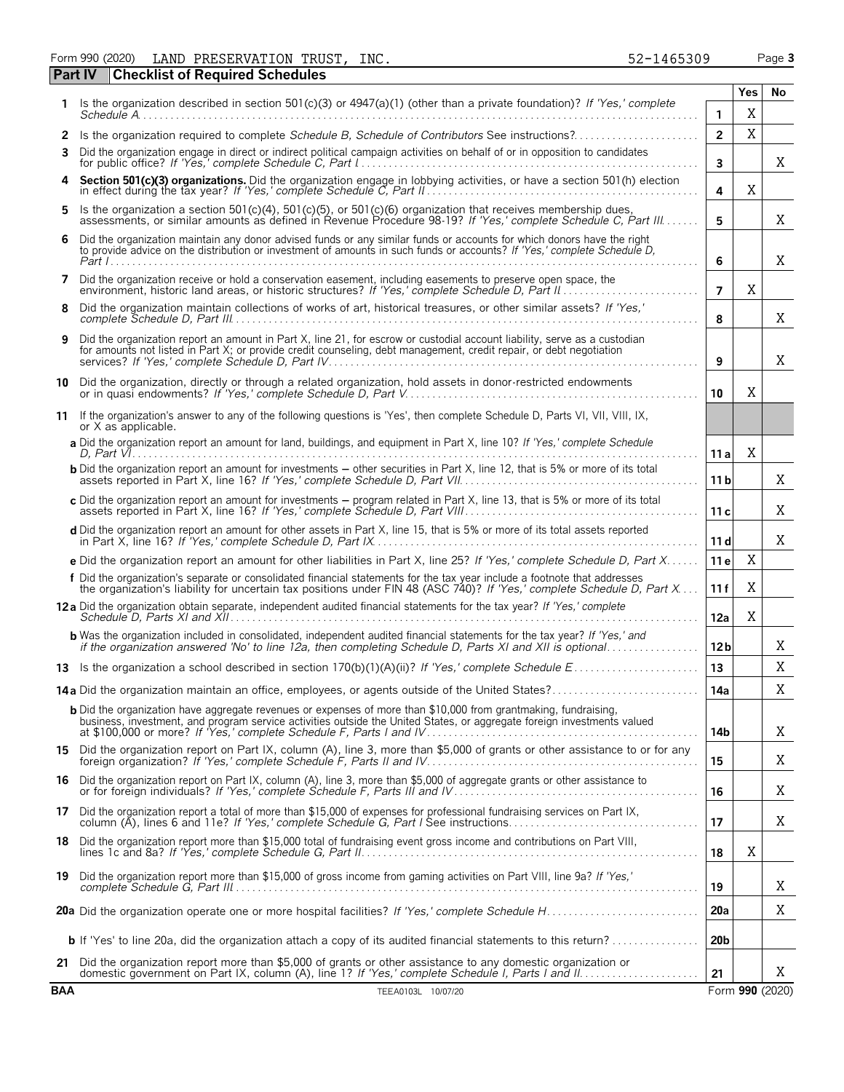Form 990 (2020) LAND PRESERVATION TRUST,INC. 52-1465309 Page **3** LAND PRESERVATION TRUST, INC. 52-1465309

|            | Checkinst of Required Scriedules                                                                                                                                                                                                                    |                 | <b>Yes</b> | No              |
|------------|-----------------------------------------------------------------------------------------------------------------------------------------------------------------------------------------------------------------------------------------------------|-----------------|------------|-----------------|
|            | 1 Is the organization described in section 501(c)(3) or 4947(a)(1) (other than a private foundation)? If 'Yes,' complete                                                                                                                            | 1               | Χ          |                 |
| 2          | Is the organization required to complete Schedule B, Schedule of Contributors See instructions?                                                                                                                                                     | $\overline{2}$  | X          |                 |
| 3          | Did the organization engage in direct or indirect political campaign activities on behalf of or in opposition to candidates                                                                                                                         | $\mathbf{3}$    |            | X               |
| 4          | Section 501(c)(3) organizations. Did the organization engage in lobbying activities, or have a section 501(h) election                                                                                                                              | 4               | X          |                 |
| 5          | Is the organization a section 501(c)(4), 501(c)(5), or 501(c)(6) organization that receives membership dues,<br>assessments, or similar amounts as defined in Revenue Procedure 98-19? If 'Yes,' complete Schedule C, Part III                      | 5               |            | X               |
| 6          | Did the organization maintain any donor advised funds or any similar funds or accounts for which donors have the right<br>to provide advice on the distribution or investment of amounts in such funds or accounts? If 'Yes,' complete Schedule D,  | 6               |            | Χ               |
| 7          | Did the organization receive or hold a conservation easement, including easements to preserve open space, the                                                                                                                                       | $\overline{7}$  | X          |                 |
| 8          | Did the organization maintain collections of works of art, historical treasures, or other similar assets? If 'Yes,'                                                                                                                                 | 8               |            | Χ               |
| 9          | Did the organization report an amount in Part X, line 21, for escrow or custodial account liability, serve as a custodian<br>for amounts not listed in Part X; or provide credit counseling, debt management, credit repair, or debt negotiation    | 9               |            | X               |
|            |                                                                                                                                                                                                                                                     | 10              | X          |                 |
|            | 11 If the organization's answer to any of the following questions is 'Yes', then complete Schedule D, Parts VI, VII, VIII, IX,<br>or X as applicable.                                                                                               |                 |            |                 |
|            | a Did the organization report an amount for land, buildings, and equipment in Part X, line 10? If 'Yes,' complete Schedule                                                                                                                          | 11 a            | Χ          |                 |
|            | <b>b</b> Did the organization report an amount for investments – other securities in Part X, line 12, that is 5% or more of its total                                                                                                               | 11 <sub>b</sub> |            | Χ               |
|            | c Did the organization report an amount for investments - program related in Part X, line 13, that is 5% or more of its total                                                                                                                       | 11c             |            | X               |
|            | d Did the organization report an amount for other assets in Part X, line 15, that is 5% or more of its total assets reported                                                                                                                        | 11 d            |            | Χ               |
|            | e Did the organization report an amount for other liabilities in Part X, line 25? If 'Yes,' complete Schedule D, Part X                                                                                                                             | 11e             | Χ          |                 |
|            | f Did the organization's separate or consolidated financial statements for the tax year include a footnote that addresses<br>the organization's liability for uncertain tax positions under FIN 48 (ASC 740)? If 'Yes,' complete Schedule D, Part X | 11f             | X          |                 |
|            | 12a Did the organization obtain separate, independent audited financial statements for the tax year? If 'Yes,' complete                                                                                                                             | 12a             | X          |                 |
|            | <b>b</b> Was the organization included in consolidated, independent audited financial statements for the tax year? If 'Yes,' and<br>if the organization answered 'No' to line 12a, then completing Schedule D, Parts XI and XII is optional         | 12 <sub>b</sub> |            | Χ               |
|            |                                                                                                                                                                                                                                                     | 13              |            | X               |
|            | <b>14a</b> Did the organization maintain an office, employees, or agents outside of the United States?                                                                                                                                              | 14a             |            | Χ               |
|            | <b>b</b> Did the organization have aggregate revenues or expenses of more than \$10,000 from grantmaking, fundraising,<br>business, investment, and program service activities outside the United States, or aggregate foreign investments valued   | 14b             |            | X               |
|            | 15 Did the organization report on Part IX, column (A), line 3, more than \$5,000 of grants or other assistance to or for any                                                                                                                        | 15              |            | Χ               |
| 16         | Did the organization report on Part IX, column (A), line 3, more than \$5,000 of aggregate grants or other assistance to or for foreign individuals? If 'Yes,' complete Schedule F, Parts III and IV                                                | 16              |            | Χ               |
| 17         | Did the organization report a total of more than \$15,000 of expenses for professional fundraising services on Part IX,                                                                                                                             | 17              |            | Χ               |
| 18         | Did the organization report more than \$15,000 total of fundraising event gross income and contributions on Part VIII,                                                                                                                              | 18              | Χ          |                 |
| 19         | Did the organization report more than \$15,000 of gross income from gaming activities on Part VIII, line 9a? If 'Yes,'                                                                                                                              | 19              |            | Χ               |
|            |                                                                                                                                                                                                                                                     | 20a             |            | Χ               |
|            | <b>b</b> If 'Yes' to line 20a, did the organization attach a copy of its audited financial statements to this return?                                                                                                                               | 20 <sub>b</sub> |            |                 |
| 21         | Did the organization report more than \$5,000 of grants or other assistance to any domestic organization or                                                                                                                                         |                 |            | Χ               |
| <b>BAA</b> | TEEA0103L 10/07/20                                                                                                                                                                                                                                  | 21              |            | Form 990 (2020) |

**Part IV Checklist of Required Schedules**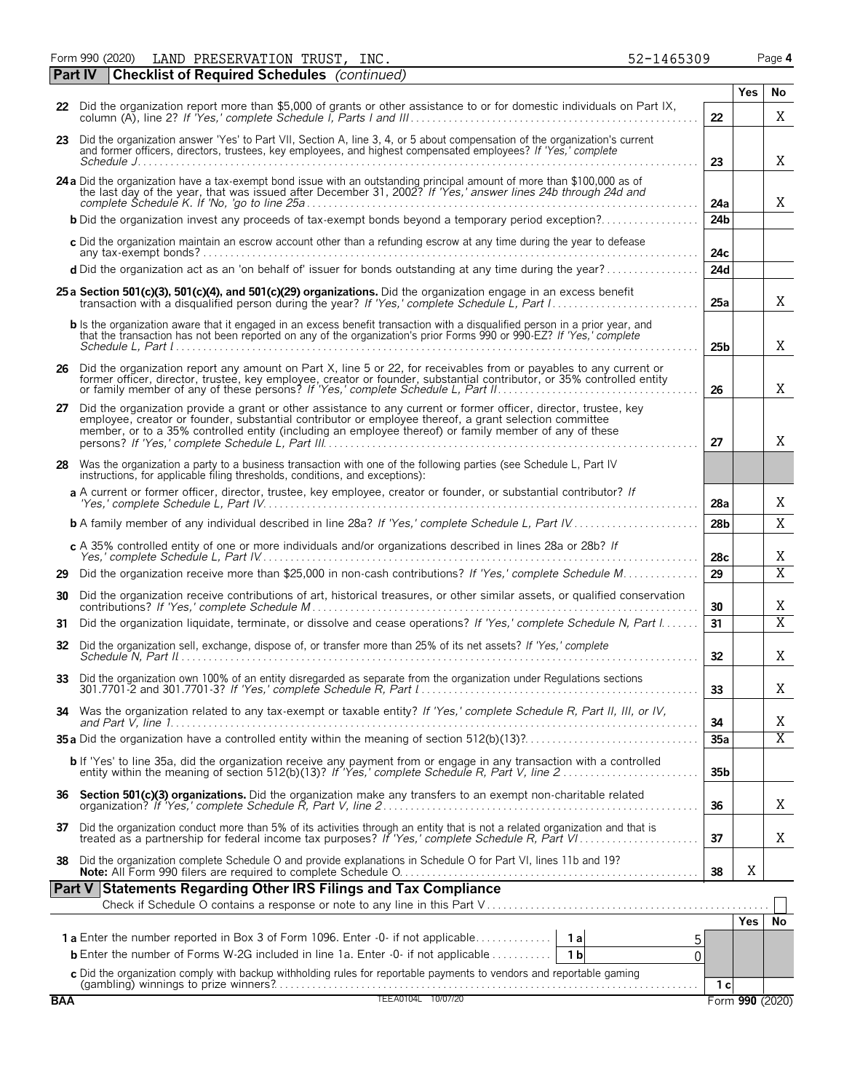Form 990 (2020) Page **4** LAND PRESERVATION TRUST, INC. 52-1465309

|            | Part IV | <b>Checklist of Required Schedules</b> (continued)                                                                                                                                                                                                                                                                                    |                 |     |                         |
|------------|---------|---------------------------------------------------------------------------------------------------------------------------------------------------------------------------------------------------------------------------------------------------------------------------------------------------------------------------------------|-----------------|-----|-------------------------|
|            |         |                                                                                                                                                                                                                                                                                                                                       |                 | Yes | No                      |
|            |         | 22 Did the organization report more than \$5,000 of grants or other assistance to or for domestic individuals on Part IX,                                                                                                                                                                                                             | 22              |     | Χ                       |
|            |         | 23 Did the organization answer 'Yes' to Part VII, Section A, line 3, 4, or 5 about compensation of the organization's current<br>and former officers, directors, trustees, key employees, and highest compensated employees? If 'Yes,' complete                                                                                       | 23              |     | X                       |
|            |         | 24 a Did the organization have a tax-exempt bond issue with an outstanding principal amount of more than \$100,000 as of the last day of the year, that was issued after December 31, 2002? If 'Yes,' answer lines 24b through                                                                                                        | 24a             |     | X                       |
|            |         | <b>b</b> Did the organization invest any proceeds of tax-exempt bonds beyond a temporary period exception?                                                                                                                                                                                                                            | 24 <sub>b</sub> |     |                         |
|            |         | c Did the organization maintain an escrow account other than a refunding escrow at any time during the year to defease                                                                                                                                                                                                                | 24c             |     |                         |
|            |         | d Did the organization act as an 'on behalf of' issuer for bonds outstanding at any time during the year?                                                                                                                                                                                                                             | 24d             |     |                         |
|            |         | 25 a Section 501(c)(3), 501(c)(4), and 501(c)(29) organizations. Did the organization engage in an excess benefit                                                                                                                                                                                                                     | 25a             |     | X                       |
|            |         | b Is the organization aware that it engaged in an excess benefit transaction with a disqualified person in a prior year, and<br>that the transaction has not been reported on any of the organization's prior Forms 990 or 990-EZ? If 'Yes,' complete                                                                                 | 25 <sub>b</sub> |     | X                       |
|            |         | 26 Did the organization report any amount on Part X, line 5 or 22, for receivables from or payables to any current or<br>former officer, director, trustee, key employee, creator or founder, substantial contributor, or 35% controlled entity<br>or family member of any of these persons? If 'Yes,' complete Schedule L, Part II   | 26              |     | Χ                       |
| 27         |         | Did the organization provide a grant or other assistance to any current or former officer, director, trustee, key<br>employee, creator or founder, substantial contributor or employee thereof, a grant selection committee<br>member, or to a 35% controlled entity (including an employee thereof) or family member of any of these | 27              |     | X                       |
| 28         |         | Was the organization a party to a business transaction with one of the following parties (see Schedule L, Part IV<br>instructions, for applicable filing thresholds, conditions, and exceptions):                                                                                                                                     |                 |     |                         |
|            |         | a A current or former officer, director, trustee, key employee, creator or founder, or substantial contributor? If                                                                                                                                                                                                                    | 28a             |     | Χ                       |
|            |         | <b>b</b> A family member of any individual described in line 28a? If 'Yes,' complete Schedule L, Part IV                                                                                                                                                                                                                              | 28 <sub>b</sub> |     | X                       |
|            |         | c A 35% controlled entity of one or more individuals and/or organizations described in lines 28a or 28b? If                                                                                                                                                                                                                           | 28c             |     | Χ                       |
| 29         |         | Did the organization receive more than \$25,000 in non-cash contributions? If 'Yes,' complete Schedule M                                                                                                                                                                                                                              | 29              |     | $\overline{\mathrm{X}}$ |
| 30         |         | Did the organization receive contributions of art, historical treasures, or other similar assets, or qualified conservation                                                                                                                                                                                                           | 30              |     | Χ                       |
| 31         |         | Did the organization liquidate, terminate, or dissolve and cease operations? If 'Yes,' complete Schedule N, Part I                                                                                                                                                                                                                    | 31              |     | X                       |
| 32         |         | Did the organization sell, exchange, dispose of, or transfer more than 25% of its net assets? If 'Yes,' complete                                                                                                                                                                                                                      | 32              |     | X                       |
|            |         | Did the organization own 100% of an entity disregarded as separate from the organization under Regulations sections                                                                                                                                                                                                                   | 33              |     | Χ                       |
| 34         |         | Was the organization related to any tax-exempt or taxable entity? If 'Yes,' complete Schedule R, Part II, III, or IV,                                                                                                                                                                                                                 | 34              |     | Χ                       |
|            |         |                                                                                                                                                                                                                                                                                                                                       | 35a             |     | $\overline{X}$          |
|            |         | b If 'Yes' to line 35a, did the organization receive any payment from or engage in any transaction with a controlled<br>entity within the meaning of section 512(b)(13)? If 'Yes,' complete Schedule R, Part V, line 2                                                                                                                | 35 <sub>b</sub> |     |                         |
|            |         |                                                                                                                                                                                                                                                                                                                                       | 36              |     | Χ                       |
|            |         | 37 Did the organization conduct more than 5% of its activities through an entity that is not a related organization and that is treated as a partnership for federal income tax purposes? If 'Yes,' complete Schedule R, Part                                                                                                         | 37              |     | Χ                       |
| 38         |         | Did the organization complete Schedule O and provide explanations in Schedule O for Part VI, lines 11b and 19?                                                                                                                                                                                                                        | 38              | Χ   |                         |
|            |         | Part V Statements Regarding Other IRS Filings and Tax Compliance                                                                                                                                                                                                                                                                      |                 |     |                         |
|            |         |                                                                                                                                                                                                                                                                                                                                       |                 | Yes | l No                    |
|            |         | 5                                                                                                                                                                                                                                                                                                                                     |                 |     |                         |
|            |         | <b>b</b> Enter the number of Forms W-2G included in line 1a. Enter -0- if not applicable<br>1 b<br>$\overline{0}$                                                                                                                                                                                                                     |                 |     |                         |
|            |         |                                                                                                                                                                                                                                                                                                                                       |                 |     |                         |
| <b>BAA</b> |         | C Did the organization comply with backup withholding rules for reportable payments to vendors and reportable gaming<br>(gambling) winnings to prize winners?<br>TEEA0104L 10/07/20                                                                                                                                                   | 1 <sub>c</sub>  |     | Form 990 (2020)         |
|            |         |                                                                                                                                                                                                                                                                                                                                       |                 |     |                         |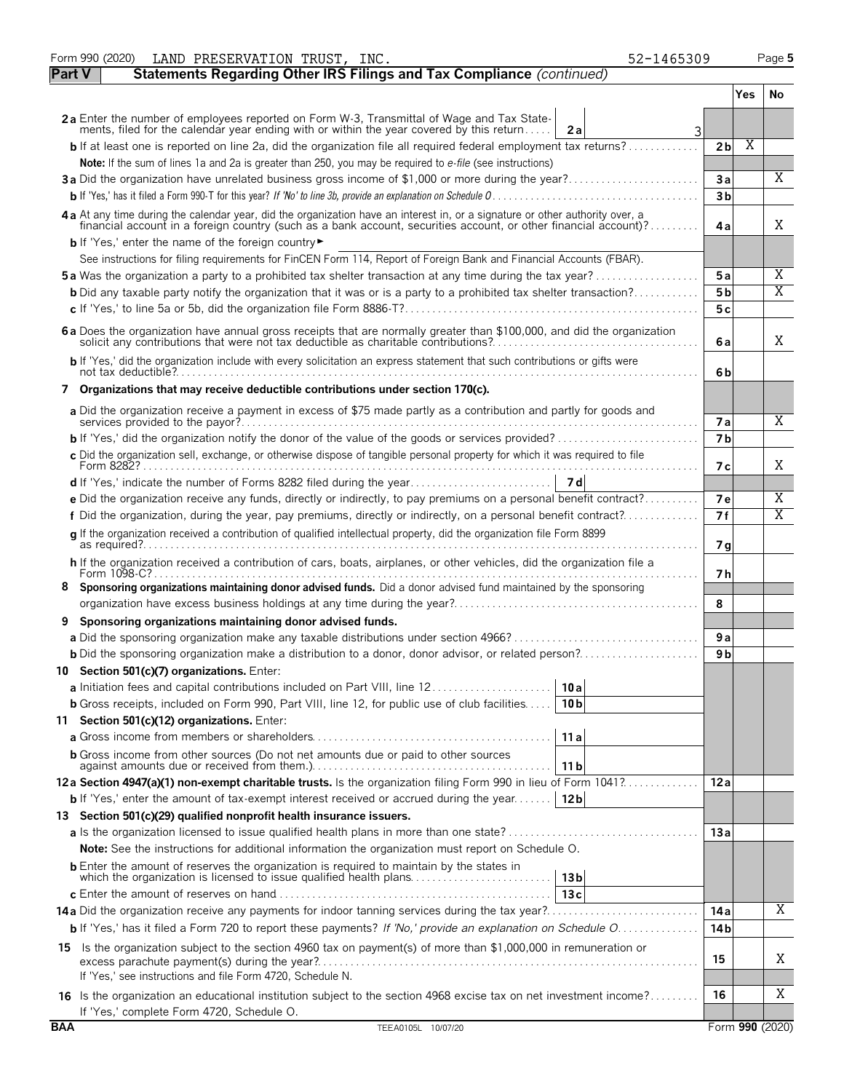|               | Form 990 (2020)<br>LAND PRESERVATION TRUST, INC.<br>52-1465309                                                                                                                                                                 |                |     | Page 5          |
|---------------|--------------------------------------------------------------------------------------------------------------------------------------------------------------------------------------------------------------------------------|----------------|-----|-----------------|
| <b>Part V</b> | Statements Regarding Other IRS Filings and Tax Compliance (continued)                                                                                                                                                          |                |     |                 |
|               |                                                                                                                                                                                                                                |                | Yes | No.             |
|               | 2a Enter the number of employees reported on Form W-3, Transmittal of Wage and Tax State-                                                                                                                                      |                |     |                 |
|               | ments, filed for the calendar year ending with or within the year covered by this return<br>2a<br>3                                                                                                                            |                |     |                 |
|               | <b>b</b> If at least one is reported on line 2a, did the organization file all required federal employment tax returns?                                                                                                        | 2 <sub>b</sub> | Χ   |                 |
|               | Note: If the sum of lines 1a and 2a is greater than 250, you may be required to e-file (see instructions)                                                                                                                      |                |     |                 |
|               | 3a Did the organization have unrelated business gross income of \$1,000 or more during the year?                                                                                                                               | 3a             |     | X               |
|               |                                                                                                                                                                                                                                | 3 <sub>b</sub> |     |                 |
|               | 4 a At any time during the calendar year, did the organization have an interest in, or a signature or other authority over, a financial account in a foreign country (such as a bank account, securities account, or other fin | 4a             |     | X               |
|               | <b>b</b> If 'Yes,' enter the name of the foreign country                                                                                                                                                                       |                |     |                 |
|               | See instructions for filing requirements for FinCEN Form 114, Report of Foreign Bank and Financial Accounts (FBAR).                                                                                                            |                |     |                 |
|               | <b>5a</b> Was the organization a party to a prohibited tax shelter transaction at any time during the tax year?                                                                                                                | 5a             |     | Χ               |
|               | <b>b</b> Did any taxable party notify the organization that it was or is a party to a prohibited tax shelter transaction?                                                                                                      | 5 b            |     | X               |
|               |                                                                                                                                                                                                                                | 5c             |     |                 |
|               | 6 a Does the organization have annual gross receipts that are normally greater than \$100,000, and did the organization solicit any contributions that were not tax deductible as charitable contributions?                    | 6a             |     | X               |
|               | b If 'Yes,' did the organization include with every solicitation an express statement that such contributions or gifts were                                                                                                    | 6b             |     |                 |
|               | 7 Organizations that may receive deductible contributions under section 170(c).                                                                                                                                                |                |     |                 |
|               | a Did the organization receive a payment in excess of \$75 made partly as a contribution and partly for goods and                                                                                                              |                |     |                 |
|               |                                                                                                                                                                                                                                | <b>7a</b>      |     | X               |
|               |                                                                                                                                                                                                                                | 7 <sub>b</sub> |     |                 |
|               | c Did the organization sell, exchange, or otherwise dispose of tangible personal property for which it was required to file                                                                                                    | 7 с            |     | X               |
|               |                                                                                                                                                                                                                                |                |     |                 |
|               | e Did the organization receive any funds, directly or indirectly, to pay premiums on a personal benefit contract?                                                                                                              | 7e             |     | Χ               |
|               | f Did the organization, during the year, pay premiums, directly or indirectly, on a personal benefit contract?                                                                                                                 | 7f             |     | Χ               |
|               | g If the organization received a contribution of qualified intellectual property, did the organization file Form 8899                                                                                                          |                |     |                 |
|               |                                                                                                                                                                                                                                | 7g             |     |                 |
|               | h If the organization received a contribution of cars, boats, airplanes, or other vehicles, did the organization file a                                                                                                        | 7 h            |     |                 |
|               | Sponsoring organizations maintaining donor advised funds. Did a donor advised fund maintained by the sponsoring                                                                                                                |                |     |                 |
|               |                                                                                                                                                                                                                                | 8              |     |                 |
| 9             | Sponsoring organizations maintaining donor advised funds.                                                                                                                                                                      |                |     |                 |
|               |                                                                                                                                                                                                                                | 9a             |     |                 |
|               |                                                                                                                                                                                                                                | 9 b            |     |                 |
|               | 10 Section 501(c)(7) organizations. Enter:                                                                                                                                                                                     |                |     |                 |
|               | 10 a                                                                                                                                                                                                                           |                |     |                 |
|               | <b>b</b> Gross receipts, included on Form 990, Part VIII, line 12, for public use of club facilities<br>10 <sub>b</sub>                                                                                                        |                |     |                 |
|               | 11 Section 501(c)(12) organizations. Enter:                                                                                                                                                                                    |                |     |                 |
|               | 11a                                                                                                                                                                                                                            |                |     |                 |
|               | <b>b</b> Gross income from other sources (Do not net amounts due or paid to other sources<br>11 b                                                                                                                              |                |     |                 |
|               | 12a Section 4947(a)(1) non-exempt charitable trusts. Is the organization filing Form 990 in lieu of Form 1041?                                                                                                                 | 12a            |     |                 |
|               | <b>b</b> If 'Yes,' enter the amount of tax-exempt interest received or accrued during the year <b>12b</b>                                                                                                                      |                |     |                 |
|               | 13 Section 501(c)(29) qualified nonprofit health insurance issuers.                                                                                                                                                            |                |     |                 |
|               |                                                                                                                                                                                                                                | 13a            |     |                 |
|               | <b>Note:</b> See the instructions for additional information the organization must report on Schedule O.                                                                                                                       |                |     |                 |
|               | <b>b</b> Enter the amount of reserves the organization is required to maintain by the states in<br>which the organization is licensed to issue qualified health plans<br>13 <sub>b</sub>                                       |                |     |                 |
|               | 13c                                                                                                                                                                                                                            |                |     |                 |
|               |                                                                                                                                                                                                                                | 14 a           |     | Χ               |
|               | b If 'Yes,' has it filed a Form 720 to report these payments? If 'No,' provide an explanation on Schedule O                                                                                                                    | 14 b           |     |                 |
|               | 15 Is the organization subject to the section 4960 tax on payment(s) of more than \$1,000,000 in remuneration or                                                                                                               |                |     |                 |
|               |                                                                                                                                                                                                                                | 15             |     | Χ               |
|               | If 'Yes,' see instructions and file Form 4720, Schedule N.                                                                                                                                                                     |                |     |                 |
|               | 16 Is the organization an educational institution subject to the section 4968 excise tax on net investment income?                                                                                                             | 16             |     | Χ               |
|               | If 'Yes,' complete Form 4720, Schedule O.                                                                                                                                                                                      |                |     |                 |
| <b>BAA</b>    | TEEA0105L 10/07/20                                                                                                                                                                                                             |                |     | Form 990 (2020) |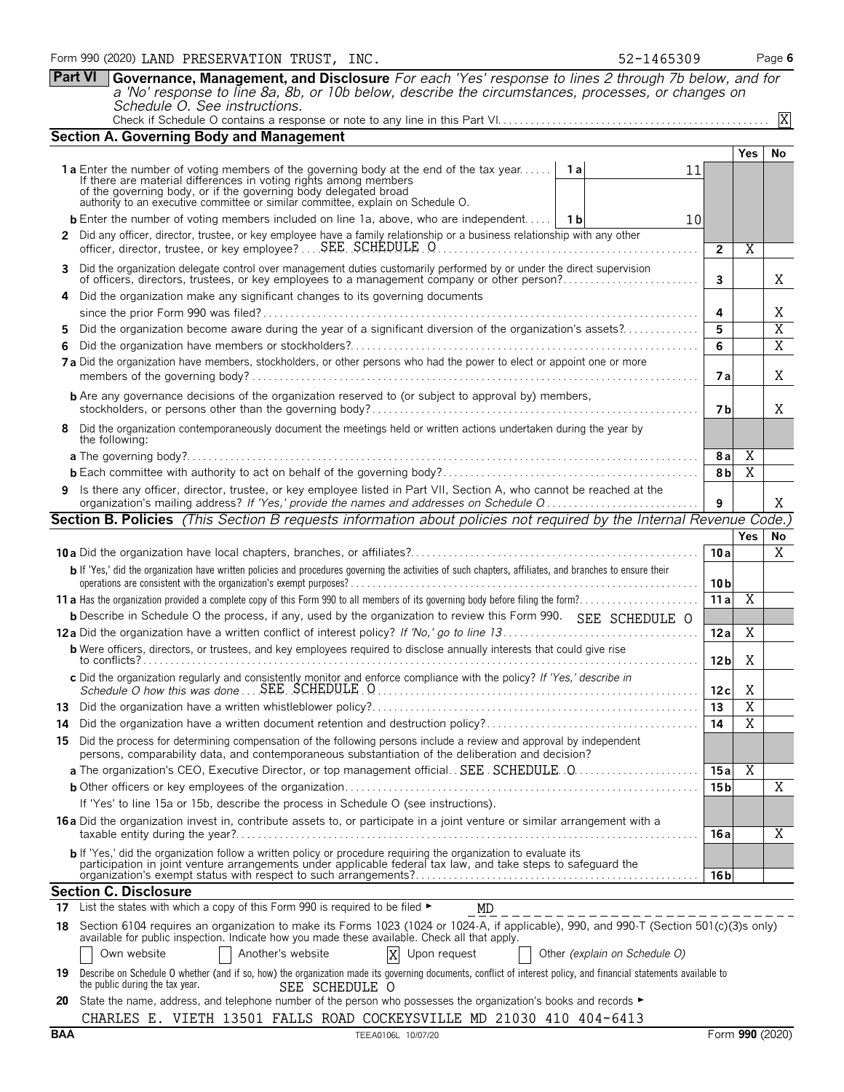|     | Form 990 (2020) LAND PRESERVATION TRUST, INC.<br>52-1465309                                                                                                                                                                                                                                                                           |                        |                         | Page 6         |
|-----|---------------------------------------------------------------------------------------------------------------------------------------------------------------------------------------------------------------------------------------------------------------------------------------------------------------------------------------|------------------------|-------------------------|----------------|
|     | <b>Part VI</b><br>Governance, Management, and Disclosure For each 'Yes' response to lines 2 through 7b below, and for<br>a 'No' response to line 8a, 8b, or 10b below, describe the circumstances, processes, or changes on<br>Schedule O. See instructions.                                                                          |                        |                         |                |
|     |                                                                                                                                                                                                                                                                                                                                       |                        |                         | X              |
|     | <b>Section A. Governing Body and Management</b>                                                                                                                                                                                                                                                                                       |                        |                         |                |
|     | <b>1a</b> Enter the number of voting members of the governing body at the end of the tax year<br>- 1 al<br>11<br>If there are material differences in voting rights among members<br>of the governing body, or if the governing body delegated broad authority to an executive committee or similar committee, explain on Schedule O. |                        | <b>Yes</b>              | No             |
|     | <b>b</b> Enter the number of voting members included on line 1a, above, who are independent 1 1b<br>10                                                                                                                                                                                                                                |                        |                         |                |
|     | 2 Did any officer, director, trustee, or key employee have a family relationship or a business relationship with any other<br>officer, director, trustee, or key employee? SEE SCHEDULE O                                                                                                                                             | $\overline{2}$         | $\overline{\mathrm{X}}$ |                |
| 3   | Did the organization delegate control over management duties customarily performed by or under the direct supervision<br>of officers, directors, trustees, or key employees to a management company or other person?                                                                                                                  | 3                      |                         | X              |
|     | Did the organization make any significant changes to its governing documents                                                                                                                                                                                                                                                          | 4                      |                         | Χ              |
|     | Did the organization become aware during the year of a significant diversion of the organization's assets?                                                                                                                                                                                                                            | 5                      |                         | $\overline{X}$ |
|     |                                                                                                                                                                                                                                                                                                                                       | 6                      |                         | $\overline{X}$ |
|     | 7a Did the organization have members, stockholders, or other persons who had the power to elect or appoint one or more                                                                                                                                                                                                                | 7 a                    |                         | X              |
|     | <b>b</b> Are any governance decisions of the organization reserved to (or subject to approval by) members,                                                                                                                                                                                                                            | 7 <sub>b</sub>         |                         | X              |
| 8   | Did the organization contemporaneously document the meetings held or written actions undertaken during the year by<br>the following:                                                                                                                                                                                                  |                        |                         |                |
|     |                                                                                                                                                                                                                                                                                                                                       | 8a                     | Χ                       |                |
|     |                                                                                                                                                                                                                                                                                                                                       | 8b                     | X                       |                |
|     | 9 Is there any officer, director, trustee, or key employee listed in Part VII, Section A, who cannot be reached at the<br>organization's mailing address? If 'Yes,' provide the names and addresses on Schedule Q                                                                                                                     |                        |                         | X              |
|     | <b>Section B. Policies</b> (This Section B requests information about policies not required by the Internal Revenue Code.)                                                                                                                                                                                                            |                        |                         |                |
|     |                                                                                                                                                                                                                                                                                                                                       |                        | Yes                     | No             |
|     | b If 'Yes,' did the organization have written policies and procedures governing the activities of such chapters, affiliates, and branches to ensure their                                                                                                                                                                             | 10a<br>10 <sub>b</sub> |                         | X              |
|     |                                                                                                                                                                                                                                                                                                                                       | $\overline{11a}$       | $\overline{X}$          |                |
|     | <b>b</b> Describe in Schedule O the process, if any, used by the organization to review this Form 990. SEE SCHEDULE O                                                                                                                                                                                                                 |                        |                         |                |
|     |                                                                                                                                                                                                                                                                                                                                       | 12a                    | X                       |                |
|     | <b>b</b> Were officers, directors, or trustees, and key employees required to disclose annually interests that could give rise                                                                                                                                                                                                        | 12 <sub>b</sub>        | X                       |                |
|     | c Did the organization regularly and consistently monitor and enforce compliance with the policy? If 'Yes,' describe in                                                                                                                                                                                                               | 12c                    | Χ                       |                |
|     |                                                                                                                                                                                                                                                                                                                                       | 13                     | $\overline{X}$          |                |
| 14. |                                                                                                                                                                                                                                                                                                                                       | 14                     | $\overline{X}$          |                |
|     | 15 Did the process for determining compensation of the following persons include a review and approval by independent<br>persons, comparability data, and contemporaneous substantiation of the deliberation and decision?                                                                                                            |                        |                         |                |
|     |                                                                                                                                                                                                                                                                                                                                       | 15a                    | Χ                       |                |
|     |                                                                                                                                                                                                                                                                                                                                       | 15 <sub>b</sub>        |                         | $\overline{X}$ |
|     | If 'Yes' to line 15a or 15b, describe the process in Schedule O (see instructions).                                                                                                                                                                                                                                                   |                        |                         |                |
|     | <b>16a</b> Did the organization invest in, contribute assets to, or participate in a joint venture or similar arrangement with a                                                                                                                                                                                                      | 16 a                   |                         | X              |
|     | b If 'Yes,' did the organization follow a written policy or procedure requiring the organization to evaluate its<br>participation in joint venture arrangements under applicable federal tax law, and take steps to safeguard the                                                                                                     | 16 b                   |                         |                |
|     | <b>Section C. Disclosure</b>                                                                                                                                                                                                                                                                                                          |                        |                         |                |
| 17  | List the states with which a copy of this Form 990 is required to be filed ►<br>MD                                                                                                                                                                                                                                                    |                        |                         |                |
| 18. | Section 6104 requires an organization to make its Forms 1023 (1024 or 1024-A, if applicable), 990, and 990-T (Section 501(c)(3)s only)<br>available for public inspection. Indicate how you made these available. Check all that apply.<br>X Upon request<br>Another's website<br>Own website<br>Other (explain on Schedule O)        |                        |                         |                |
| 19  | Describe on Schedule O whether (and if so, how) the organization made its governing documents, conflict of interest policy, and financial statements available to<br>the public during the tax year.<br>SEE SCHEDULE O                                                                                                                |                        |                         |                |

**20** State the name, address, and telephone number of the person who possesses the organization's books and records ► CHARLES E. VIETH 13501 FALLS ROAD COCKEYSVILLE MD 21030 410 404-6413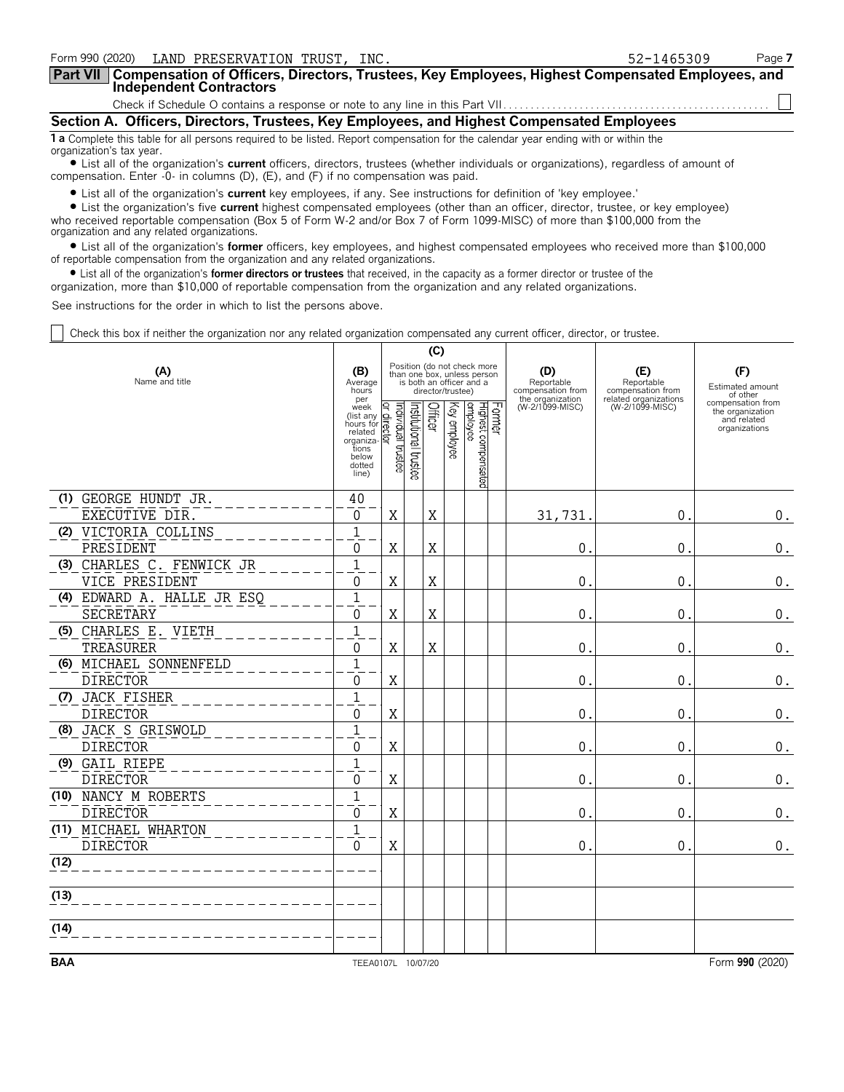| Form 990 (2020) LAND PRESERVATION TRUST, INC.                                                                                                                  | 52-1465309 | Page 7 |
|----------------------------------------------------------------------------------------------------------------------------------------------------------------|------------|--------|
| Part VII   Compensation of Officers, Directors, Trustees, Key Employees, Highest Compensated Employees, and Independent Contractors                            |            |        |
|                                                                                                                                                                |            |        |
| Section A. Officers, Directors, Trustees, Key Employees, and Highest Compensated Employees                                                                     |            |        |
| 1 a Complete this table for all persons required to be listed. Report compensation for the calendar year ending with or within the<br>organization's tax year. |            |        |

? List all of the organization's **current** officers, directors, trustees (whether individuals or organizations), regardless of amount of compensation. Enter -0- in columns (D), (E), and (F) if no compensation was paid.

? List all of the organization's **current** key employees, if any. See instructions for definition of 'key employee.'

? List the organization's five **current** highest compensated employees (other than an officer, director, trustee, or key employee) who received reportable compensation (Box 5 of Form W-2 and/or Box 7 of Form 1099-MISC) of more than \$100,000 from the organization and any related organizations.

? List all of the organization's **former** officers, key employees, and highest compensated employees who received more than \$100,000 of reportable compensation from the organization and any related organizations.

? List all of the organization's **former directors or trustees** that received, in the capacity as a former director or trustee of the

organization, more than \$10,000 of reportable compensation from the organization and any related organizations.

See instructions for the order in which to list the persons above.

Check this box if neither the organization nor any related organization compensated any current officer, director, or trustee.

|            | (C)                               |                                                                                                    |                                           |                                                                                                             |         |              |                                            |  |                                                            |                                                                 |                                                                       |
|------------|-----------------------------------|----------------------------------------------------------------------------------------------------|-------------------------------------------|-------------------------------------------------------------------------------------------------------------|---------|--------------|--------------------------------------------|--|------------------------------------------------------------|-----------------------------------------------------------------|-----------------------------------------------------------------------|
|            | (A)<br>Name and title             |                                                                                                    |                                           | Position (do not check more<br>than one box, unless person<br>is both an officer and a<br>director/trustee) |         |              |                                            |  | (D)<br>Reportable<br>compensation from<br>the organization | (E)<br>Reportable<br>compensation from<br>related organizations | (F)<br>Estimated amount<br>of other                                   |
|            |                                   | per<br>week<br>(list any<br>hours for<br>related<br>organiza-<br>tions<br>below<br>dotted<br>line) | Individual trustee<br>o.<br><b>E</b><br>⊠ | Institutional trustee                                                                                       | Officer | Key employee | Former<br>Highest compensated<br> employee |  | (W-2/1099-MISC)                                            | (W-2/1099-MISC)                                                 | compensation from<br>the organization<br>and related<br>organizations |
|            | (1) GEORGE HUNDT JR.              | 40                                                                                                 |                                           |                                                                                                             |         |              |                                            |  |                                                            |                                                                 |                                                                       |
|            | EXECUTIVE DIR.                    | 0                                                                                                  | X                                         |                                                                                                             | X       |              |                                            |  | 31,731                                                     | $\mathbf 0$                                                     | $\boldsymbol{0}$ .                                                    |
|            | (2) VICTORIA COLLINS<br>PRESIDENT | $\mathbf{1}$<br>$\mathbf{0}$                                                                       | $\mathbf X$                               |                                                                                                             | X       |              |                                            |  | $\pmb{0}$                                                  | 0                                                               | 0.                                                                    |
|            | (3) CHARLES C. FENWICK JR         | $\mathbf{1}$                                                                                       |                                           |                                                                                                             |         |              |                                            |  |                                                            |                                                                 |                                                                       |
|            | VICE PRESIDENT                    | $\Omega$                                                                                           | $\mathbf X$                               |                                                                                                             | X       |              |                                            |  | 0                                                          | $\mathbf 0$                                                     | 0.                                                                    |
|            | (4) EDWARD A. HALLE JR ESQ        | $\mathbf{1}$                                                                                       |                                           |                                                                                                             |         |              |                                            |  |                                                            |                                                                 |                                                                       |
|            | SECRETARY                         | 0                                                                                                  | X                                         |                                                                                                             | X       |              |                                            |  | 0                                                          | $\pmb{0}$                                                       | $\boldsymbol{0}$ .                                                    |
|            | (5) CHARLES E. VIETH<br>TREASURER | $\overline{1}$<br>0                                                                                | X                                         |                                                                                                             | X       |              |                                            |  | 0                                                          | 0                                                               | 0.                                                                    |
|            | (6) MICHAEL SONNENFELD            | $\mathbf{1}$                                                                                       |                                           |                                                                                                             |         |              |                                            |  |                                                            |                                                                 |                                                                       |
|            | <b>DIRECTOR</b>                   | $\Omega$                                                                                           | X                                         |                                                                                                             |         |              |                                            |  | 0                                                          | 0                                                               | 0.                                                                    |
|            | (7) JACK FISHER                   | $\mathbf{1}$                                                                                       |                                           |                                                                                                             |         |              |                                            |  |                                                            |                                                                 |                                                                       |
|            | <b>DIRECTOR</b>                   | $\Omega$                                                                                           | $\mathbf X$                               |                                                                                                             |         |              |                                            |  | $\Omega$                                                   | $\mathbf 0$                                                     | $\boldsymbol{0}$ .                                                    |
|            | (8) JACK S GRISWOLD               | $\mathbf{1}$                                                                                       |                                           |                                                                                                             |         |              |                                            |  |                                                            |                                                                 |                                                                       |
|            | <b>DIRECTOR</b>                   | 0                                                                                                  | X                                         |                                                                                                             |         |              |                                            |  | 0                                                          | 0                                                               | 0.                                                                    |
|            | (9) GAIL RIEPE<br><b>DIRECTOR</b> | $\overline{1}$<br>$\Omega$                                                                         | X                                         |                                                                                                             |         |              |                                            |  | 0                                                          | $\mathbf 0$                                                     | 0.                                                                    |
|            | (10) NANCY M ROBERTS              | $\mathbf{1}$                                                                                       |                                           |                                                                                                             |         |              |                                            |  |                                                            |                                                                 |                                                                       |
|            | <b>DIRECTOR</b>                   | $\Omega$                                                                                           | X                                         |                                                                                                             |         |              |                                            |  | 0                                                          | $\mathbf 0$                                                     | $0$ .                                                                 |
|            | (11) MICHAEL WHARTON              | $\mathbf{1}$                                                                                       |                                           |                                                                                                             |         |              |                                            |  |                                                            |                                                                 |                                                                       |
|            | <b>DIRECTOR</b>                   | $\mathbf{0}$                                                                                       | X                                         |                                                                                                             |         |              |                                            |  | $\mathbf 0$                                                | $\mathbf{0}$                                                    | $\boldsymbol{0}$ .                                                    |
| (12)       |                                   |                                                                                                    |                                           |                                                                                                             |         |              |                                            |  |                                                            |                                                                 |                                                                       |
| (13)       |                                   |                                                                                                    |                                           |                                                                                                             |         |              |                                            |  |                                                            |                                                                 |                                                                       |
|            |                                   |                                                                                                    |                                           |                                                                                                             |         |              |                                            |  |                                                            |                                                                 |                                                                       |
| (14)       |                                   |                                                                                                    |                                           |                                                                                                             |         |              |                                            |  |                                                            |                                                                 |                                                                       |
| <b>BAA</b> |                                   | TEEA0107L 10/07/20                                                                                 |                                           |                                                                                                             |         |              |                                            |  |                                                            |                                                                 | Form 990 (2020)                                                       |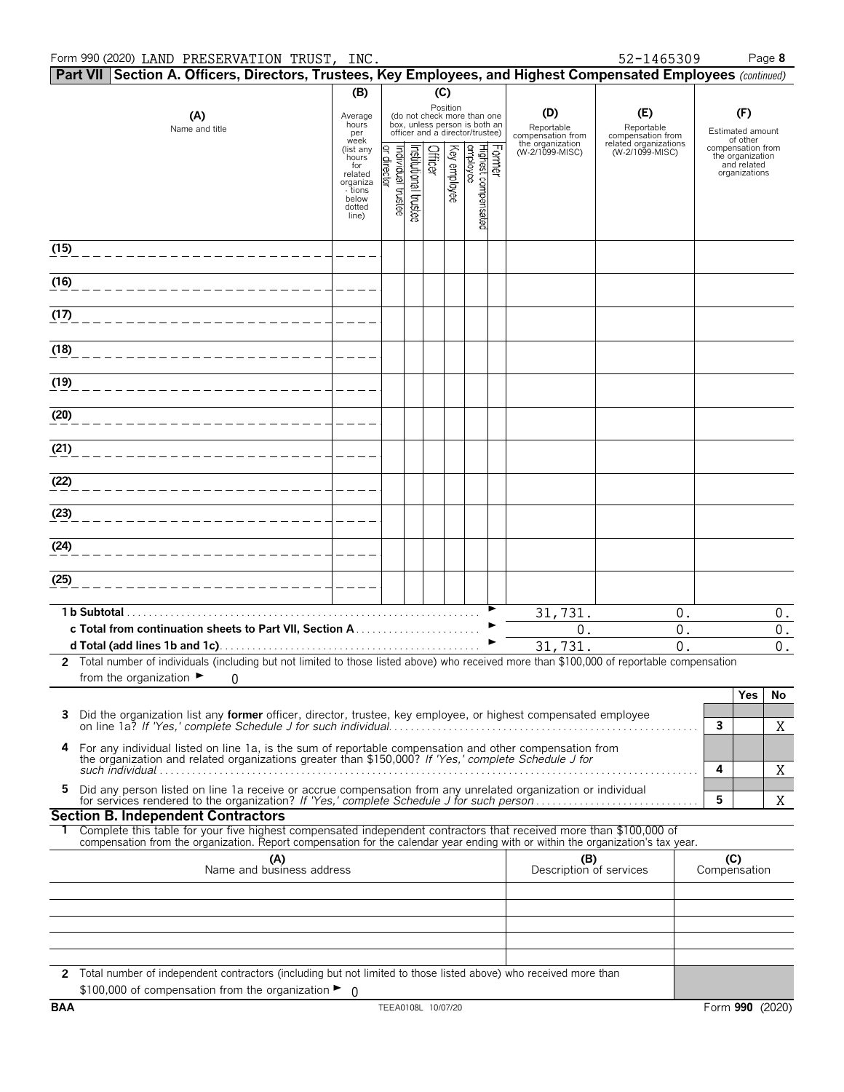|            |              | Part VII Section A. Officers, Directors, Trustees, Key Employees, and Highest Compensated Employees (continued)                                                                                                                                        |                              |                    |                                             |         |              |                                                                                                             |        |                                        |                                          |                                                   |                    |
|------------|--------------|--------------------------------------------------------------------------------------------------------------------------------------------------------------------------------------------------------------------------------------------------------|------------------------------|--------------------|---------------------------------------------|---------|--------------|-------------------------------------------------------------------------------------------------------------|--------|----------------------------------------|------------------------------------------|---------------------------------------------------|--------------------|
|            |              |                                                                                                                                                                                                                                                        | (B)                          |                    |                                             | (C)     |              |                                                                                                             |        |                                        |                                          |                                                   |                    |
|            |              | (A)<br>Name and title                                                                                                                                                                                                                                  | Average<br>hours<br>per      |                    |                                             |         |              | Position<br>(do not check more than one<br>box, unless person is both an<br>officer and a director/trustee) |        | (D)<br>Reportable<br>compensation from | (E)<br>Reportable<br>compensation from   | (F)<br>Estimated amount                           |                    |
|            |              |                                                                                                                                                                                                                                                        | week<br>(list any<br>hours   |                    |                                             |         |              |                                                                                                             |        | the organization<br>(W-2/1099-MISC)    | related organizations<br>(W-2/1099-MISC) | of other<br>compensation from<br>the organization |                    |
|            |              |                                                                                                                                                                                                                                                        | for<br>related               | or director        | Institutional trustee<br>Individual trustee | Officer | Key employee | Highest compensated<br>employee                                                                             | Former |                                        |                                          | and related<br>organizations                      |                    |
|            |              |                                                                                                                                                                                                                                                        | organiza<br>- tions<br>below |                    |                                             |         |              |                                                                                                             |        |                                        |                                          |                                                   |                    |
|            |              |                                                                                                                                                                                                                                                        | dotted<br>line)              |                    |                                             |         |              |                                                                                                             |        |                                        |                                          |                                                   |                    |
|            |              |                                                                                                                                                                                                                                                        |                              |                    |                                             |         |              |                                                                                                             |        |                                        |                                          |                                                   |                    |
| (15)       |              |                                                                                                                                                                                                                                                        |                              |                    |                                             |         |              |                                                                                                             |        |                                        |                                          |                                                   |                    |
| (16)       |              |                                                                                                                                                                                                                                                        |                              |                    |                                             |         |              |                                                                                                             |        |                                        |                                          |                                                   |                    |
| (17)       |              |                                                                                                                                                                                                                                                        |                              |                    |                                             |         |              |                                                                                                             |        |                                        |                                          |                                                   |                    |
| (18)       |              |                                                                                                                                                                                                                                                        |                              |                    |                                             |         |              |                                                                                                             |        |                                        |                                          |                                                   |                    |
| (19)       |              |                                                                                                                                                                                                                                                        |                              |                    |                                             |         |              |                                                                                                             |        |                                        |                                          |                                                   |                    |
| (20)       |              |                                                                                                                                                                                                                                                        |                              |                    |                                             |         |              |                                                                                                             |        |                                        |                                          |                                                   |                    |
| (21)       |              |                                                                                                                                                                                                                                                        |                              |                    |                                             |         |              |                                                                                                             |        |                                        |                                          |                                                   |                    |
| (22)       |              |                                                                                                                                                                                                                                                        |                              |                    |                                             |         |              |                                                                                                             |        |                                        |                                          |                                                   |                    |
| (23)       |              |                                                                                                                                                                                                                                                        |                              |                    |                                             |         |              |                                                                                                             |        |                                        |                                          |                                                   |                    |
|            |              |                                                                                                                                                                                                                                                        |                              |                    |                                             |         |              |                                                                                                             |        |                                        |                                          |                                                   |                    |
| (24)       |              |                                                                                                                                                                                                                                                        |                              |                    |                                             |         |              |                                                                                                             |        |                                        |                                          |                                                   |                    |
| (25)       |              |                                                                                                                                                                                                                                                        |                              |                    |                                             |         |              |                                                                                                             |        |                                        |                                          |                                                   |                    |
|            | 1 b Subtotal |                                                                                                                                                                                                                                                        |                              |                    |                                             |         |              |                                                                                                             |        | 31,731.                                | 0.                                       |                                                   | $0$ .              |
|            |              |                                                                                                                                                                                                                                                        |                              |                    |                                             |         |              |                                                                                                             |        | 0.                                     | 0.                                       |                                                   | $\boldsymbol{0}$ . |
|            |              |                                                                                                                                                                                                                                                        |                              |                    |                                             |         |              |                                                                                                             |        | 31,731.                                | 0.                                       |                                                   | $\boldsymbol{0}$ . |
|            |              | 2 Total number of individuals (including but not limited to those listed above) who received more than \$100,000 of reportable compensation<br>from the organization $\blacktriangleright$<br>$\Omega$                                                 |                              |                    |                                             |         |              |                                                                                                             |        |                                        |                                          |                                                   |                    |
|            |              |                                                                                                                                                                                                                                                        |                              |                    |                                             |         |              |                                                                                                             |        |                                        |                                          | Yes                                               | No                 |
| 3          |              | Did the organization list any <b>former</b> officer, director, trustee, key employee, or highest compensated employee                                                                                                                                  |                              |                    |                                             |         |              |                                                                                                             |        |                                        |                                          |                                                   |                    |
|            |              |                                                                                                                                                                                                                                                        |                              |                    |                                             |         |              |                                                                                                             |        |                                        |                                          | 3                                                 | X                  |
| 4          |              | For any individual listed on line 1a, is the sum of reportable compensation and other compensation from<br>the organization and related organizations greater than \$150,000? If 'Yes,' complete Schedule J for                                        |                              |                    |                                             |         |              |                                                                                                             |        |                                        |                                          | 4                                                 |                    |
| 5          |              | Did any person listed on line 1a receive or accrue compensation from any unrelated organization or individual                                                                                                                                          |                              |                    |                                             |         |              |                                                                                                             |        |                                        |                                          | 5                                                 | X<br>X             |
|            |              | <b>Section B. Independent Contractors</b>                                                                                                                                                                                                              |                              |                    |                                             |         |              |                                                                                                             |        |                                        |                                          |                                                   |                    |
|            |              | Complete this table for your five highest compensated independent contractors that received more than \$100,000 of<br>compensation from the organization. Report compensation for the calendar year ending with or within the organization's tax year. |                              |                    |                                             |         |              |                                                                                                             |        |                                        |                                          |                                                   |                    |
|            |              | (A)<br>Name and business address                                                                                                                                                                                                                       |                              |                    |                                             |         |              |                                                                                                             |        | (B)                                    |                                          | (C)                                               |                    |
|            |              |                                                                                                                                                                                                                                                        |                              |                    |                                             |         |              |                                                                                                             |        | Description of services                |                                          | Compensation                                      |                    |
|            |              |                                                                                                                                                                                                                                                        |                              |                    |                                             |         |              |                                                                                                             |        |                                        |                                          |                                                   |                    |
|            |              |                                                                                                                                                                                                                                                        |                              |                    |                                             |         |              |                                                                                                             |        |                                        |                                          |                                                   |                    |
|            |              |                                                                                                                                                                                                                                                        |                              |                    |                                             |         |              |                                                                                                             |        |                                        |                                          |                                                   |                    |
|            |              |                                                                                                                                                                                                                                                        |                              |                    |                                             |         |              |                                                                                                             |        |                                        |                                          |                                                   |                    |
|            |              | 2 Total number of independent contractors (including but not limited to those listed above) who received more than                                                                                                                                     |                              |                    |                                             |         |              |                                                                                                             |        |                                        |                                          |                                                   |                    |
| <b>BAA</b> |              | \$100,000 of compensation from the organization $\blacktriangleright$ 0                                                                                                                                                                                |                              | TEEA0108L 10/07/20 |                                             |         |              |                                                                                                             |        |                                        |                                          | Form 990 (2020)                                   |                    |
|            |              |                                                                                                                                                                                                                                                        |                              |                    |                                             |         |              |                                                                                                             |        |                                        |                                          |                                                   |                    |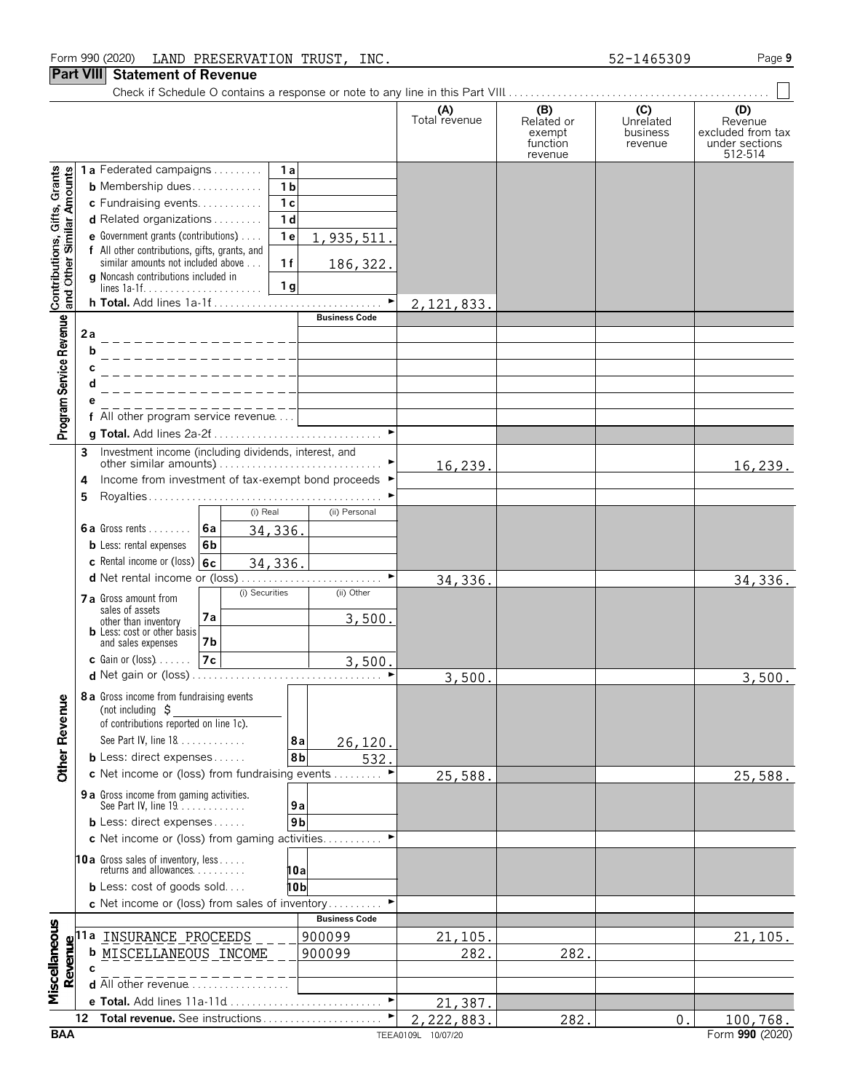### Form 990 (2020) Page **9** LAND PRESERVATION TRUST, INC. 52-1465309

### **Part VIII Statement of Revenue**

Check if Schedule O contains a response or note to any line in this Part VIII. . . . . . . . . . . . . . . . . . . . . . . . . . . . . . . . . . . . . . . . . . . . . . . . .

 $\mathbb{R}^n$ 

| function<br>under sections<br>revenue<br>512-514<br>revenue<br>Contributions, Gifts, Grants<br>and Other Similar Amounts<br>1a Federated campaigns<br>1a<br>1 <sub>b</sub><br><b>b</b> Membership dues<br>1 <sub>c</sub><br>c Fundraising events<br>1 <sub>d</sub><br><b>d</b> Related organizations $\ldots$<br>e Government grants (contributions)<br>1 <sub>e</sub><br>1,935,511.<br>f All other contributions, gifts, grants, and<br>similar amounts not included above<br>1f<br>186,322.<br>g Noncash contributions included in<br>1 <sub>g</sub><br>$\blacktriangleright$<br>2, 121, 833.<br><b>Business Code</b><br>Program Service Revenue<br>2a<br>b<br>f All other program service revenue<br>g Total. Add lines 2a-2f<br>Investment income (including dividends, interest, and<br>3<br>16,239.<br>Income from investment of tax-exempt bond proceeds ▶<br>4<br>5<br>(i) Real<br>(ii) Personal<br><b>6a</b> Gross rents $\vert$ <b>6a</b><br>34,336.<br><b>b</b> Less: rental expenses<br>6b<br>c Rental income or (loss) $6c$<br>34,336.<br>$\blacktriangleright$<br>34,336.<br>34,336.<br>(i) Securities<br>(ii) Other<br>7 a Gross amount from<br>sales of assets<br>7а<br>3,500.<br>other than inventory<br><b>b</b> Less: cost or other basis<br>7b<br>and sales expenses<br>$c$ Gain or (loss)<br>7c<br>3,500.<br>3,500.<br>3,500.<br>8 a Gross income from fundraising events<br>enue<br>(not including $\zeta$<br>of contributions reported on line 1c).<br><b>Other Rev</b><br>See Part IV, line 18<br>8a<br>26,120.<br><b>b</b> Less: direct expenses<br>8b<br>532.<br>c Net income or (loss) from fundraising events<br>25,588.<br>25,588.<br>9 a Gross income from gaming activities.<br>See Part IV, line 19.<br>9a<br>9 <sub>b</sub><br><b>b</b> Less: direct expenses<br>c Net income or (loss) from gaming activities<br><b>10a</b> Gross sales of inventory, less<br>returns and allowances<br>10a<br><b>b</b> Less: cost of goods sold<br>10b<br>c Net income or (loss) from sales of inventory<br><b>Business Code</b><br>Miscellaneous<br>11a INSURANCE PROCEEDS<br>900099<br>21,105.<br>21, 105.<br>Revenue<br>282.<br><b>b</b> MISCELLANEOUS INCOME<br>282.<br>900099<br>c<br><b>d</b> All other revenue $\ldots \ldots \ldots \ldots \ldots$<br>$\blacktriangleright$<br>e Total. Add lines 11a-11d<br>21,387.<br>12 Total revenue. See instructions<br>2,222,883.<br>282.<br>$\mathbf{0}$ .<br>100,768.<br><b>BAA</b><br>Form 990 (2020)<br>TEEA0109L 10/07/20 |  | (A)<br>Total revenue | (B)<br>Related or | (C)<br>Unrelated<br>business | (D)<br>Revenue<br>excluded from tax |
|--------------------------------------------------------------------------------------------------------------------------------------------------------------------------------------------------------------------------------------------------------------------------------------------------------------------------------------------------------------------------------------------------------------------------------------------------------------------------------------------------------------------------------------------------------------------------------------------------------------------------------------------------------------------------------------------------------------------------------------------------------------------------------------------------------------------------------------------------------------------------------------------------------------------------------------------------------------------------------------------------------------------------------------------------------------------------------------------------------------------------------------------------------------------------------------------------------------------------------------------------------------------------------------------------------------------------------------------------------------------------------------------------------------------------------------------------------------------------------------------------------------------------------------------------------------------------------------------------------------------------------------------------------------------------------------------------------------------------------------------------------------------------------------------------------------------------------------------------------------------------------------------------------------------------------------------------------------------------------------------------------------------------------------------------------------------------------------------------------------------------------------------------------------------------------------------------------------------------------------------------------------------------------------------------------------------------------------------------------------------------------------------------------------------------------------------------------------------------------------------------|--|----------------------|-------------------|------------------------------|-------------------------------------|
|                                                                                                                                                                                                                                                                                                                                                                                                                                                                                                                                                                                                                                                                                                                                                                                                                                                                                                                                                                                                                                                                                                                                                                                                                                                                                                                                                                                                                                                                                                                                                                                                                                                                                                                                                                                                                                                                                                                                                                                                                                                                                                                                                                                                                                                                                                                                                                                                                                                                                                  |  |                      | exempt            |                              |                                     |
|                                                                                                                                                                                                                                                                                                                                                                                                                                                                                                                                                                                                                                                                                                                                                                                                                                                                                                                                                                                                                                                                                                                                                                                                                                                                                                                                                                                                                                                                                                                                                                                                                                                                                                                                                                                                                                                                                                                                                                                                                                                                                                                                                                                                                                                                                                                                                                                                                                                                                                  |  |                      |                   |                              |                                     |
|                                                                                                                                                                                                                                                                                                                                                                                                                                                                                                                                                                                                                                                                                                                                                                                                                                                                                                                                                                                                                                                                                                                                                                                                                                                                                                                                                                                                                                                                                                                                                                                                                                                                                                                                                                                                                                                                                                                                                                                                                                                                                                                                                                                                                                                                                                                                                                                                                                                                                                  |  |                      |                   |                              |                                     |
|                                                                                                                                                                                                                                                                                                                                                                                                                                                                                                                                                                                                                                                                                                                                                                                                                                                                                                                                                                                                                                                                                                                                                                                                                                                                                                                                                                                                                                                                                                                                                                                                                                                                                                                                                                                                                                                                                                                                                                                                                                                                                                                                                                                                                                                                                                                                                                                                                                                                                                  |  |                      |                   |                              |                                     |
|                                                                                                                                                                                                                                                                                                                                                                                                                                                                                                                                                                                                                                                                                                                                                                                                                                                                                                                                                                                                                                                                                                                                                                                                                                                                                                                                                                                                                                                                                                                                                                                                                                                                                                                                                                                                                                                                                                                                                                                                                                                                                                                                                                                                                                                                                                                                                                                                                                                                                                  |  |                      |                   |                              |                                     |
|                                                                                                                                                                                                                                                                                                                                                                                                                                                                                                                                                                                                                                                                                                                                                                                                                                                                                                                                                                                                                                                                                                                                                                                                                                                                                                                                                                                                                                                                                                                                                                                                                                                                                                                                                                                                                                                                                                                                                                                                                                                                                                                                                                                                                                                                                                                                                                                                                                                                                                  |  |                      |                   |                              |                                     |
|                                                                                                                                                                                                                                                                                                                                                                                                                                                                                                                                                                                                                                                                                                                                                                                                                                                                                                                                                                                                                                                                                                                                                                                                                                                                                                                                                                                                                                                                                                                                                                                                                                                                                                                                                                                                                                                                                                                                                                                                                                                                                                                                                                                                                                                                                                                                                                                                                                                                                                  |  |                      |                   |                              |                                     |
|                                                                                                                                                                                                                                                                                                                                                                                                                                                                                                                                                                                                                                                                                                                                                                                                                                                                                                                                                                                                                                                                                                                                                                                                                                                                                                                                                                                                                                                                                                                                                                                                                                                                                                                                                                                                                                                                                                                                                                                                                                                                                                                                                                                                                                                                                                                                                                                                                                                                                                  |  |                      |                   |                              |                                     |
|                                                                                                                                                                                                                                                                                                                                                                                                                                                                                                                                                                                                                                                                                                                                                                                                                                                                                                                                                                                                                                                                                                                                                                                                                                                                                                                                                                                                                                                                                                                                                                                                                                                                                                                                                                                                                                                                                                                                                                                                                                                                                                                                                                                                                                                                                                                                                                                                                                                                                                  |  |                      |                   |                              |                                     |
|                                                                                                                                                                                                                                                                                                                                                                                                                                                                                                                                                                                                                                                                                                                                                                                                                                                                                                                                                                                                                                                                                                                                                                                                                                                                                                                                                                                                                                                                                                                                                                                                                                                                                                                                                                                                                                                                                                                                                                                                                                                                                                                                                                                                                                                                                                                                                                                                                                                                                                  |  |                      |                   |                              |                                     |
|                                                                                                                                                                                                                                                                                                                                                                                                                                                                                                                                                                                                                                                                                                                                                                                                                                                                                                                                                                                                                                                                                                                                                                                                                                                                                                                                                                                                                                                                                                                                                                                                                                                                                                                                                                                                                                                                                                                                                                                                                                                                                                                                                                                                                                                                                                                                                                                                                                                                                                  |  |                      |                   |                              |                                     |
|                                                                                                                                                                                                                                                                                                                                                                                                                                                                                                                                                                                                                                                                                                                                                                                                                                                                                                                                                                                                                                                                                                                                                                                                                                                                                                                                                                                                                                                                                                                                                                                                                                                                                                                                                                                                                                                                                                                                                                                                                                                                                                                                                                                                                                                                                                                                                                                                                                                                                                  |  |                      |                   |                              |                                     |
|                                                                                                                                                                                                                                                                                                                                                                                                                                                                                                                                                                                                                                                                                                                                                                                                                                                                                                                                                                                                                                                                                                                                                                                                                                                                                                                                                                                                                                                                                                                                                                                                                                                                                                                                                                                                                                                                                                                                                                                                                                                                                                                                                                                                                                                                                                                                                                                                                                                                                                  |  |                      |                   |                              |                                     |
|                                                                                                                                                                                                                                                                                                                                                                                                                                                                                                                                                                                                                                                                                                                                                                                                                                                                                                                                                                                                                                                                                                                                                                                                                                                                                                                                                                                                                                                                                                                                                                                                                                                                                                                                                                                                                                                                                                                                                                                                                                                                                                                                                                                                                                                                                                                                                                                                                                                                                                  |  |                      |                   |                              |                                     |
|                                                                                                                                                                                                                                                                                                                                                                                                                                                                                                                                                                                                                                                                                                                                                                                                                                                                                                                                                                                                                                                                                                                                                                                                                                                                                                                                                                                                                                                                                                                                                                                                                                                                                                                                                                                                                                                                                                                                                                                                                                                                                                                                                                                                                                                                                                                                                                                                                                                                                                  |  |                      |                   |                              |                                     |
|                                                                                                                                                                                                                                                                                                                                                                                                                                                                                                                                                                                                                                                                                                                                                                                                                                                                                                                                                                                                                                                                                                                                                                                                                                                                                                                                                                                                                                                                                                                                                                                                                                                                                                                                                                                                                                                                                                                                                                                                                                                                                                                                                                                                                                                                                                                                                                                                                                                                                                  |  |                      |                   |                              |                                     |
|                                                                                                                                                                                                                                                                                                                                                                                                                                                                                                                                                                                                                                                                                                                                                                                                                                                                                                                                                                                                                                                                                                                                                                                                                                                                                                                                                                                                                                                                                                                                                                                                                                                                                                                                                                                                                                                                                                                                                                                                                                                                                                                                                                                                                                                                                                                                                                                                                                                                                                  |  |                      |                   |                              |                                     |
|                                                                                                                                                                                                                                                                                                                                                                                                                                                                                                                                                                                                                                                                                                                                                                                                                                                                                                                                                                                                                                                                                                                                                                                                                                                                                                                                                                                                                                                                                                                                                                                                                                                                                                                                                                                                                                                                                                                                                                                                                                                                                                                                                                                                                                                                                                                                                                                                                                                                                                  |  |                      |                   |                              |                                     |
|                                                                                                                                                                                                                                                                                                                                                                                                                                                                                                                                                                                                                                                                                                                                                                                                                                                                                                                                                                                                                                                                                                                                                                                                                                                                                                                                                                                                                                                                                                                                                                                                                                                                                                                                                                                                                                                                                                                                                                                                                                                                                                                                                                                                                                                                                                                                                                                                                                                                                                  |  |                      |                   |                              | 16, 239.                            |
|                                                                                                                                                                                                                                                                                                                                                                                                                                                                                                                                                                                                                                                                                                                                                                                                                                                                                                                                                                                                                                                                                                                                                                                                                                                                                                                                                                                                                                                                                                                                                                                                                                                                                                                                                                                                                                                                                                                                                                                                                                                                                                                                                                                                                                                                                                                                                                                                                                                                                                  |  |                      |                   |                              |                                     |
|                                                                                                                                                                                                                                                                                                                                                                                                                                                                                                                                                                                                                                                                                                                                                                                                                                                                                                                                                                                                                                                                                                                                                                                                                                                                                                                                                                                                                                                                                                                                                                                                                                                                                                                                                                                                                                                                                                                                                                                                                                                                                                                                                                                                                                                                                                                                                                                                                                                                                                  |  |                      |                   |                              |                                     |
|                                                                                                                                                                                                                                                                                                                                                                                                                                                                                                                                                                                                                                                                                                                                                                                                                                                                                                                                                                                                                                                                                                                                                                                                                                                                                                                                                                                                                                                                                                                                                                                                                                                                                                                                                                                                                                                                                                                                                                                                                                                                                                                                                                                                                                                                                                                                                                                                                                                                                                  |  |                      |                   |                              |                                     |
|                                                                                                                                                                                                                                                                                                                                                                                                                                                                                                                                                                                                                                                                                                                                                                                                                                                                                                                                                                                                                                                                                                                                                                                                                                                                                                                                                                                                                                                                                                                                                                                                                                                                                                                                                                                                                                                                                                                                                                                                                                                                                                                                                                                                                                                                                                                                                                                                                                                                                                  |  |                      |                   |                              |                                     |
|                                                                                                                                                                                                                                                                                                                                                                                                                                                                                                                                                                                                                                                                                                                                                                                                                                                                                                                                                                                                                                                                                                                                                                                                                                                                                                                                                                                                                                                                                                                                                                                                                                                                                                                                                                                                                                                                                                                                                                                                                                                                                                                                                                                                                                                                                                                                                                                                                                                                                                  |  |                      |                   |                              |                                     |
|                                                                                                                                                                                                                                                                                                                                                                                                                                                                                                                                                                                                                                                                                                                                                                                                                                                                                                                                                                                                                                                                                                                                                                                                                                                                                                                                                                                                                                                                                                                                                                                                                                                                                                                                                                                                                                                                                                                                                                                                                                                                                                                                                                                                                                                                                                                                                                                                                                                                                                  |  |                      |                   |                              |                                     |
|                                                                                                                                                                                                                                                                                                                                                                                                                                                                                                                                                                                                                                                                                                                                                                                                                                                                                                                                                                                                                                                                                                                                                                                                                                                                                                                                                                                                                                                                                                                                                                                                                                                                                                                                                                                                                                                                                                                                                                                                                                                                                                                                                                                                                                                                                                                                                                                                                                                                                                  |  |                      |                   |                              |                                     |
|                                                                                                                                                                                                                                                                                                                                                                                                                                                                                                                                                                                                                                                                                                                                                                                                                                                                                                                                                                                                                                                                                                                                                                                                                                                                                                                                                                                                                                                                                                                                                                                                                                                                                                                                                                                                                                                                                                                                                                                                                                                                                                                                                                                                                                                                                                                                                                                                                                                                                                  |  |                      |                   |                              |                                     |
|                                                                                                                                                                                                                                                                                                                                                                                                                                                                                                                                                                                                                                                                                                                                                                                                                                                                                                                                                                                                                                                                                                                                                                                                                                                                                                                                                                                                                                                                                                                                                                                                                                                                                                                                                                                                                                                                                                                                                                                                                                                                                                                                                                                                                                                                                                                                                                                                                                                                                                  |  |                      |                   |                              |                                     |
|                                                                                                                                                                                                                                                                                                                                                                                                                                                                                                                                                                                                                                                                                                                                                                                                                                                                                                                                                                                                                                                                                                                                                                                                                                                                                                                                                                                                                                                                                                                                                                                                                                                                                                                                                                                                                                                                                                                                                                                                                                                                                                                                                                                                                                                                                                                                                                                                                                                                                                  |  |                      |                   |                              |                                     |
|                                                                                                                                                                                                                                                                                                                                                                                                                                                                                                                                                                                                                                                                                                                                                                                                                                                                                                                                                                                                                                                                                                                                                                                                                                                                                                                                                                                                                                                                                                                                                                                                                                                                                                                                                                                                                                                                                                                                                                                                                                                                                                                                                                                                                                                                                                                                                                                                                                                                                                  |  |                      |                   |                              |                                     |
|                                                                                                                                                                                                                                                                                                                                                                                                                                                                                                                                                                                                                                                                                                                                                                                                                                                                                                                                                                                                                                                                                                                                                                                                                                                                                                                                                                                                                                                                                                                                                                                                                                                                                                                                                                                                                                                                                                                                                                                                                                                                                                                                                                                                                                                                                                                                                                                                                                                                                                  |  |                      |                   |                              |                                     |
|                                                                                                                                                                                                                                                                                                                                                                                                                                                                                                                                                                                                                                                                                                                                                                                                                                                                                                                                                                                                                                                                                                                                                                                                                                                                                                                                                                                                                                                                                                                                                                                                                                                                                                                                                                                                                                                                                                                                                                                                                                                                                                                                                                                                                                                                                                                                                                                                                                                                                                  |  |                      |                   |                              |                                     |
|                                                                                                                                                                                                                                                                                                                                                                                                                                                                                                                                                                                                                                                                                                                                                                                                                                                                                                                                                                                                                                                                                                                                                                                                                                                                                                                                                                                                                                                                                                                                                                                                                                                                                                                                                                                                                                                                                                                                                                                                                                                                                                                                                                                                                                                                                                                                                                                                                                                                                                  |  |                      |                   |                              |                                     |
|                                                                                                                                                                                                                                                                                                                                                                                                                                                                                                                                                                                                                                                                                                                                                                                                                                                                                                                                                                                                                                                                                                                                                                                                                                                                                                                                                                                                                                                                                                                                                                                                                                                                                                                                                                                                                                                                                                                                                                                                                                                                                                                                                                                                                                                                                                                                                                                                                                                                                                  |  |                      |                   |                              |                                     |
|                                                                                                                                                                                                                                                                                                                                                                                                                                                                                                                                                                                                                                                                                                                                                                                                                                                                                                                                                                                                                                                                                                                                                                                                                                                                                                                                                                                                                                                                                                                                                                                                                                                                                                                                                                                                                                                                                                                                                                                                                                                                                                                                                                                                                                                                                                                                                                                                                                                                                                  |  |                      |                   |                              |                                     |
|                                                                                                                                                                                                                                                                                                                                                                                                                                                                                                                                                                                                                                                                                                                                                                                                                                                                                                                                                                                                                                                                                                                                                                                                                                                                                                                                                                                                                                                                                                                                                                                                                                                                                                                                                                                                                                                                                                                                                                                                                                                                                                                                                                                                                                                                                                                                                                                                                                                                                                  |  |                      |                   |                              |                                     |
|                                                                                                                                                                                                                                                                                                                                                                                                                                                                                                                                                                                                                                                                                                                                                                                                                                                                                                                                                                                                                                                                                                                                                                                                                                                                                                                                                                                                                                                                                                                                                                                                                                                                                                                                                                                                                                                                                                                                                                                                                                                                                                                                                                                                                                                                                                                                                                                                                                                                                                  |  |                      |                   |                              |                                     |
|                                                                                                                                                                                                                                                                                                                                                                                                                                                                                                                                                                                                                                                                                                                                                                                                                                                                                                                                                                                                                                                                                                                                                                                                                                                                                                                                                                                                                                                                                                                                                                                                                                                                                                                                                                                                                                                                                                                                                                                                                                                                                                                                                                                                                                                                                                                                                                                                                                                                                                  |  |                      |                   |                              |                                     |
|                                                                                                                                                                                                                                                                                                                                                                                                                                                                                                                                                                                                                                                                                                                                                                                                                                                                                                                                                                                                                                                                                                                                                                                                                                                                                                                                                                                                                                                                                                                                                                                                                                                                                                                                                                                                                                                                                                                                                                                                                                                                                                                                                                                                                                                                                                                                                                                                                                                                                                  |  |                      |                   |                              |                                     |
|                                                                                                                                                                                                                                                                                                                                                                                                                                                                                                                                                                                                                                                                                                                                                                                                                                                                                                                                                                                                                                                                                                                                                                                                                                                                                                                                                                                                                                                                                                                                                                                                                                                                                                                                                                                                                                                                                                                                                                                                                                                                                                                                                                                                                                                                                                                                                                                                                                                                                                  |  |                      |                   |                              |                                     |
|                                                                                                                                                                                                                                                                                                                                                                                                                                                                                                                                                                                                                                                                                                                                                                                                                                                                                                                                                                                                                                                                                                                                                                                                                                                                                                                                                                                                                                                                                                                                                                                                                                                                                                                                                                                                                                                                                                                                                                                                                                                                                                                                                                                                                                                                                                                                                                                                                                                                                                  |  |                      |                   |                              |                                     |
|                                                                                                                                                                                                                                                                                                                                                                                                                                                                                                                                                                                                                                                                                                                                                                                                                                                                                                                                                                                                                                                                                                                                                                                                                                                                                                                                                                                                                                                                                                                                                                                                                                                                                                                                                                                                                                                                                                                                                                                                                                                                                                                                                                                                                                                                                                                                                                                                                                                                                                  |  |                      |                   |                              |                                     |
|                                                                                                                                                                                                                                                                                                                                                                                                                                                                                                                                                                                                                                                                                                                                                                                                                                                                                                                                                                                                                                                                                                                                                                                                                                                                                                                                                                                                                                                                                                                                                                                                                                                                                                                                                                                                                                                                                                                                                                                                                                                                                                                                                                                                                                                                                                                                                                                                                                                                                                  |  |                      |                   |                              |                                     |
|                                                                                                                                                                                                                                                                                                                                                                                                                                                                                                                                                                                                                                                                                                                                                                                                                                                                                                                                                                                                                                                                                                                                                                                                                                                                                                                                                                                                                                                                                                                                                                                                                                                                                                                                                                                                                                                                                                                                                                                                                                                                                                                                                                                                                                                                                                                                                                                                                                                                                                  |  |                      |                   |                              |                                     |
|                                                                                                                                                                                                                                                                                                                                                                                                                                                                                                                                                                                                                                                                                                                                                                                                                                                                                                                                                                                                                                                                                                                                                                                                                                                                                                                                                                                                                                                                                                                                                                                                                                                                                                                                                                                                                                                                                                                                                                                                                                                                                                                                                                                                                                                                                                                                                                                                                                                                                                  |  |                      |                   |                              |                                     |
|                                                                                                                                                                                                                                                                                                                                                                                                                                                                                                                                                                                                                                                                                                                                                                                                                                                                                                                                                                                                                                                                                                                                                                                                                                                                                                                                                                                                                                                                                                                                                                                                                                                                                                                                                                                                                                                                                                                                                                                                                                                                                                                                                                                                                                                                                                                                                                                                                                                                                                  |  |                      |                   |                              |                                     |
|                                                                                                                                                                                                                                                                                                                                                                                                                                                                                                                                                                                                                                                                                                                                                                                                                                                                                                                                                                                                                                                                                                                                                                                                                                                                                                                                                                                                                                                                                                                                                                                                                                                                                                                                                                                                                                                                                                                                                                                                                                                                                                                                                                                                                                                                                                                                                                                                                                                                                                  |  |                      |                   |                              |                                     |
|                                                                                                                                                                                                                                                                                                                                                                                                                                                                                                                                                                                                                                                                                                                                                                                                                                                                                                                                                                                                                                                                                                                                                                                                                                                                                                                                                                                                                                                                                                                                                                                                                                                                                                                                                                                                                                                                                                                                                                                                                                                                                                                                                                                                                                                                                                                                                                                                                                                                                                  |  |                      |                   |                              |                                     |
|                                                                                                                                                                                                                                                                                                                                                                                                                                                                                                                                                                                                                                                                                                                                                                                                                                                                                                                                                                                                                                                                                                                                                                                                                                                                                                                                                                                                                                                                                                                                                                                                                                                                                                                                                                                                                                                                                                                                                                                                                                                                                                                                                                                                                                                                                                                                                                                                                                                                                                  |  |                      |                   |                              |                                     |
|                                                                                                                                                                                                                                                                                                                                                                                                                                                                                                                                                                                                                                                                                                                                                                                                                                                                                                                                                                                                                                                                                                                                                                                                                                                                                                                                                                                                                                                                                                                                                                                                                                                                                                                                                                                                                                                                                                                                                                                                                                                                                                                                                                                                                                                                                                                                                                                                                                                                                                  |  |                      |                   |                              |                                     |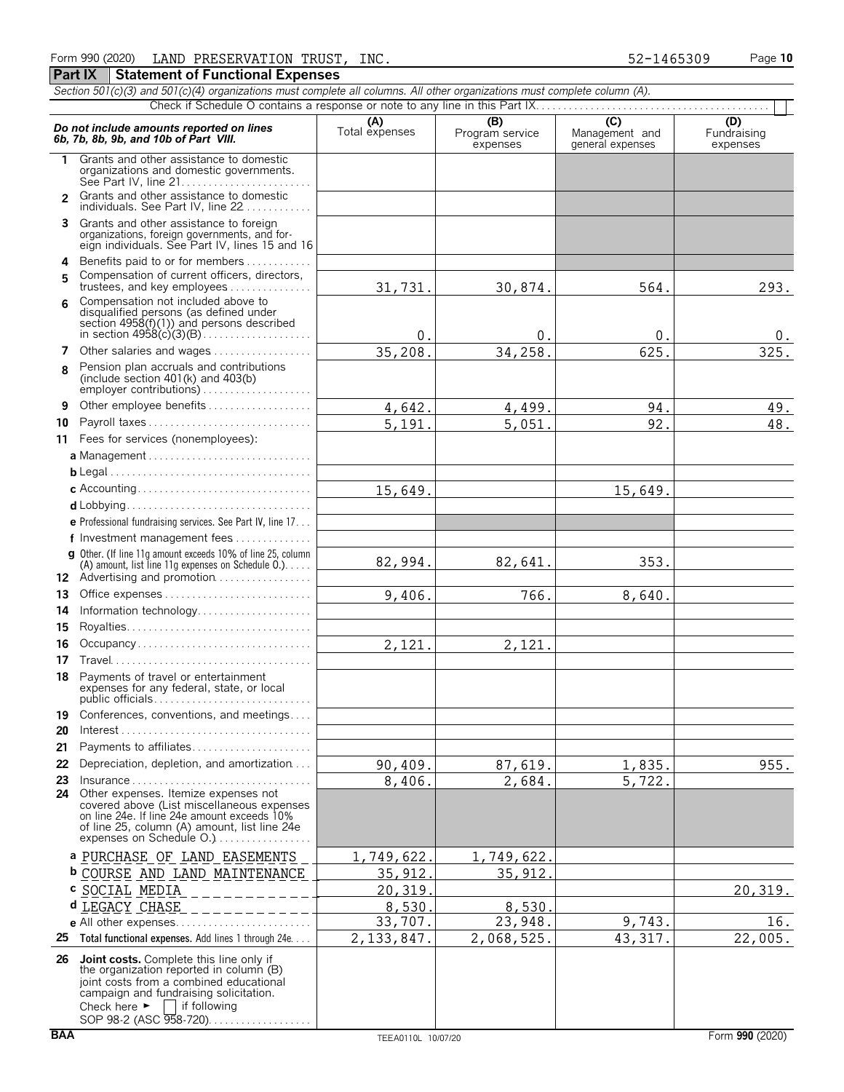| Section 501(c)(3) and 501(c)(4) organizations must complete all columns. All other organizations must complete column (A). |                                                                                                                                                                                                               |                       |                                    |                                                      |                                |  |  |  |
|----------------------------------------------------------------------------------------------------------------------------|---------------------------------------------------------------------------------------------------------------------------------------------------------------------------------------------------------------|-----------------------|------------------------------------|------------------------------------------------------|--------------------------------|--|--|--|
|                                                                                                                            |                                                                                                                                                                                                               |                       |                                    |                                                      |                                |  |  |  |
|                                                                                                                            | Do not include amounts reported on lines<br>6b, 7b, 8b, 9b, and 10b of Part VIII.                                                                                                                             | (A)<br>Total expenses | (B)<br>Program service<br>expenses | $\overline{C}$<br>Management and<br>general expenses | (D)<br>Fundraising<br>expenses |  |  |  |
| 1                                                                                                                          | Grants and other assistance to domestic<br>organizations and domestic governments.                                                                                                                            |                       |                                    |                                                      |                                |  |  |  |
| $\mathcal{P}$                                                                                                              | Grants and other assistance to domestic<br>individuals. See Part IV, line 22                                                                                                                                  |                       |                                    |                                                      |                                |  |  |  |
| 3                                                                                                                          | Grants and other assistance to foreign<br>organizations, foreign governments, and for-<br>eign individuals. See Part IV, lines 15 and 16                                                                      |                       |                                    |                                                      |                                |  |  |  |
| 4                                                                                                                          | Benefits paid to or for members                                                                                                                                                                               |                       |                                    |                                                      |                                |  |  |  |
| 5                                                                                                                          | Compensation of current officers, directors,<br>trustees, and key employees                                                                                                                                   | 31,731.               | 30,874.                            | 564.                                                 | 293.                           |  |  |  |
| 6                                                                                                                          | Compensation not included above to<br>disqualified persons (as defined under<br>section 4958(f)(1)) and persons described                                                                                     | 0.                    | 0.                                 | 0.                                                   | 0.                             |  |  |  |
| 7                                                                                                                          | Other salaries and wages                                                                                                                                                                                      | 35,208.               | 34,258                             | 625                                                  | 325.                           |  |  |  |
| 8                                                                                                                          | Pension plan accruals and contributions<br>(include section $401(k)$ and $403(b)$ )<br>employer contributions)                                                                                                |                       |                                    |                                                      |                                |  |  |  |
| 9                                                                                                                          | Other employee benefits                                                                                                                                                                                       | 4,642.                | 4,499.                             | 94                                                   | 49.                            |  |  |  |
| 10                                                                                                                         | Payroll taxes                                                                                                                                                                                                 | 5,191                 | 5,051                              | 92.                                                  | 48.                            |  |  |  |
| 11                                                                                                                         | Fees for services (nonemployees):                                                                                                                                                                             |                       |                                    |                                                      |                                |  |  |  |
|                                                                                                                            |                                                                                                                                                                                                               |                       |                                    |                                                      |                                |  |  |  |
|                                                                                                                            |                                                                                                                                                                                                               |                       |                                    |                                                      |                                |  |  |  |
|                                                                                                                            |                                                                                                                                                                                                               | 15,649.               |                                    | 15,649.                                              |                                |  |  |  |
|                                                                                                                            |                                                                                                                                                                                                               |                       |                                    |                                                      |                                |  |  |  |
|                                                                                                                            | e Professional fundraising services. See Part IV, line 17                                                                                                                                                     |                       |                                    |                                                      |                                |  |  |  |
|                                                                                                                            | f Investment management fees                                                                                                                                                                                  |                       |                                    |                                                      |                                |  |  |  |
|                                                                                                                            | g Other. (If line 11q amount exceeds 10% of line 25, column<br>(A) amount, list line 11g expenses on Schedule $0.$ )<br>12 Advertising and promotion                                                          | 82,994.               | 82,641.                            | 353.                                                 |                                |  |  |  |
| 13                                                                                                                         |                                                                                                                                                                                                               | 9,406.                | 766.                               | 8,640.                                               |                                |  |  |  |
| 14                                                                                                                         | Information technology                                                                                                                                                                                        |                       |                                    |                                                      |                                |  |  |  |
| 15                                                                                                                         |                                                                                                                                                                                                               |                       |                                    |                                                      |                                |  |  |  |
| 16                                                                                                                         | Occupancy                                                                                                                                                                                                     | 2,121.                | 2,121.                             |                                                      |                                |  |  |  |
| 17                                                                                                                         |                                                                                                                                                                                                               |                       |                                    |                                                      |                                |  |  |  |
| 18                                                                                                                         | Payments of travel or entertainment<br>expenses for any federal, state, or local<br>public officials. $\ldots$ . $\ldots$ . $\ldots$ . $\ldots$ . $\ldots$ .                                                  |                       |                                    |                                                      |                                |  |  |  |
| 19                                                                                                                         | Conferences, conventions, and meetings                                                                                                                                                                        |                       |                                    |                                                      |                                |  |  |  |
| 20                                                                                                                         | $Interest \dots \dots \dots \dots \dots \dots \dots \dots \dots \dots \dots \dots \dots \dots$                                                                                                                |                       |                                    |                                                      |                                |  |  |  |
| 21                                                                                                                         | Payments to affiliates                                                                                                                                                                                        |                       |                                    |                                                      |                                |  |  |  |
| 22                                                                                                                         | Depreciation, depletion, and amortization                                                                                                                                                                     | 90,409.               | 87,619.                            | 1,835.                                               | 955.                           |  |  |  |
| 23                                                                                                                         | Insurance                                                                                                                                                                                                     | 8,406.                | 2,684.                             | 5,722.                                               |                                |  |  |  |
| 24                                                                                                                         | Other expenses. Itemize expenses not<br>covered above (List miscellaneous expenses<br>on line 24e. If line 24e amount exceeds 10%<br>of line 25, column (A) amount, list line 24e<br>expenses on Schedule O.) |                       |                                    |                                                      |                                |  |  |  |
|                                                                                                                            | a PURCHASE OF LAND EASEMENTS                                                                                                                                                                                  | 1,749,622             | 1,749,622                          |                                                      |                                |  |  |  |
|                                                                                                                            | <b>b COURSE AND LAND MAINTENANCE</b>                                                                                                                                                                          | 35,912                | 35,912                             |                                                      |                                |  |  |  |
|                                                                                                                            | c SOCIAL MEDIA                                                                                                                                                                                                | 20,319                |                                    |                                                      | 20, 319.                       |  |  |  |
|                                                                                                                            | d LEGACY CHASE                                                                                                                                                                                                | 8,530                 | 8,530                              |                                                      |                                |  |  |  |
|                                                                                                                            |                                                                                                                                                                                                               | 33,707.               | 23,948.                            | 9,743.                                               | 16.                            |  |  |  |
| 25                                                                                                                         | Total functional expenses. Add lines 1 through 24e                                                                                                                                                            | 2, 133, 847.          | 2,068,525.                         | 43, 317.                                             | 22,005.                        |  |  |  |
|                                                                                                                            | 26 Joint costs. Complete this line only if                                                                                                                                                                    |                       |                                    |                                                      |                                |  |  |  |
|                                                                                                                            | the organization reported in column (B)<br>joint costs from a combined educational<br>campaign and fundraising solicitation.<br>Check here $\blacktriangleright$   if following                               |                       |                                    |                                                      |                                |  |  |  |

SOP 98-2 (ASC 958-720). . . . . . . . . . . . . . . . .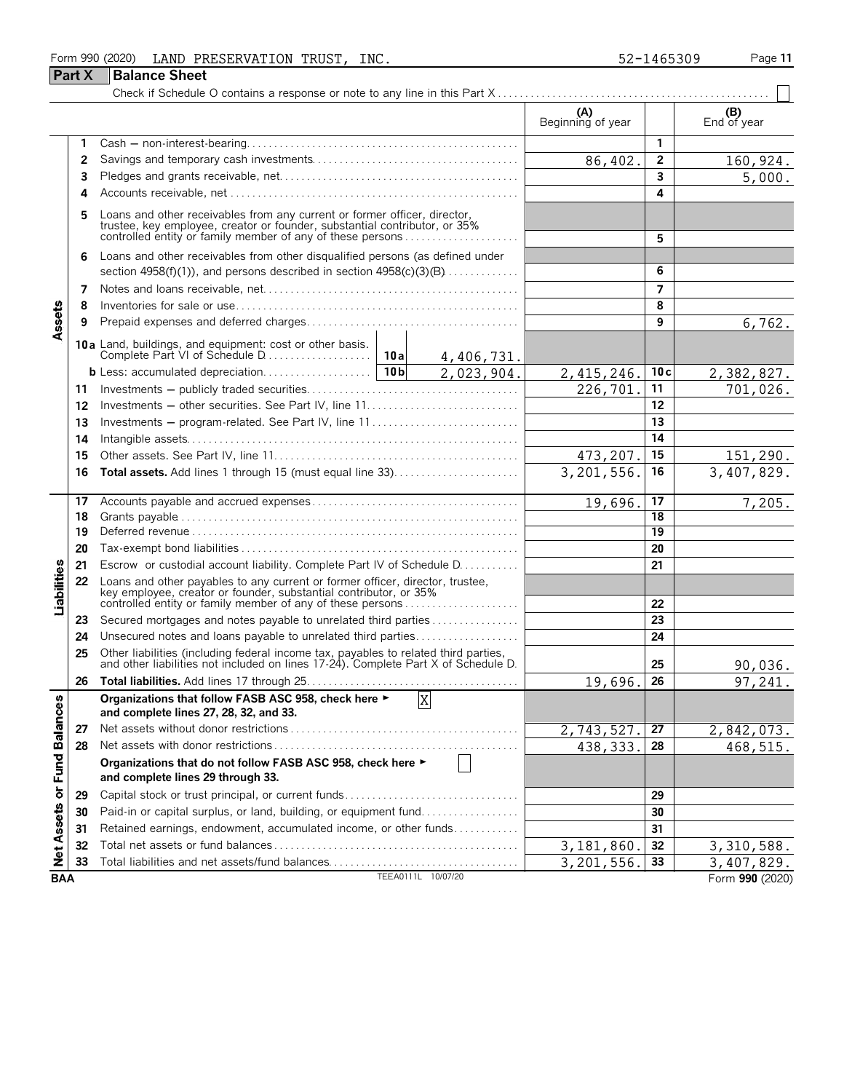### Form 990 (2020) LAND PRESERVATION TRUST, INC. 52-1465309 Page 11 **Part X Balance Sheet**

|                            |                |                                                                                                                                                                                                                  |                    |                | (A)<br>Beginning of year |                 | (B)<br>End of year |
|----------------------------|----------------|------------------------------------------------------------------------------------------------------------------------------------------------------------------------------------------------------------------|--------------------|----------------|--------------------------|-----------------|--------------------|
|                            | 1              |                                                                                                                                                                                                                  |                    |                |                          | 1               |                    |
|                            | $\overline{2}$ |                                                                                                                                                                                                                  |                    |                | 86,402.                  | $\mathbf{2}$    | 160,924.           |
|                            | 3              |                                                                                                                                                                                                                  |                    |                | 3                        | 5,000.          |                    |
|                            | Δ              |                                                                                                                                                                                                                  |                    |                |                          | 4               |                    |
|                            | 5              | Loans and other receivables from any current or former officer, director, trustee, key employee, creator or founder, substantial contributor, or 35% controlled entity or family member of any of these persons  |                    |                |                          | 5               |                    |
|                            |                |                                                                                                                                                                                                                  |                    |                |                          |                 |                    |
|                            | 6              | Loans and other receivables from other disqualified persons (as defined under                                                                                                                                    |                    |                |                          | 6               |                    |
|                            |                | section 4958(f)(1)), and persons described in section $4958(c)(3)(B)$                                                                                                                                            |                    |                |                          |                 |                    |
|                            | 7              |                                                                                                                                                                                                                  |                    |                |                          | 7               |                    |
| Assets                     | 8              |                                                                                                                                                                                                                  |                    |                |                          | 8               |                    |
|                            | 9              |                                                                                                                                                                                                                  |                    |                |                          | 9               | 6,762.             |
|                            |                | <b>10a</b> Land, buildings, and equipment: cost or other basis.<br>Complete Part VI of Schedule D                                                                                                                | 10a                | 4,406,731.     |                          |                 |                    |
|                            |                | b Less: accumulated depreciation                                                                                                                                                                                 | 10 <sub>b</sub>    | 2,023,904.     | 2,415,246.               | 10c             | 2,382,827.         |
|                            | 11             |                                                                                                                                                                                                                  |                    |                | 226,701                  | 11              | 701,026.           |
|                            | 12             | Investments - other securities. See Part IV, line 11                                                                                                                                                             |                    |                |                          | 12              |                    |
|                            | 13             | Investments - program-related. See Part IV, line 11                                                                                                                                                              |                    |                |                          | 13              |                    |
|                            | 14             |                                                                                                                                                                                                                  |                    |                |                          | 14              |                    |
|                            | 15             |                                                                                                                                                                                                                  |                    | 473, 207.      | 15                       | 151,290.        |                    |
|                            | 16             | <b>Total assets.</b> Add lines 1 through 15 (must equal line 33)                                                                                                                                                 | 3,201,556.         | 16             | 3,407,829.               |                 |                    |
|                            | 17             |                                                                                                                                                                                                                  | 19,696.            | 17             | 7,205.                   |                 |                    |
|                            | 18             |                                                                                                                                                                                                                  |                    |                |                          | 18              |                    |
|                            | 19             |                                                                                                                                                                                                                  |                    |                |                          | $\overline{19}$ |                    |
|                            | 20             |                                                                                                                                                                                                                  |                    |                |                          | 20              |                    |
|                            | 21             | Escrow or custodial account liability. Complete Part IV of Schedule D.                                                                                                                                           |                    |                |                          | 21              |                    |
| Liabilities                | 22             | Loans and other payables to any current or former officer, director, trustee,<br>key employee, creator or founder, substantial contributor, or 35%<br>controlled entity or family member of any of these persons |                    |                |                          | 22              |                    |
|                            |                |                                                                                                                                                                                                                  |                    |                |                          |                 |                    |
|                            | 23             | Secured mortgages and notes payable to unrelated third parties                                                                                                                                                   |                    |                |                          | 23              |                    |
|                            | 24             | Unsecured notes and loans payable to unrelated third parties                                                                                                                                                     |                    |                |                          | 24              |                    |
|                            | 25             | Other liabilities (including federal income tax, payables to related third parties, and other liabilities not included on lines 17-24). Complete Part X of Schedule D.                                           |                    |                |                          | 25              | 90,036.            |
|                            | 26             |                                                                                                                                                                                                                  |                    |                | 19,696.                  | 26              | 97,241.            |
| ω                          |                | Organizations that follow FASB ASC 958, check here ►<br>and complete lines 27, 28, 32, and 33.                                                                                                                   |                    | $\mathbf{x}$   |                          |                 |                    |
|                            | 27             | Net assets without donor restrictions.                                                                                                                                                                           |                    |                | 2,743,527.               | 27              | 2,842,073.         |
|                            | 28             |                                                                                                                                                                                                                  |                    |                | 438, 333.                | 28              | 468,515.           |
| Net Assets or Fund Balance |                | Organizations that do not follow FASB ASC 958, check here ►<br>and complete lines 29 through 33.                                                                                                                 |                    | $\blacksquare$ |                          |                 |                    |
|                            | 29             | Capital stock or trust principal, or current funds                                                                                                                                                               |                    |                |                          | 29              |                    |
|                            | 30             | Paid-in or capital surplus, or land, building, or equipment fund                                                                                                                                                 |                    |                |                          | 30              |                    |
|                            | 31             | Retained earnings, endowment, accumulated income, or other funds                                                                                                                                                 |                    |                |                          | 31              |                    |
|                            | 32             |                                                                                                                                                                                                                  |                    |                | 3,181,860                | 32              | 3,310,588.         |
|                            | 33             | Total liabilities and net assets/fund balances                                                                                                                                                                   |                    |                | 3,201,556.               | 33              | 3,407,829.         |
| <b>BAA</b>                 |                |                                                                                                                                                                                                                  | TEEA0111L 10/07/20 |                |                          |                 | Form 990 (2020)    |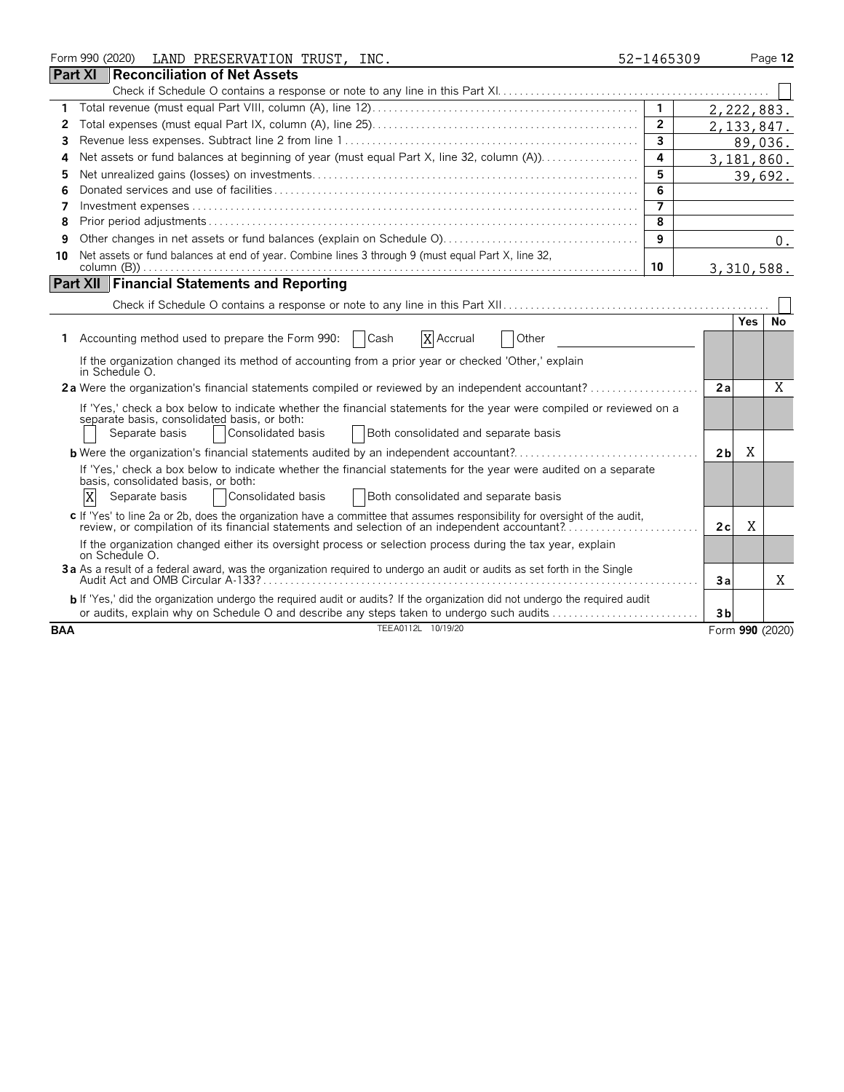|            |                | Form 990 (2020) | LAND PRESERVATION TRUST, INC.                                                                                                                                                                                                                        | 52-1465309     |                |            | Page 12         |
|------------|----------------|-----------------|------------------------------------------------------------------------------------------------------------------------------------------------------------------------------------------------------------------------------------------------------|----------------|----------------|------------|-----------------|
|            | <b>Part XI</b> |                 | Reconciliation of Net Assets                                                                                                                                                                                                                         |                |                |            |                 |
|            |                |                 |                                                                                                                                                                                                                                                      |                |                |            |                 |
| 1          |                |                 |                                                                                                                                                                                                                                                      | $\mathbf{1}$   |                |            | 2,222,883.      |
| 2          |                |                 |                                                                                                                                                                                                                                                      | $\mathbf{2}$   |                |            | 2, 133, 847.    |
| 3          |                |                 |                                                                                                                                                                                                                                                      | 3              |                |            | 89,036.         |
| 4          |                |                 |                                                                                                                                                                                                                                                      | 4              |                |            | 3,181,860.      |
| 5          |                |                 |                                                                                                                                                                                                                                                      | 5              |                |            | 39,692.         |
| 6          |                |                 |                                                                                                                                                                                                                                                      | 6              |                |            |                 |
| 7          |                |                 |                                                                                                                                                                                                                                                      | $\overline{7}$ |                |            |                 |
| 8          |                |                 |                                                                                                                                                                                                                                                      | 8              |                |            |                 |
| 9          |                |                 |                                                                                                                                                                                                                                                      | 9              |                |            | 0.              |
| 10         |                |                 | Net assets or fund balances at end of year. Combine lines 3 through 9 (must equal Part X, line 32,                                                                                                                                                   | 10             |                |            | 3,310,588.      |
|            |                |                 | <b>Part XII Financial Statements and Reporting</b>                                                                                                                                                                                                   |                |                |            |                 |
|            |                |                 |                                                                                                                                                                                                                                                      |                |                |            |                 |
|            |                |                 |                                                                                                                                                                                                                                                      |                |                | <b>Yes</b> | <b>No</b>       |
|            |                |                 | Accounting method used to prepare the Form 990:<br>X Accrual<br>Cash<br>Other                                                                                                                                                                        |                |                |            |                 |
|            |                | in Schedule O.  | If the organization changed its method of accounting from a prior year or checked 'Other,' explain                                                                                                                                                   |                |                |            |                 |
|            |                |                 | 2a Were the organization's financial statements compiled or reviewed by an independent accountant?                                                                                                                                                   |                | 2a             |            | X               |
|            |                |                 | If 'Yes,' check a box below to indicate whether the financial statements for the year were compiled or reviewed on a<br>separate basis, consolidated basis, or both:<br>Consolidated basis<br>Both consolidated and separate basis<br>Separate basis |                |                |            |                 |
|            |                |                 |                                                                                                                                                                                                                                                      |                | 2 <sub>b</sub> | Χ          |                 |
|            | X              |                 | If 'Yes,' check a box below to indicate whether the financial statements for the year were audited on a separate<br>basis, consolidated basis, or both:<br>Consolidated basis<br>Both consolidated and separate basis<br>Separate basis              |                |                |            |                 |
|            |                |                 | c If 'Yes' to line 2a or 2b, does the organization have a committee that assumes responsibility for oversight of the audit,<br>review, or compilation of its financial statements and selection of an independent accountant?                        |                | 2c             | X          |                 |
|            |                | on Schedule O.  | If the organization changed either its oversight process or selection process during the tax year, explain                                                                                                                                           |                |                |            |                 |
|            |                |                 | 3a As a result of a federal award, was the organization required to undergo an audit or audits as set forth in the Single                                                                                                                            |                | Зa             |            | X               |
|            |                |                 | b If 'Yes,' did the organization undergo the required audit or audits? If the organization did not undergo the required audit<br>or audits, explain why on Schedule O and describe any steps taken to undergo such audits                            |                | 3 <sub>b</sub> |            |                 |
| <b>BAA</b> |                |                 | TEEA0112L 10/19/20                                                                                                                                                                                                                                   |                |                |            | Form 990 (2020) |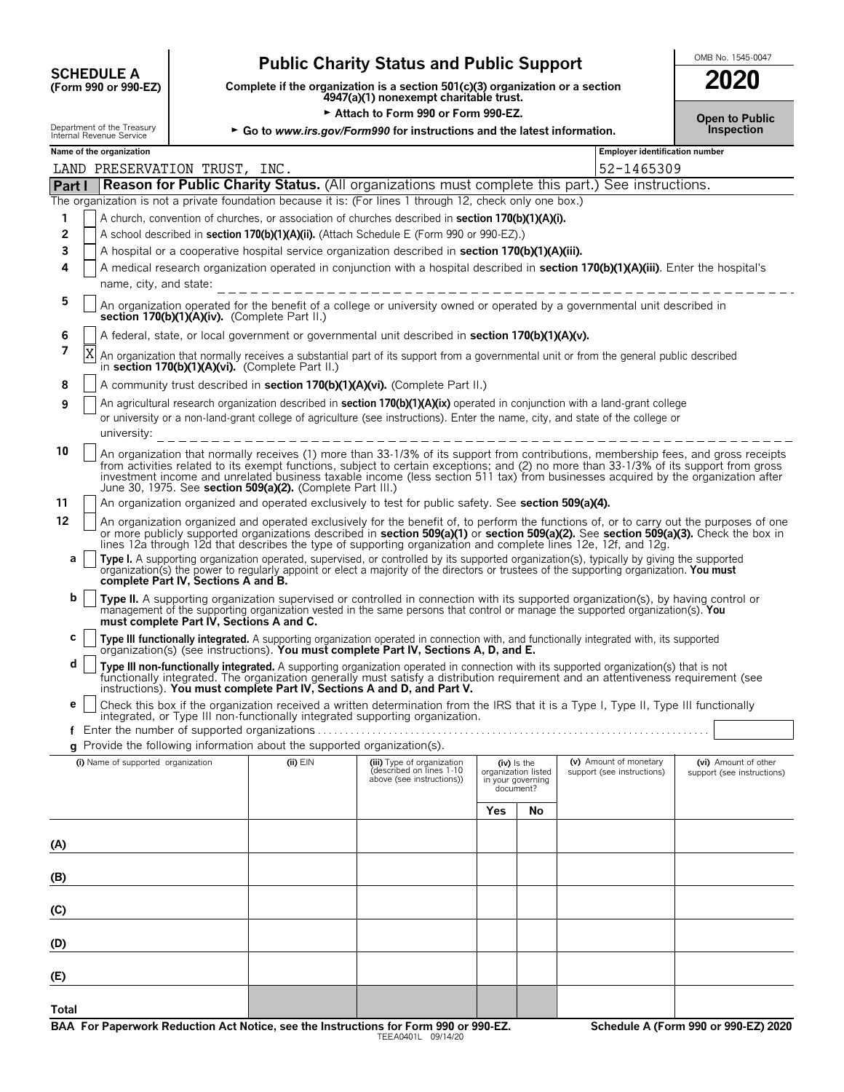| <b>SCHEDULE A</b>    |  |  |
|----------------------|--|--|
| (Form 990 or 990-FZ) |  |  |

## **Public Charity Status and Public Support SUPPORE A**

**COMPOSCHEDULE A**<br>(Form 990 or 990-EZ) Complete if the organization is a section 501(c)(3) organization or a section<br>4947(a)(1) nonexempt charitable trust.

Attach to Form 990 or Form 990-EZ.

| 2020                  |  |
|-----------------------|--|
| <b>Open to Public</b> |  |

| Department of the Treasury<br>Internal Revenue Service |                                                                                                                                      |                                    |                                          | ► Go to www.irs.gov/Form990 for instructions and the latest information. |                                                                                                                                                                                                                                                                                                                                                                                                                    |     |                                          |                            | Inspection                                                                                                                              |  |  |
|--------------------------------------------------------|--------------------------------------------------------------------------------------------------------------------------------------|------------------------------------|------------------------------------------|--------------------------------------------------------------------------|--------------------------------------------------------------------------------------------------------------------------------------------------------------------------------------------------------------------------------------------------------------------------------------------------------------------------------------------------------------------------------------------------------------------|-----|------------------------------------------|----------------------------|-----------------------------------------------------------------------------------------------------------------------------------------|--|--|
| Name of the organization                               |                                                                                                                                      |                                    |                                          |                                                                          |                                                                                                                                                                                                                                                                                                                                                                                                                    |     |                                          |                            | Employer identification number                                                                                                          |  |  |
|                                                        |                                                                                                                                      |                                    | LAND PRESERVATION TRUST, INC.            |                                                                          |                                                                                                                                                                                                                                                                                                                                                                                                                    |     |                                          | 52-1465309                 |                                                                                                                                         |  |  |
| Part I                                                 |                                                                                                                                      |                                    |                                          |                                                                          | <b>Reason for Public Charity Status.</b> (All organizations must complete this part.) See instructions.                                                                                                                                                                                                                                                                                                            |     |                                          |                            |                                                                                                                                         |  |  |
|                                                        |                                                                                                                                      |                                    |                                          |                                                                          | The organization is not a private foundation because it is: (For lines 1 through 12, check only one box.)                                                                                                                                                                                                                                                                                                          |     |                                          |                            |                                                                                                                                         |  |  |
| 1                                                      |                                                                                                                                      |                                    |                                          |                                                                          | A church, convention of churches, or association of churches described in section 170(b)(1)(A)(i).                                                                                                                                                                                                                                                                                                                 |     |                                          |                            |                                                                                                                                         |  |  |
| 2                                                      |                                                                                                                                      |                                    |                                          |                                                                          | A school described in section 170(b)(1)(A)(ii). (Attach Schedule E (Form 990 or 990-EZ).)                                                                                                                                                                                                                                                                                                                          |     |                                          |                            |                                                                                                                                         |  |  |
| 3                                                      |                                                                                                                                      |                                    |                                          |                                                                          | A hospital or a cooperative hospital service organization described in section 170(b)(1)(A)(iii).                                                                                                                                                                                                                                                                                                                  |     |                                          |                            |                                                                                                                                         |  |  |
| 4                                                      | A medical research organization operated in conjunction with a hospital described in section 170(b)(1)(A)(iii). Enter the hospital's |                                    |                                          |                                                                          |                                                                                                                                                                                                                                                                                                                                                                                                                    |     |                                          |                            |                                                                                                                                         |  |  |
|                                                        |                                                                                                                                      | name, city, and state:             |                                          |                                                                          | _____________________________                                                                                                                                                                                                                                                                                                                                                                                      |     |                                          |                            |                                                                                                                                         |  |  |
| 5                                                      |                                                                                                                                      |                                    |                                          | section 170(b)(1)(A)(iv). (Complete Part II.)                            | An organization operated for the benefit of a college or university owned or operated by a governmental unit described in                                                                                                                                                                                                                                                                                          |     |                                          |                            |                                                                                                                                         |  |  |
| 6                                                      |                                                                                                                                      |                                    |                                          |                                                                          | A federal, state, or local government or governmental unit described in section 170(b)(1)(A)(v).                                                                                                                                                                                                                                                                                                                   |     |                                          |                            |                                                                                                                                         |  |  |
| 7                                                      | Χ                                                                                                                                    |                                    |                                          | in section 170(b)(1)(A)(vi). (Complete Part II.)                         | An organization that normally receives a substantial part of its support from a governmental unit or from the general public described                                                                                                                                                                                                                                                                             |     |                                          |                            |                                                                                                                                         |  |  |
| 8                                                      |                                                                                                                                      |                                    |                                          |                                                                          | A community trust described in section 170(b)(1)(A)(vi). (Complete Part II.)                                                                                                                                                                                                                                                                                                                                       |     |                                          |                            |                                                                                                                                         |  |  |
| 9                                                      |                                                                                                                                      |                                    |                                          |                                                                          | An agricultural research organization described in <b>section 170(b)(1)(A)(ix)</b> operated in conjunction with a land-grant college                                                                                                                                                                                                                                                                               |     |                                          |                            |                                                                                                                                         |  |  |
|                                                        |                                                                                                                                      |                                    |                                          |                                                                          | or university or a non-land-grant college of agriculture (see instructions). Enter the name, city, and state of the college or                                                                                                                                                                                                                                                                                     |     |                                          |                            |                                                                                                                                         |  |  |
|                                                        |                                                                                                                                      | university:                        |                                          |                                                                          | -----------------------------                                                                                                                                                                                                                                                                                                                                                                                      |     |                                          |                            |                                                                                                                                         |  |  |
| 10                                                     |                                                                                                                                      |                                    |                                          | June 30, 1975. See section 509(a)(2). (Complete Part III.)               | An organization that normally receives (1) more than 33-1/3% of its support from contributions, membership fees, and gross receipts<br>from activities related to its exempt functions, subject to certain exceptions; and (2) no more than 33-1/3% of its support from gross<br>investment income and unrelated business taxable income (less section 511 tax) from businesses acquired by the organization after |     |                                          |                            |                                                                                                                                         |  |  |
| 11                                                     |                                                                                                                                      |                                    |                                          |                                                                          | An organization organized and operated exclusively to test for public safety. See section 509(a)(4).                                                                                                                                                                                                                                                                                                               |     |                                          |                            |                                                                                                                                         |  |  |
| 12                                                     |                                                                                                                                      |                                    |                                          |                                                                          |                                                                                                                                                                                                                                                                                                                                                                                                                    |     |                                          |                            | An organization organized and operated exclusively for the benefit of, to perform the functions of, or to carry out the purposes of one |  |  |
|                                                        |                                                                                                                                      |                                    |                                          |                                                                          | or more publicly supported organizations described in section 509(a)(1) or section 509(a)(2). See section 509(a)(3). Check the box in<br>lines 12a through 12d that describes the type of supporting organization and complete lines 12e, 12f, and 12g.                                                                                                                                                            |     |                                          |                            |                                                                                                                                         |  |  |
| а                                                      |                                                                                                                                      |                                    |                                          |                                                                          |                                                                                                                                                                                                                                                                                                                                                                                                                    |     |                                          |                            |                                                                                                                                         |  |  |
|                                                        |                                                                                                                                      |                                    |                                          |                                                                          | Type I. A supporting organization operated, supervised, or controlled by its supported organization(s), typically by giving the supported organization(s) the power to regularly appoint or elect a majority of the directors                                                                                                                                                                                      |     |                                          |                            |                                                                                                                                         |  |  |
|                                                        |                                                                                                                                      |                                    | complete Part IV, Sections A and B.      |                                                                          |                                                                                                                                                                                                                                                                                                                                                                                                                    |     |                                          |                            |                                                                                                                                         |  |  |
| b                                                      |                                                                                                                                      |                                    | must complete Part IV, Sections A and C. |                                                                          | Type II. A supporting organization supervised or controlled in connection with its supported organization(s), by having control or<br>management of the supporting organization vested in the same persons that control or manage the supported organization(s). You                                                                                                                                               |     |                                          |                            |                                                                                                                                         |  |  |
| С                                                      |                                                                                                                                      |                                    |                                          |                                                                          | Type III functionally integrated. A supporting organization operated in connection with, and functionally integrated with, its supported organization(s) (see instructions). You must complete Part IV, Sections A, D, and E.                                                                                                                                                                                      |     |                                          |                            |                                                                                                                                         |  |  |
| d                                                      |                                                                                                                                      |                                    |                                          |                                                                          | Type III non-functionally integrated. A supporting organization operated in connection with its supported organization(s) that is not                                                                                                                                                                                                                                                                              |     |                                          |                            |                                                                                                                                         |  |  |
|                                                        |                                                                                                                                      |                                    |                                          |                                                                          | functionally integrated. The organization generally must satisfy a distribution requirement and an attentiveness requirement (see<br>instructions). You must complete Part IV, Sections A and D, and Part V.                                                                                                                                                                                                       |     |                                          |                            |                                                                                                                                         |  |  |
| е                                                      |                                                                                                                                      |                                    |                                          |                                                                          | Check this box if the organization received a written determination from the IRS that it is a Type I, Type II, Type III functionally                                                                                                                                                                                                                                                                               |     |                                          |                            |                                                                                                                                         |  |  |
|                                                        |                                                                                                                                      |                                    |                                          |                                                                          | integrated, or Type III non-functionally integrated supporting organization.                                                                                                                                                                                                                                                                                                                                       |     |                                          |                            |                                                                                                                                         |  |  |
|                                                        |                                                                                                                                      |                                    |                                          | g Provide the following information about the supported organization(s). |                                                                                                                                                                                                                                                                                                                                                                                                                    |     |                                          |                            |                                                                                                                                         |  |  |
|                                                        |                                                                                                                                      | (i) Name of supported organization |                                          | $(ii)$ $EIN$                                                             | (iii) Type of organization<br>(described on lines 1-10                                                                                                                                                                                                                                                                                                                                                             |     | $(iv)$ is the                            | (v) Amount of monetary     | (vi) Amount of other                                                                                                                    |  |  |
|                                                        |                                                                                                                                      |                                    |                                          |                                                                          | above (see instructions))                                                                                                                                                                                                                                                                                                                                                                                          |     | organization listed<br>in your governing | support (see instructions) | support (see instructions)                                                                                                              |  |  |
|                                                        |                                                                                                                                      |                                    |                                          |                                                                          |                                                                                                                                                                                                                                                                                                                                                                                                                    |     | document?                                |                            |                                                                                                                                         |  |  |
|                                                        |                                                                                                                                      |                                    |                                          |                                                                          |                                                                                                                                                                                                                                                                                                                                                                                                                    | Yes | No                                       |                            |                                                                                                                                         |  |  |
| (A)                                                    |                                                                                                                                      |                                    |                                          |                                                                          |                                                                                                                                                                                                                                                                                                                                                                                                                    |     |                                          |                            |                                                                                                                                         |  |  |
|                                                        |                                                                                                                                      |                                    |                                          |                                                                          |                                                                                                                                                                                                                                                                                                                                                                                                                    |     |                                          |                            |                                                                                                                                         |  |  |
| (B)                                                    |                                                                                                                                      |                                    |                                          |                                                                          |                                                                                                                                                                                                                                                                                                                                                                                                                    |     |                                          |                            |                                                                                                                                         |  |  |
|                                                        |                                                                                                                                      |                                    |                                          |                                                                          |                                                                                                                                                                                                                                                                                                                                                                                                                    |     |                                          |                            |                                                                                                                                         |  |  |
| (C)                                                    |                                                                                                                                      |                                    |                                          |                                                                          |                                                                                                                                                                                                                                                                                                                                                                                                                    |     |                                          |                            |                                                                                                                                         |  |  |
|                                                        |                                                                                                                                      |                                    |                                          |                                                                          |                                                                                                                                                                                                                                                                                                                                                                                                                    |     |                                          |                            |                                                                                                                                         |  |  |
| (D)                                                    |                                                                                                                                      |                                    |                                          |                                                                          |                                                                                                                                                                                                                                                                                                                                                                                                                    |     |                                          |                            |                                                                                                                                         |  |  |
| (E)                                                    |                                                                                                                                      |                                    |                                          |                                                                          |                                                                                                                                                                                                                                                                                                                                                                                                                    |     |                                          |                            |                                                                                                                                         |  |  |
|                                                        |                                                                                                                                      |                                    |                                          |                                                                          |                                                                                                                                                                                                                                                                                                                                                                                                                    |     |                                          |                            |                                                                                                                                         |  |  |

**Total**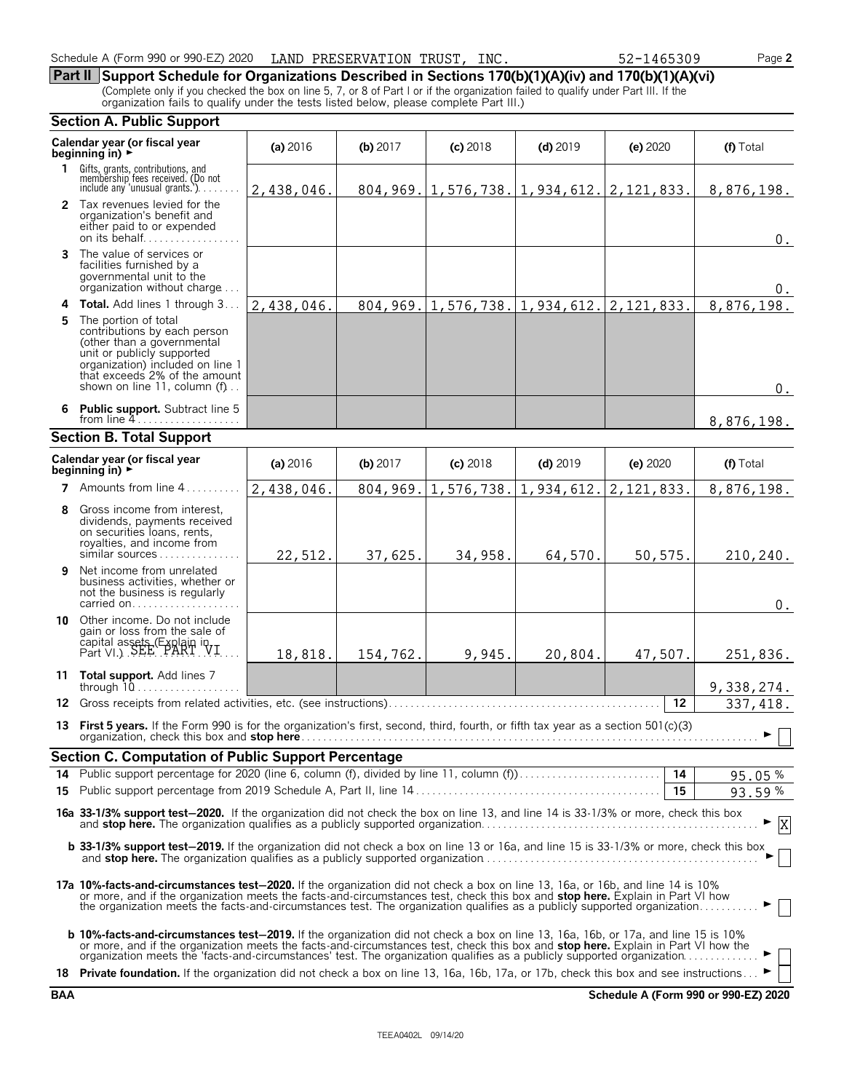| Schedule A (Form 990 or 990-EZ) 2020<br>LAND PRESERVATION TRUST, | INC. | 52-1465309 | Page 2 |
|------------------------------------------------------------------|------|------------|--------|
|------------------------------------------------------------------|------|------------|--------|

**Part II Support Schedule for Organizations Described in Sections 170(b)(1)(A)(iv) and 170(b)(1)(A)(vi)** (Complete only if you checked the box on line 5, 7, or 8 of Part I or if the organization failed to qualify under Part III. If the organization fails to qualify under the tests listed below, please complete Part III.)

|    | <b>Section A. Public Support</b>                                                                                                                                                                                                                                                                                                                                                            |            |          |            |                                                                      |            |                   |                          |
|----|---------------------------------------------------------------------------------------------------------------------------------------------------------------------------------------------------------------------------------------------------------------------------------------------------------------------------------------------------------------------------------------------|------------|----------|------------|----------------------------------------------------------------------|------------|-------------------|--------------------------|
|    | Calendar year (or fiscal year<br>beginning in) $\rightarrow$                                                                                                                                                                                                                                                                                                                                | (a) 2016   | (b) 2017 | $(c)$ 2018 | $(d)$ 2019                                                           | (e) 2020   |                   | (f) Total                |
|    | 1 Gifts, grants, contributions, and<br>membership fees received. (Do not<br>include any 'unusual grants.')                                                                                                                                                                                                                                                                                  | 2,438,046. |          |            | $804, 969. \vert 1, 576, 738. \vert 1, 934, 612. \vert 2, 121, 833.$ |            |                   | 8,876,198.               |
|    | 2 Tax revenues levied for the<br>organization's benefit and<br>either paid to or expended<br>on its behalf                                                                                                                                                                                                                                                                                  |            |          |            |                                                                      |            |                   | $0$ .                    |
|    | 3 The value of services or<br>facilities furnished by a<br>governmental unit to the<br>organization without charge                                                                                                                                                                                                                                                                          |            |          |            |                                                                      |            |                   | 0.                       |
|    | 4 Total. Add lines 1 through 3.                                                                                                                                                                                                                                                                                                                                                             | 2,438,046. |          |            | $804, 969.$   1,576,738.   1,934,612.   2,121,833.                   |            |                   | 8,876,198.               |
| 5. | The portion of total<br>contributions by each person<br>(other than a governmental<br>unit or publicly supported<br>organization) included on line 1<br>that exceeds 2% of the amount<br>shown on line 11, column (f)                                                                                                                                                                       |            |          |            |                                                                      |            |                   | $0$ .                    |
|    | 6 Public support. Subtract line 5<br>from line $4$                                                                                                                                                                                                                                                                                                                                          |            |          |            |                                                                      |            |                   | 8,876,198.               |
|    | <b>Section B. Total Support</b>                                                                                                                                                                                                                                                                                                                                                             |            |          |            |                                                                      |            |                   |                          |
|    | Calendar year (or fiscal year<br>beginning in) $\rightarrow$                                                                                                                                                                                                                                                                                                                                | (a) 2016   | (b) 2017 | $(c)$ 2018 | $(d)$ 2019                                                           | (e) 2020   |                   | (f) Total                |
|    | 7 Amounts from line 4                                                                                                                                                                                                                                                                                                                                                                       | 2,438,046. | 804,969. | 1,576,738. | 1,934,612.                                                           | 2,121,833. |                   | $\overline{8,876,198}$ . |
| 8  | Gross income from interest,<br>dividends, payments received<br>on securities loans, rents,<br>royalties, and income from<br>similar sources                                                                                                                                                                                                                                                 | 22,512.    | 37,625.  | 34,958.    | 64,570.                                                              | 50,575.    |                   | 210,240.                 |
| 9  | Net income from unrelated<br>business activities, whether or<br>not the business is regularly<br>carried on                                                                                                                                                                                                                                                                                 |            |          |            |                                                                      |            |                   | $0$ .                    |
| 10 | Other income. Do not include<br>gain or loss from the sale of<br>capital assets (Explain in Fart VI.)                                                                                                                                                                                                                                                                                       | 18,818.    | 154,762. | 9,945.     | 20,804.                                                              | 47,507.    |                   | 251,836.                 |
|    | 11 Total support. Add lines 7<br>through $10$                                                                                                                                                                                                                                                                                                                                               |            |          |            |                                                                      |            |                   | 9,338,274.               |
|    | 12 Gross receipts from related activities, etc. (see instructions).                                                                                                                                                                                                                                                                                                                         |            |          |            |                                                                      |            | $12 \overline{ }$ | 337, 418.                |
|    | 13 First 5 years. If the Form 990 is for the organization's first, second, third, fourth, or fifth tax year as a section 501(c)(3)                                                                                                                                                                                                                                                          |            |          |            |                                                                      |            |                   |                          |
|    | <b>Section C. Computation of Public Support Percentage</b>                                                                                                                                                                                                                                                                                                                                  |            |          |            |                                                                      |            |                   |                          |
|    |                                                                                                                                                                                                                                                                                                                                                                                             |            |          |            |                                                                      |            |                   | 95.05%                   |
|    |                                                                                                                                                                                                                                                                                                                                                                                             |            |          |            |                                                                      |            | 15                | 93.59%                   |
|    | 16a 33-1/3% support test-2020. If the organization did not check the box on line 13, and line 14 is 33-1/3% or more, check this box                                                                                                                                                                                                                                                         |            |          |            |                                                                      |            |                   |                          |
|    | b 33-1/3% support test-2019. If the organization did not check a box on line 13 or 16a, and line 15 is 33-1/3% or more, check this box                                                                                                                                                                                                                                                      |            |          |            |                                                                      |            |                   |                          |
|    | 17a 10%-facts-and-circumstances test-2020. If the organization did not check a box on line 13, 16a, or 16b, and line 14 is 10%<br>or more, and if the organization meets the facts-and-circumstances test, check this box and stop here. Explain in Part VI how<br>the organization meets the facts-and-circumstances test. The organization qualifies as a publicly supported organization |            |          |            |                                                                      |            |                   |                          |
|    | <b>b 10%-facts-and-circumstances test-2019.</b> If the organization did not check a box on line 13, 16a, 16b, or 17a, and line 15 is 10%<br>or more, and if the organization meets the facts-and-circumstances test, check this box and stop here. Explain in Part VI how the                                                                                                               |            |          |            |                                                                      |            |                   |                          |
|    | 18 Private foundation. If the organization did not check a box on line 13, 16a, 16b, 17a, or 17b, check this box and see instructions                                                                                                                                                                                                                                                       |            |          |            |                                                                      |            |                   |                          |

**BAA Schedule A (Form 990 or 990-EZ) 2020**

|  | 37. |  |
|--|-----|--|
|  |     |  |

| SERVATION TRUST, INC. |  |  |
|-----------------------|--|--|
|                       |  |  |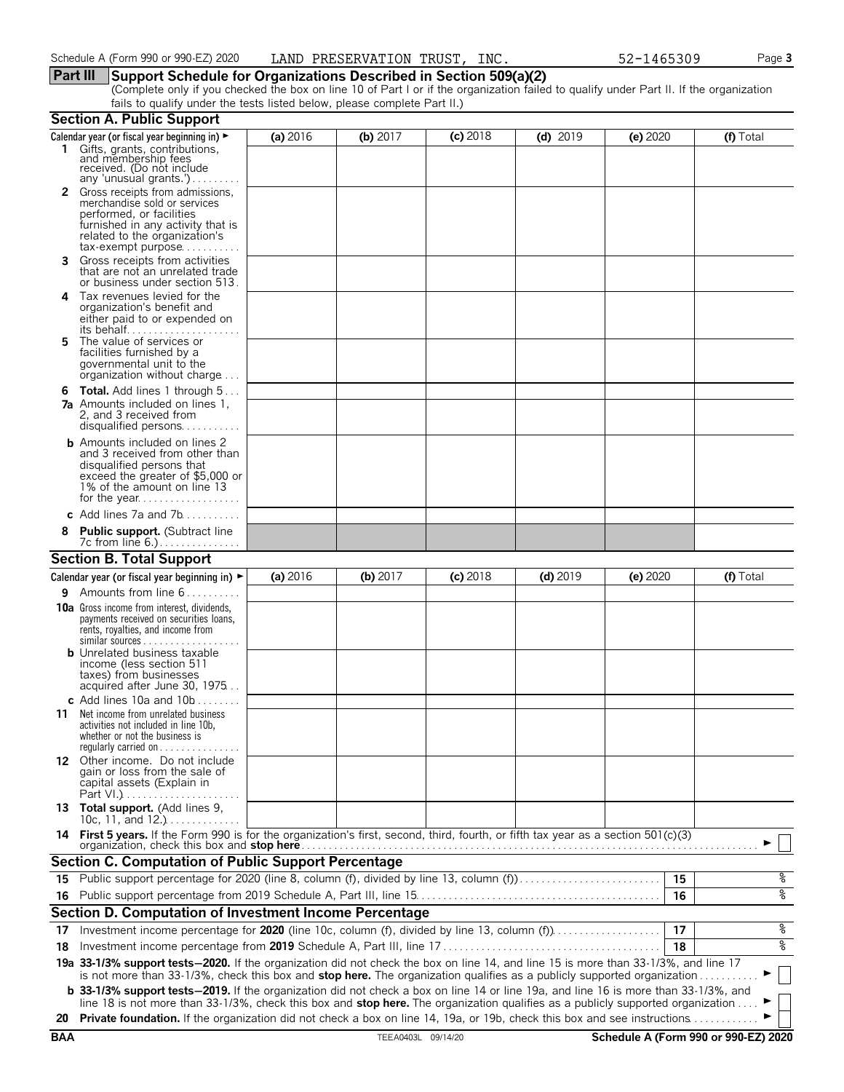### **Part III Support Schedule for Organizations Described in Section 509(a)(2)**

(Complete only if you checked the box on line 10 of Part I or if the organization failed to qualify under Part II. If the organization fails to qualify under the tests listed below, please complete Part II.)

|    | <b>Section A. Public Support</b>                                                                                                                                                                                                                               |          |            |            |            |          |           |
|----|----------------------------------------------------------------------------------------------------------------------------------------------------------------------------------------------------------------------------------------------------------------|----------|------------|------------|------------|----------|-----------|
|    | Calendar year (or fiscal year beginning in) ►                                                                                                                                                                                                                  | (a) 2016 | (b) $2017$ | $(c)$ 2018 | $(d)$ 2019 | (e) 2020 | (f) Total |
|    | 1 Gifts, grants, contributions,<br>and membership fees<br>received. (Do not include<br>any 'unusual grants.')                                                                                                                                                  |          |            |            |            |          |           |
|    | 2 Gross receipts from admissions,                                                                                                                                                                                                                              |          |            |            |            |          |           |
|    | merchandise sold or services                                                                                                                                                                                                                                   |          |            |            |            |          |           |
|    | performed, or facilities<br>furnished in any activity that is                                                                                                                                                                                                  |          |            |            |            |          |           |
|    | related to the organization's                                                                                                                                                                                                                                  |          |            |            |            |          |           |
|    | $tax\text{-}exempt$ purpose                                                                                                                                                                                                                                    |          |            |            |            |          |           |
| 3. | Gross receipts from activities<br>that are not an unrelated trade<br>or business under section 513.                                                                                                                                                            |          |            |            |            |          |           |
| 4  | Tax revenues levied for the                                                                                                                                                                                                                                    |          |            |            |            |          |           |
|    | organization's benefit and                                                                                                                                                                                                                                     |          |            |            |            |          |           |
|    | either paid to or expended on                                                                                                                                                                                                                                  |          |            |            |            |          |           |
| 5. | The value of services or                                                                                                                                                                                                                                       |          |            |            |            |          |           |
|    | facilities furnished by a<br>governmental unit to the                                                                                                                                                                                                          |          |            |            |            |          |           |
|    | organization without charge                                                                                                                                                                                                                                    |          |            |            |            |          |           |
|    | <b>6 Total.</b> Add lines 1 through 5                                                                                                                                                                                                                          |          |            |            |            |          |           |
|    | <b>7a</b> Amounts included on lines 1,                                                                                                                                                                                                                         |          |            |            |            |          |           |
|    | 2, and 3 received from<br>disqualified persons                                                                                                                                                                                                                 |          |            |            |            |          |           |
|    | <b>b</b> Amounts included on lines 2                                                                                                                                                                                                                           |          |            |            |            |          |           |
|    | and 3 received from other than                                                                                                                                                                                                                                 |          |            |            |            |          |           |
|    | disqualified persons that<br>exceed the greater of \$5,000 or                                                                                                                                                                                                  |          |            |            |            |          |           |
|    | 1% of the amount on line 13                                                                                                                                                                                                                                    |          |            |            |            |          |           |
|    |                                                                                                                                                                                                                                                                |          |            |            |            |          |           |
|    | c Add lines $7a$ and $7b$                                                                                                                                                                                                                                      |          |            |            |            |          |           |
|    | <b>Public support.</b> (Subtract line                                                                                                                                                                                                                          |          |            |            |            |          |           |
|    | <b>Section B. Total Support</b>                                                                                                                                                                                                                                |          |            |            |            |          |           |
|    | Calendar year (or fiscal year beginning in) $\blacktriangleright$                                                                                                                                                                                              | (a) 2016 | (b) 2017   | $(c)$ 2018 | $(d)$ 2019 | (e) 2020 | (f) Total |
| 9. | Amounts from line 6                                                                                                                                                                                                                                            |          |            |            |            |          |           |
|    | <b>10a</b> Gross income from interest, dividends,                                                                                                                                                                                                              |          |            |            |            |          |           |
|    | payments received on securities loans,<br>rents, royalties, and income from                                                                                                                                                                                    |          |            |            |            |          |           |
|    | $similar$ sources                                                                                                                                                                                                                                              |          |            |            |            |          |           |
|    | <b>b</b> Unrelated business taxable<br>income (less section 511                                                                                                                                                                                                |          |            |            |            |          |           |
|    | taxes) from businesses                                                                                                                                                                                                                                         |          |            |            |            |          |           |
|    | acquired after June 30, 1975                                                                                                                                                                                                                                   |          |            |            |            |          |           |
|    | c Add lines 10a and $10b$<br>Net income from unrelated business                                                                                                                                                                                                |          |            |            |            |          |           |
| 11 | activities not included in line 10b,                                                                                                                                                                                                                           |          |            |            |            |          |           |
|    | whether or not the business is                                                                                                                                                                                                                                 |          |            |            |            |          |           |
|    | requiarly carried on $\dots\dots\dots$<br>12 Other income. Do not include                                                                                                                                                                                      |          |            |            |            |          |           |
|    | gain or loss from the sale of                                                                                                                                                                                                                                  |          |            |            |            |          |           |
|    | capital assets (Explain in                                                                                                                                                                                                                                     |          |            |            |            |          |           |
|    | 13 Total support. (Add lines 9,<br>10c, 11, and $12.$ )                                                                                                                                                                                                        |          |            |            |            |          |           |
|    | 14 First 5 years. If the Form 990 is for the organization's first, second, third, fourth, or fifth tax year as a section 501(c)(3)                                                                                                                             |          |            |            |            |          |           |
|    | organization, check this box and stop here                                                                                                                                                                                                                     |          |            |            |            |          |           |
|    | <b>Section C. Computation of Public Support Percentage</b>                                                                                                                                                                                                     |          |            |            |            |          |           |
|    | 15 Public support percentage for 2020 (line 8, column (f), divided by line 13, column (f)                                                                                                                                                                      |          |            |            |            | 15       | %         |
|    |                                                                                                                                                                                                                                                                |          |            |            |            | 16       | oه        |
|    | Section D. Computation of Investment Income Percentage                                                                                                                                                                                                         |          |            |            |            |          |           |
| 17 | Investment income percentage for 2020 (line 10c, column (f), divided by line 13, column (f)                                                                                                                                                                    |          |            |            |            | 17       | %         |
| 18 |                                                                                                                                                                                                                                                                |          |            |            |            | 18       | ०७        |
|    | 19a 33-1/3% support tests-2020. If the organization did not check the box on line 14, and line 15 is more than 33-1/3%, and line 17<br>is not more than 33-1/3%, check this box and stop here. The organization qualifies as a publicly supported organization |          |            |            |            |          |           |
|    | <b>b</b> 33-1/3% support tests-2019. If the organization did not check a box on line 14 or line 19a, and line 16 is more than 33-1/3%, and                                                                                                                     |          |            |            |            |          |           |
|    | line 18 is not more than 33-1/3%, check this box and stop here. The organization qualifies as a publicly supported organization                                                                                                                                |          |            |            |            |          |           |
|    | 20 Private foundation. If the organization did not check a box on line 14, 19a, or 19b, check this box and see instructions                                                                                                                                    |          |            |            |            |          |           |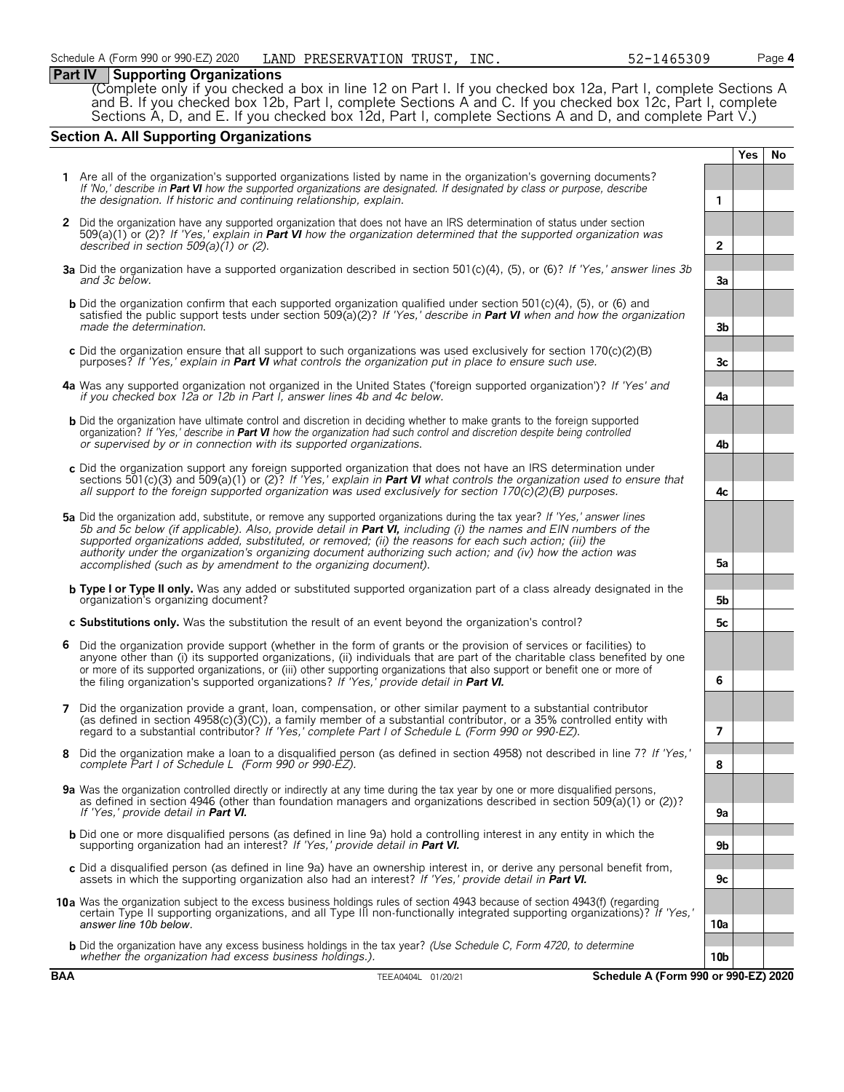### **Part IV Supporting Organizations**

(Complete only if you checked a box in line 12 on Part I. If you checked box 12a, Part I, complete Sections A and B. If you checked box 12b, Part I, complete Sections A and C. If you checked box 12c, Part I, complete Sections A, D, and E. If you checked box 12d, Part I, complete Sections A and D, and complete Part V.)

### **Section A. All Supporting Organizations**

|   |                                                                                                                                                                                                                                                                                                                                                                                                                                                                                                                                                      |                 | <b>Yes</b> | <b>No</b> |
|---|------------------------------------------------------------------------------------------------------------------------------------------------------------------------------------------------------------------------------------------------------------------------------------------------------------------------------------------------------------------------------------------------------------------------------------------------------------------------------------------------------------------------------------------------------|-----------------|------------|-----------|
|   | 1 Are all of the organization's supported organizations listed by name in the organization's governing documents?<br>If 'No,' describe in Part VI how the supported organizations are designated. If designated by class or purpose, describe<br>the designation. If historic and continuing relationship, explain.                                                                                                                                                                                                                                  | 1               |            |           |
|   | 2 Did the organization have any supported organization that does not have an IRS determination of status under section<br>509(a)(1) or (2)? If 'Yes,' explain in <b>Part VI</b> how the organization determined that the supported organization was<br>described in section $509(a)(1)$ or (2).                                                                                                                                                                                                                                                      | $\overline{2}$  |            |           |
|   | 3a Did the organization have a supported organization described in section 501(c)(4), (5), or (6)? If 'Yes,' answer lines 3b<br>and 3c below.                                                                                                                                                                                                                                                                                                                                                                                                        | 3a              |            |           |
|   | <b>b</b> Did the organization confirm that each supported organization qualified under section 501(c)(4), (5), or (6) and<br>satisfied the public support tests under section 509( $a(2)$ ? If 'Yes,' describe in <b>Part VI</b> when and how the organization<br>made the determination.                                                                                                                                                                                                                                                            | 3 <sub>b</sub>  |            |           |
|   | c Did the organization ensure that all support to such organizations was used exclusively for section $170(c)(2)(B)$<br>purposes? If 'Yes,' explain in <b>Part VI</b> what controls the organization put in place to ensure such use.                                                                                                                                                                                                                                                                                                                | 3c              |            |           |
|   | 4a Was any supported organization not organized in the United States ('foreign supported organization')? If 'Yes' and<br>if you checked box 12a or 12b in Part I, answer lines 4b and 4c below.                                                                                                                                                                                                                                                                                                                                                      | 4a              |            |           |
|   | <b>b</b> Did the organization have ultimate control and discretion in deciding whether to make grants to the foreign supported<br>organization? If 'Yes,' describe in <b>Part VI</b> how the organization had such control and discretion despite being controlled<br>or supervised by or in connection with its supported organizations.                                                                                                                                                                                                            | 4b              |            |           |
|   | c Did the organization support any foreign supported organization that does not have an IRS determination under<br>sections 501(c)(3) and 509(a)(1) or (2)? If 'Yes,' explain in <b>Part VI</b> what controls the organization used to ensure that<br>all support to the foreign supported organization was used exclusively for section $170(c)(2)(B)$ purposes.                                                                                                                                                                                    | 4c              |            |           |
|   | 5a Did the organization add, substitute, or remove any supported organizations during the tax year? If 'Yes,' answer lines<br>5b and 5c below (if applicable). Also, provide detail in <b>Part VI</b> , including (i) the names and EIN numbers of the<br>supported organizations added, substituted, or removed; (ii) the reasons for each such action; (iii) the<br>authority under the organization's organizing document authorizing such action; and (iv) how the action was<br>accomplished (such as by amendment to the organizing document). | 5a              |            |           |
|   | <b>b</b> Type I or Type II only. Was any added or substituted supported organization part of a class already designated in the<br>organization's organizing document?                                                                                                                                                                                                                                                                                                                                                                                | 5b              |            |           |
|   | c Substitutions only. Was the substitution the result of an event beyond the organization's control?                                                                                                                                                                                                                                                                                                                                                                                                                                                 | 5с              |            |           |
| 6 | Did the organization provide support (whether in the form of grants or the provision of services or facilities) to<br>anyone other than (i) its supported organizations, (ii) individuals that are part of the charitable class benefited by one<br>or more of its supported organizations, or (iii) other supporting organizations that also support or benefit one or more of<br>the filing organization's supported organizations? If 'Yes,' provide detail in Part VI.                                                                           | 6               |            |           |
| 7 | Did the organization provide a grant, loan, compensation, or other similar payment to a substantial contributor<br>(as defined in section $4958(c)(3)(c)$ ), a family member of a substantial contributor, or a 35% controlled entity with<br>regard to a substantial contributor? If 'Yes,' complete Part I of Schedule L (Form 990 or 990-EZ).                                                                                                                                                                                                     | 7               |            |           |
| 8 | Did the organization make a loan to a disqualified person (as defined in section 4958) not described in line 7? If 'Yes,'<br>complete Part I of Schedule L (Form 990 or 990-EZ).                                                                                                                                                                                                                                                                                                                                                                     | 8               |            |           |
|   | 9a Was the organization controlled directly or indirectly at any time during the tax year by one or more disqualified persons,<br>as defined in section 4946 (other than foundation managers and organizations described in section 509(a)(1) or (2))?<br>If 'Yes.' provide detail in <b>Part VI.</b>                                                                                                                                                                                                                                                | 9a              |            |           |
|   | <b>b</b> Did one or more disqualified persons (as defined in line 9a) hold a controlling interest in any entity in which the<br>supporting organization had an interest? If 'Yes,' provide detail in Part VI.                                                                                                                                                                                                                                                                                                                                        | 9b              |            |           |
|   | c Did a disqualified person (as defined in line 9a) have an ownership interest in, or derive any personal benefit from,<br>assets in which the supporting organization also had an interest? If 'Yes,' provide detail in <b>Part VI.</b>                                                                                                                                                                                                                                                                                                             | 9c              |            |           |
|   | 10a Was the organization subject to the excess business holdings rules of section 4943 because of section 4943(f) (regarding<br>certain Type II supporting organizations, and all Type III non-functionally integrated supporting organizations)? If 'Yes,'<br>answer line 10b below.                                                                                                                                                                                                                                                                | 10a             |            |           |
|   | <b>b</b> Did the organization have any excess business holdings in the tax year? (Use Schedule C, Form 4720, to determine<br>whether the organization had excess business holdings.).                                                                                                                                                                                                                                                                                                                                                                | 10 <sub>b</sub> |            |           |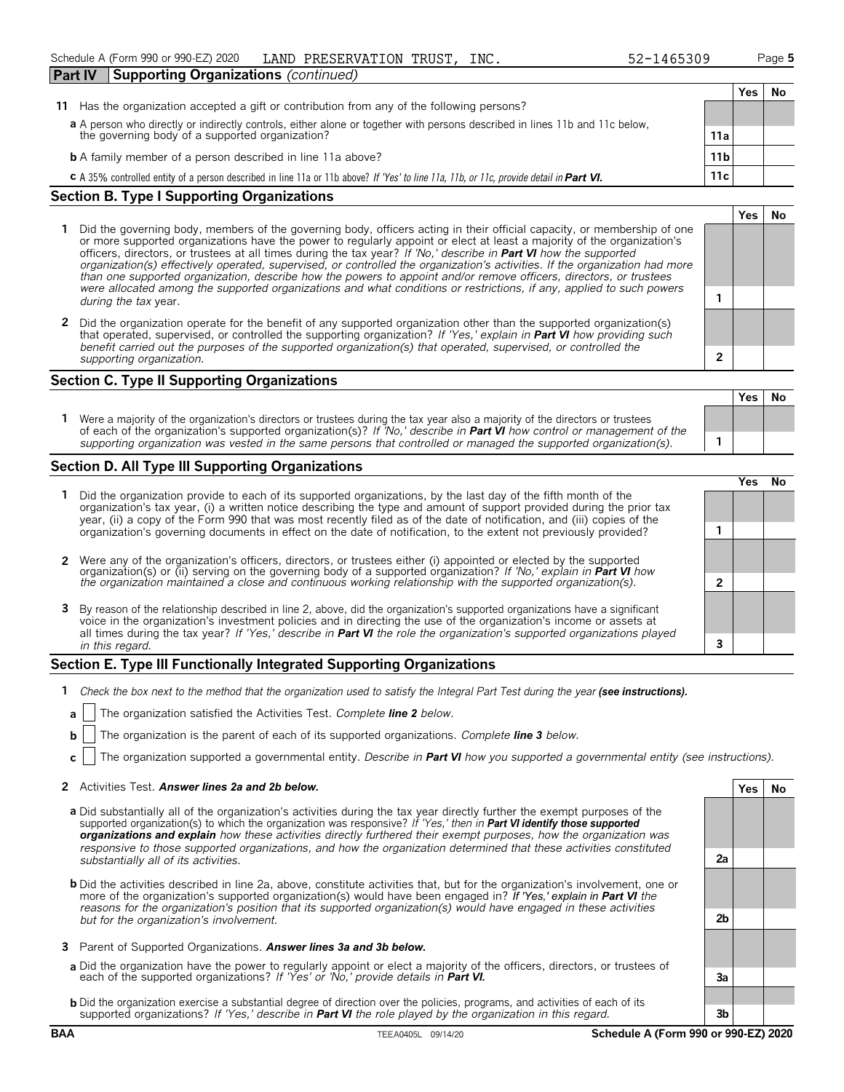| <b>Supporting Organizations (continued)</b><br>Part IV                                                                                                |                 |     |    |
|-------------------------------------------------------------------------------------------------------------------------------------------------------|-----------------|-----|----|
|                                                                                                                                                       |                 | Yes | N0 |
| Has the organization accepted a gift or contribution from any of the following persons?<br>11                                                         |                 |     |    |
| a A person who directly or indirectly controls, either alone or together with persons described in lines 11b and 11c below,                           |                 |     |    |
| the governing body of a supported organization?                                                                                                       | 11a             |     |    |
| <b>b</b> A family member of a person described in line 11a above?                                                                                     | 11 <sub>b</sub> |     |    |
| <b>C</b> A 35% controlled entity of a person described in line 11a or 11b above? If 'Yes' to line 11a, 11b, or 11c, provide detail in <b>Part VI.</b> | 11c             |     |    |

### **Section B. Type I Supporting Organizations**

- **1** Did the governing body, members of the governing body, officers acting in their official capacity, or membership of one or more supported organizations have the power to regularly appoint or elect at least a majority of the organization's officers, directors, or trustees at all times during the tax year? *If 'No,' describe in Part VI how the supported organization(s) effectively operated, supervised, or controlled the organization's activities. If the organization had more than one supported organization, describe how the powers to appoint and/or remove officers, directors, or trustees were allocated among the supported organizations and what conditions or restrictions, if any, applied to such powers* **1** *during the tax* year.
- **2** Did the organization operate for the benefit of any supported organization other than the supported organization(s) that operated, supervised, or controlled the supporting organization? *If 'Yes,' explain in Part VI how providing such benefit carried out the purposes of the supported organization(s) that operated, supervised, or controlled the supporting organization.* **2**

### **Section C. Type II Supporting Organizations**

**Yes No 1** Were a majority of the organization's directors or trustees during the tax year also a majority of the directors or trustees of each of the organization's supported organization(s)? *If 'No,' describe in Part VI how control or management of the supporting organization was vested in the same persons that controlled or managed the supported organization(s).* **1**

### **Section D. All Type III Supporting Organizations**

|                                                                                                                                                                                                                                                                                                                                                                                       | ∕e< |  |
|---------------------------------------------------------------------------------------------------------------------------------------------------------------------------------------------------------------------------------------------------------------------------------------------------------------------------------------------------------------------------------------|-----|--|
| 1 Did the organization provide to each of its supported organizations, by the last day of the fifth month of the<br>organization's tax year, (i) a written notice describing the type and amount of support provided during the prior tax<br>year, (ii) a copy of the Form 990 that was most recently filed as of the date of notification, and (iii) copies of the                   |     |  |
| organization's governing documents in effect on the date of notification, to the extent not previously provided?                                                                                                                                                                                                                                                                      |     |  |
| 2 Were any of the organization's officers, directors, or trustees either (i) appointed or elected by the supported organization(s) or (ii) serving on the governing body of a supported organization? If 'No,' explain in Part                                                                                                                                                        |     |  |
|                                                                                                                                                                                                                                                                                                                                                                                       |     |  |
| 3 By reason of the relationship described in line 2, above, did the organization's supported organizations have a significant<br>voice in the organization's investment policies and in directing the use of the organization's income or assets at<br>all times during the tax year? If 'Yes,' describe in <b>Part VI</b> the role the organization's supported organizations played |     |  |
| in this regard.                                                                                                                                                                                                                                                                                                                                                                       |     |  |

### **Section E. Type III Functionally Integrated Supporting Organizations**

- **1** *Check the box next to the method that the organization used to satisfy the Integral Part Test during the year (see instructions).*
- **a** The organization satisfied the Activities Test. *Complete line 2 below.*
- **b** The organization is the parent of each of its supported organizations. Complete **line 3** below.
- **c** The organization supported a governmental entity. *Describe in Part VI how you supported a governmental entity (see instructions).*

### **2** Activities Test. *Answer lines 2a and 2b below.* **Yes No**

- **a** Did substantially all of the organization's activities during the tax year directly further the exempt purposes of the supported organization(s) to which the organization was responsive? *If 'Yes,' then in Part VI identify those supported organizations and explain how these activities directly furthered their exempt purposes, how the organization was responsive to those supported organizations, and how the organization determined that these activities constituted substantially all of its activities.* **2a**
- **b** Did the activities described in line 2a, above, constitute activities that, but for the organization's involvement, one or more of the organization's supported organization(s) would have been engaged in? *If 'Yes,' explain in Part VI the reasons for the organization's position that its supported organization(s) would have engaged in these activities but for the organization's involvement.* **2b**
- **3** Parent of Supported Organizations. *Answer lines 3a and 3b below.*
- **a** Did the organization have the power to regularly appoint or elect a majority of the officers, directors, or trustees of each of the supported organizations? *If 'Yes' or 'No,' provide details in Part VI.* **3a**
- **b** Did the organization exercise a substantial degree of direction over the policies, programs, and activities of each of its supported organizations? *If 'Yes,' describe in Part VI the role played by the organization in this regard.* **3b**

**Yes No**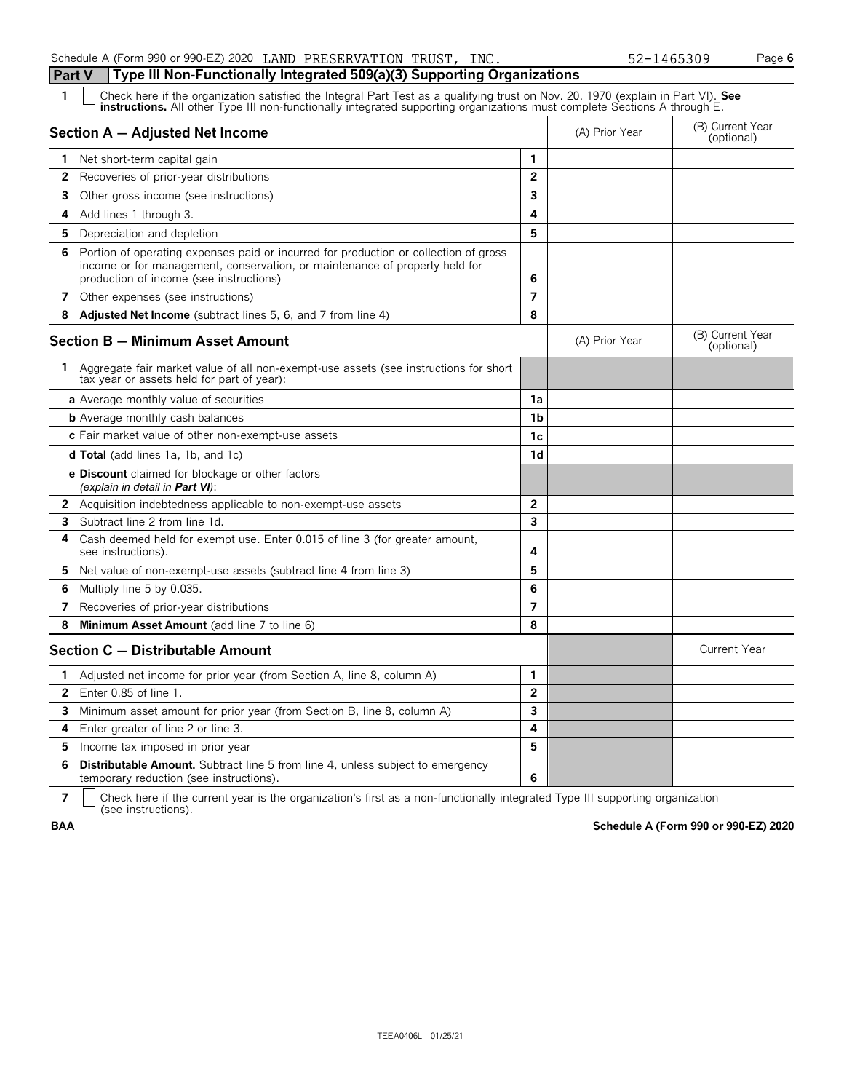Check here if the organization satisfied the Integral Part Test as a qualifying trust on Nov. 20, 1970 (explain in Part VI). See instructions. All other Type III non-functionally integrated supporting organizations must co **Section A – Adjusted Net Income** (B) Current Year (B) Current Year (B) Current Year (B) Current Year (Optional)

| 1            | Net short-term capital gain                                                                                                                                                                                    | 1                       |                |                                |
|--------------|----------------------------------------------------------------------------------------------------------------------------------------------------------------------------------------------------------------|-------------------------|----------------|--------------------------------|
| $\mathbf{2}$ | Recoveries of prior-year distributions                                                                                                                                                                         | $\overline{2}$          |                |                                |
| 3            | Other gross income (see instructions)                                                                                                                                                                          | 3                       |                |                                |
| 4            | Add lines 1 through 3.                                                                                                                                                                                         | 4                       |                |                                |
| 5.           | Depreciation and depletion                                                                                                                                                                                     | 5                       |                |                                |
| 6            | Portion of operating expenses paid or incurred for production or collection of gross<br>income or for management, conservation, or maintenance of property held for<br>production of income (see instructions) | 6                       |                |                                |
| 7            | Other expenses (see instructions)                                                                                                                                                                              | 7                       |                |                                |
|              | 8 Adjusted Net Income (subtract lines 5, 6, and 7 from line 4)                                                                                                                                                 | 8                       |                |                                |
|              | Section B - Minimum Asset Amount                                                                                                                                                                               |                         | (A) Prior Year | (B) Current Year<br>(optional) |
| 1            | Aggregate fair market value of all non-exempt-use assets (see instructions for short<br>tax year or assets held for part of year):                                                                             |                         |                |                                |
|              | a Average monthly value of securities                                                                                                                                                                          | 1a                      |                |                                |
|              | <b>b</b> Average monthly cash balances                                                                                                                                                                         | 1 <sub>b</sub>          |                |                                |
|              | c Fair market value of other non-exempt-use assets                                                                                                                                                             | 1c                      |                |                                |
|              | <b>d Total</b> (add lines 1a, 1b, and 1c)                                                                                                                                                                      | 1d                      |                |                                |
|              | e Discount claimed for blockage or other factors<br>(explain in detail in <b>Part VI</b> ):                                                                                                                    |                         |                |                                |
|              | 2 Acquisition indebtedness applicable to non-exempt-use assets                                                                                                                                                 | $\overline{2}$          |                |                                |
| 3            | Subtract line 2 from line 1d.                                                                                                                                                                                  | $\overline{\mathbf{3}}$ |                |                                |
| 4            | Cash deemed held for exempt use. Enter 0.015 of line 3 (for greater amount,<br>see instructions).                                                                                                              | 4                       |                |                                |
| 5.           | Net value of non-exempt-use assets (subtract line 4 from line 3)                                                                                                                                               | 5                       |                |                                |
| 6            | Multiply line 5 by 0.035.                                                                                                                                                                                      | 6                       |                |                                |
| 7            | Recoveries of prior-year distributions                                                                                                                                                                         | $\overline{7}$          |                |                                |
| 8            | Minimum Asset Amount (add line 7 to line 6)                                                                                                                                                                    | 8                       |                |                                |
|              | Section C - Distributable Amount                                                                                                                                                                               |                         |                | <b>Current Year</b>            |
| 1            | Adjusted net income for prior year (from Section A, line 8, column A)                                                                                                                                          | $\mathbf{1}$            |                |                                |
|              | 2 Enter 0.85 of line 1.                                                                                                                                                                                        | $\overline{2}$          |                |                                |
|              | 3 Minimum asset amount for prior year (from Section B, line 8, column A)                                                                                                                                       | 3                       |                |                                |
| 4            | Enter greater of line 2 or line 3.                                                                                                                                                                             | 4                       |                |                                |
| 5            | Income tax imposed in prior year                                                                                                                                                                               | 5                       |                |                                |
| 6            | Distributable Amount. Subtract line 5 from line 4, unless subject to emergency<br>temporary reduction (see instructions).                                                                                      | 6                       |                |                                |

**7**  $\mid$  Check here if the current year is the organization's first as a non-functionally integrated Type III supporting organization (see instructions).

**BAA Schedule A (Form 990 or 990-EZ) 2020**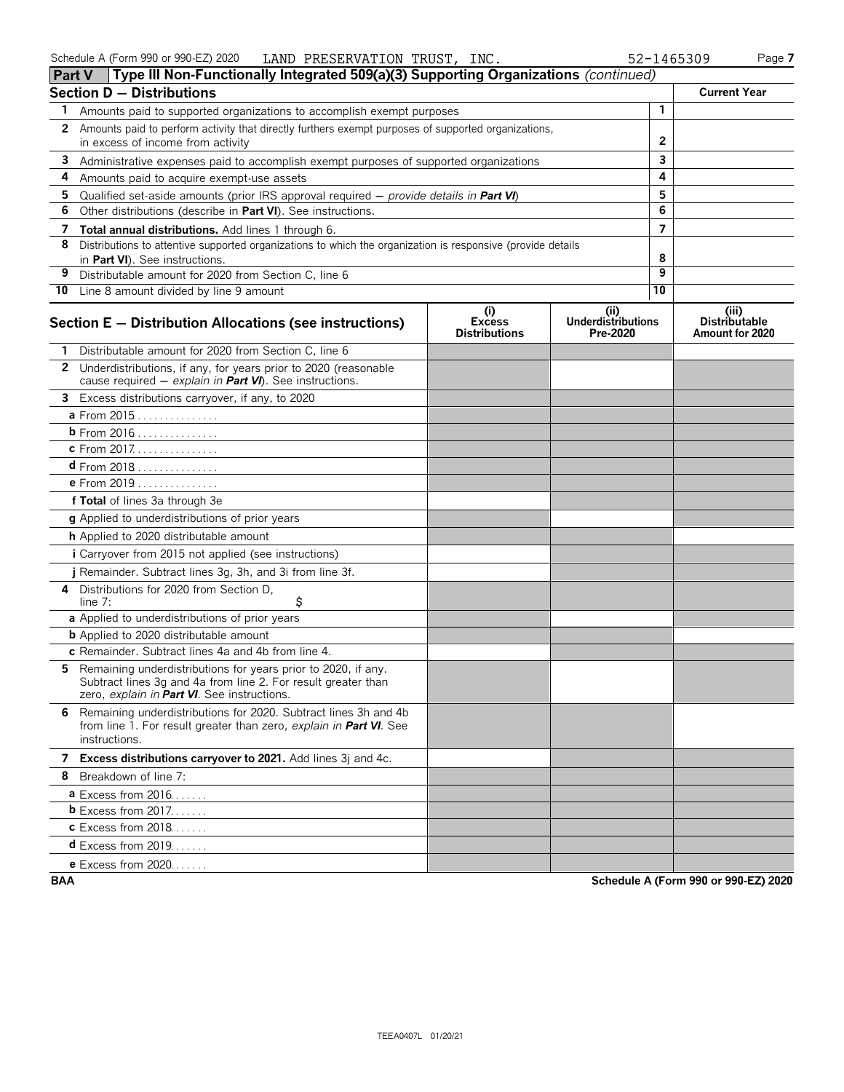| <b>Part V</b> | Type III Non-Functionally Integrated 509(a)(3) Supporting Organizations (continued)                                                                                           |                                              |                                               |    |                                                  |
|---------------|-------------------------------------------------------------------------------------------------------------------------------------------------------------------------------|----------------------------------------------|-----------------------------------------------|----|--------------------------------------------------|
|               | <b>Section D - Distributions</b>                                                                                                                                              |                                              |                                               |    | <b>Current Year</b>                              |
| 1             | Amounts paid to supported organizations to accomplish exempt purposes                                                                                                         |                                              |                                               | 1  |                                                  |
| 2             | Amounts paid to perform activity that directly furthers exempt purposes of supported organizations,<br>in excess of income from activity                                      |                                              |                                               | 2  |                                                  |
| 3             | Administrative expenses paid to accomplish exempt purposes of supported organizations                                                                                         |                                              |                                               | 3  |                                                  |
| 4             | Amounts paid to acquire exempt-use assets                                                                                                                                     |                                              |                                               | 4  |                                                  |
| 5             | Qualified set-aside amounts (prior IRS approval required $-$ provide details in <b>Part VI</b> )                                                                              |                                              |                                               | 5  |                                                  |
| 6             | Other distributions (describe in Part VI). See instructions.                                                                                                                  |                                              |                                               | 6  |                                                  |
| 7             | <b>Total annual distributions.</b> Add lines 1 through 6.                                                                                                                     |                                              |                                               | 7  |                                                  |
| 8             | Distributions to attentive supported organizations to which the organization is responsive (provide details<br>in Part VI). See instructions.                                 |                                              |                                               | 8  |                                                  |
| 9             | Distributable amount for 2020 from Section C, line 6                                                                                                                          |                                              |                                               | 9  |                                                  |
|               | 10 Line 8 amount divided by line 9 amount                                                                                                                                     |                                              |                                               | 10 |                                                  |
|               | Section E - Distribution Allocations (see instructions)                                                                                                                       | (i)<br><b>Excess</b><br><b>Distributions</b> | (ii)<br><b>Underdistributions</b><br>Pre-2020 |    | (iii)<br><b>Distributable</b><br>Amount for 2020 |
|               | Distributable amount for 2020 from Section C, line 6                                                                                                                          |                                              |                                               |    |                                                  |
| $\mathbf{2}$  | Underdistributions, if any, for years prior to 2020 (reasonable<br>cause required $-$ explain in <b>Part VI</b> ). See instructions.                                          |                                              |                                               |    |                                                  |
| 3             | Excess distributions carryover, if any, to 2020                                                                                                                               |                                              |                                               |    |                                                  |
|               | a From 2015                                                                                                                                                                   |                                              |                                               |    |                                                  |
|               | b From 2016                                                                                                                                                                   |                                              |                                               |    |                                                  |
|               | c From 2017.                                                                                                                                                                  |                                              |                                               |    |                                                  |
|               | $d$ From 2018                                                                                                                                                                 |                                              |                                               |    |                                                  |
|               | e From 2019                                                                                                                                                                   |                                              |                                               |    |                                                  |
|               | f Total of lines 3a through 3e                                                                                                                                                |                                              |                                               |    |                                                  |
|               | g Applied to underdistributions of prior years                                                                                                                                |                                              |                                               |    |                                                  |
|               | h Applied to 2020 distributable amount                                                                                                                                        |                                              |                                               |    |                                                  |
|               | i Carryover from 2015 not applied (see instructions)                                                                                                                          |                                              |                                               |    |                                                  |
|               | j Remainder. Subtract lines 3g, 3h, and 3i from line 3f.                                                                                                                      |                                              |                                               |    |                                                  |
| 4             | Distributions for 2020 from Section D,<br>\$<br>line $7:$                                                                                                                     |                                              |                                               |    |                                                  |
|               | a Applied to underdistributions of prior years                                                                                                                                |                                              |                                               |    |                                                  |
|               | <b>b</b> Applied to 2020 distributable amount                                                                                                                                 |                                              |                                               |    |                                                  |
|               | c Remainder. Subtract lines 4a and 4b from line 4.                                                                                                                            |                                              |                                               |    |                                                  |
| 5             | Remaining underdistributions for years prior to 2020, if any.<br>Subtract lines 3g and 4a from line 2. For result greater than<br>zero, explain in Part VI. See instructions. |                                              |                                               |    |                                                  |
|               | 6 Remaining underdistributions for 2020. Subtract lines 3h and 4b<br>from line 1. For result greater than zero, explain in Part VI. See<br>instructions.                      |                                              |                                               |    |                                                  |
|               | 7 Excess distributions carryover to 2021. Add lines 3j and 4c.                                                                                                                |                                              |                                               |    |                                                  |
|               | 8 Breakdown of line 7:                                                                                                                                                        |                                              |                                               |    |                                                  |
|               | <b>a</b> Excess from $2016$                                                                                                                                                   |                                              |                                               |    |                                                  |
|               | <b>b</b> Excess from 2017.                                                                                                                                                    |                                              |                                               |    |                                                  |
|               | <b>c</b> Excess from 2018                                                                                                                                                     |                                              |                                               |    |                                                  |
|               | <b>d</b> Excess from 2019                                                                                                                                                     |                                              |                                               |    |                                                  |
|               | <b>e</b> Excess from 2020.                                                                                                                                                    |                                              |                                               |    |                                                  |

**BAA Schedule A (Form 990 or 990-EZ) 2020**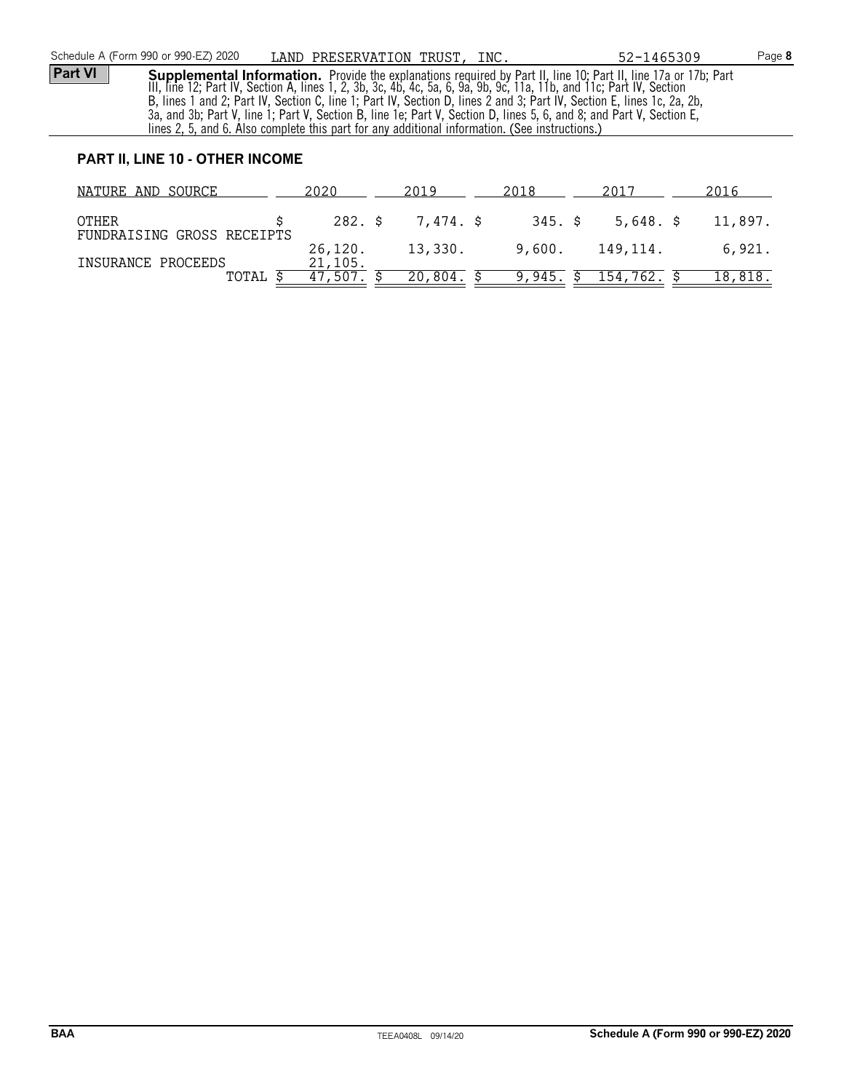**Part VI Supplemental Information.** Provide the explanations required by Part II, line 10; Part II, line 17a or 17b; Part III, line 12; Part IV, Section A, lines 1, 2, 3b, 3c, 4b, 4c, 5a, 6, 9a, 9b, 9c, 11a, 11b, and 11c; Part IV, Section B, lines 1 and 2; Part IV, Section C, line 1; Part IV, Section D, lines 2 and 3; Part IV, Section E, lines 1c, 2a, 2b, 3a, and 3b; Part V, line 1; Part V, Section B, line 1e; Part V, Section D, lines 5, 6, and 8; and Part V, Section E, lines 2, 5, and 6. Also complete this part for any additional information. (See instructions.)

### **PART II, LINE 10 - OTHER INCOME**

| NATURE AND SOURCE                          | 2020               | 2019      | 2018   | 2017                   | 2016    |
|--------------------------------------------|--------------------|-----------|--------|------------------------|---------|
| <b>OTHER</b><br>FUNDRAISING GROSS RECEIPTS | 282. \$            | 7,474. \$ |        | $345. \;$ \$ 5,648. \$ | 11,897. |
|                                            | 26,120.            | 13,330.   | 9,600. | 149,114.               | 6,921.  |
| INSURANCE PROCEEDS<br>TOTAL                | 21,105.<br>47,507. | 20,804.   |        | 9,945. \$ 154,762.     | 18,818. |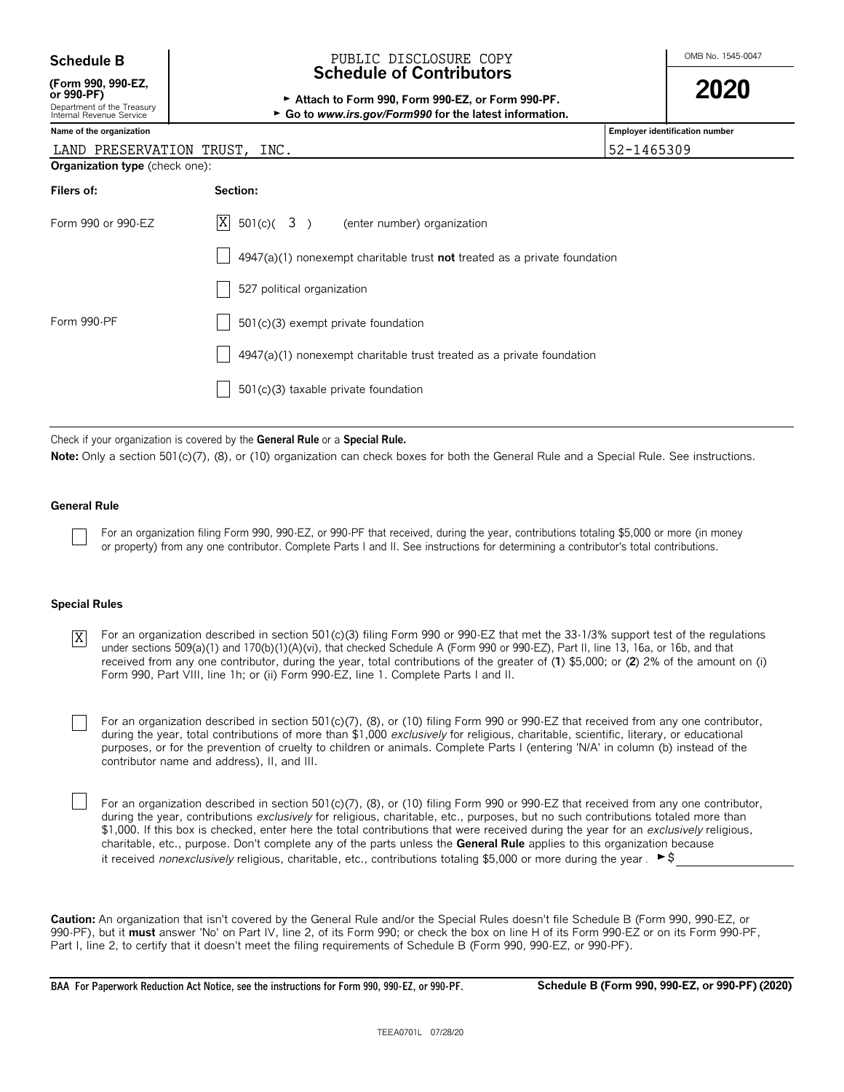| <b>Schedule B</b> |  |
|-------------------|--|
|-------------------|--|

**(Form 990, 990-EZ,**

| <u>UI JJU-I I J</u> |  |  |  |
|---------------------|--|--|--|
| Denartment of the T |  |  |  |

### [reasur **Internal Revenue Service** and **b G Formal Revenue Service for the latest informal <b>Form**

### OMB No. 1545-0047 **Schedule B** PUBLIC DISCLOSURE COPY **Schedule of Contributors**

| (Form 990, 990-EZ,                                     |                                                         | 2020 |
|--------------------------------------------------------|---------------------------------------------------------|------|
| or 990-PF)                                             | Attach to Form 990. Form 990-EZ, or Form 990-PF.        |      |
| Department of the Treasury<br>Internal Revenue Service | ► Go to www.irs.gov/Form990 for the latest information. |      |

| Name of the organization       |                                                                             | Employer identification number |
|--------------------------------|-----------------------------------------------------------------------------|--------------------------------|
| LAND PRESERVATION TRUST, INC.  |                                                                             | 52-1465309                     |
| Organization type (check one): |                                                                             |                                |
| Filers of:                     | Section:                                                                    |                                |
| Form 990 or 990-EZ             | $ X $ 501(c)( 3) (enter number) organization                                |                                |
|                                | $4947(a)(1)$ nonexempt charitable trust not treated as a private foundation |                                |
|                                | 527 political organization                                                  |                                |
| Form 990-PF                    | 501(c)(3) exempt private foundation                                         |                                |
|                                | 4947(a)(1) nonexempt charitable trust treated as a private foundation       |                                |
|                                | $501(c)(3)$ taxable private foundation                                      |                                |
|                                |                                                                             |                                |

Check if your organization is covered by the **General Rule** or a **Special Rule.**

Note: Only a section 501(c)(7), (8), or (10) organization can check boxes for both the General Rule and a Special Rule. See instructions.

### **General Rule**

For an organization filing Form 990, 990-EZ, or 990-PF that received, during the year, contributions totaling \$5,000 or more (in money or property) from any one contributor. Complete Parts I and II. See instructions for determining a contributor's total contributions.

### **Special Rules**

- For an organization described in section 501(c)(3) filing Form 990 or 990-EZ that met the 33-1/3% support test of the regulations under sections 509(a)(1) and 170(b)(1)(A)(vi), that checked Schedule A (Form 990 or 990-EZ), Part II, line 13, 16a, or 16b, and that received from any one contributor, during the year, total contributions of the greater of (**1**) \$5,000; or (**2**) 2% of the amount on (i) Form 990, Part VIII, line 1h; or (ii) Form 990-EZ, line 1. Complete Parts I and II. X
	- For an organization described in section 501(c)(7), (8), or (10) filing Form 990 or 990-EZ that received from any one contributor, during the year, total contributions of more than \$1,000 *exclusively* for religious, charitable, scientific, literary, or educational purposes, or for the prevention of cruelty to children or animals. Complete Parts I (entering 'N/A' in column (b) instead of the contributor name and address), II, and III.
		- For an organization described in section 501(c)(7), (8), or (10) filing Form 990 or 990-EZ that received from any one contributor, during the year, contributions *exclusively* for religious, charitable, etc., purposes, but no such contributions totaled more than \$1,000. If this box is checked, enter here the total contributions that were received during the year for an *exclusively* religious, charitable, etc., purpose. Don't complete any of the parts unless the **General Rule** applies to this organization because it received *nonexclusively* religious, charitable, etc., contributions totaling \$5,000 or more during the year .  $\blacktriangleright$ \$

**Caution:** An organization that isn't covered by the General Rule and/or the Special Rules doesn't file Schedule B (Form 990, 990-EZ, or 990-PF), but it **must** answer 'No' on Part IV, line 2, of its Form 990; or check the box on line H of its Form 990-EZ or on its Form 990-PF, Part I, line 2, to certify that it doesn't meet the filing requirements of Schedule B (Form 990, 990-EZ, or 990-PF).

**BAA For Paperwork Reduction Act Notice, see the instructions for Form 990, 990-EZ, or 990-PF. Schedule B (Form 990, 990-EZ, or 990-PF) (2020)**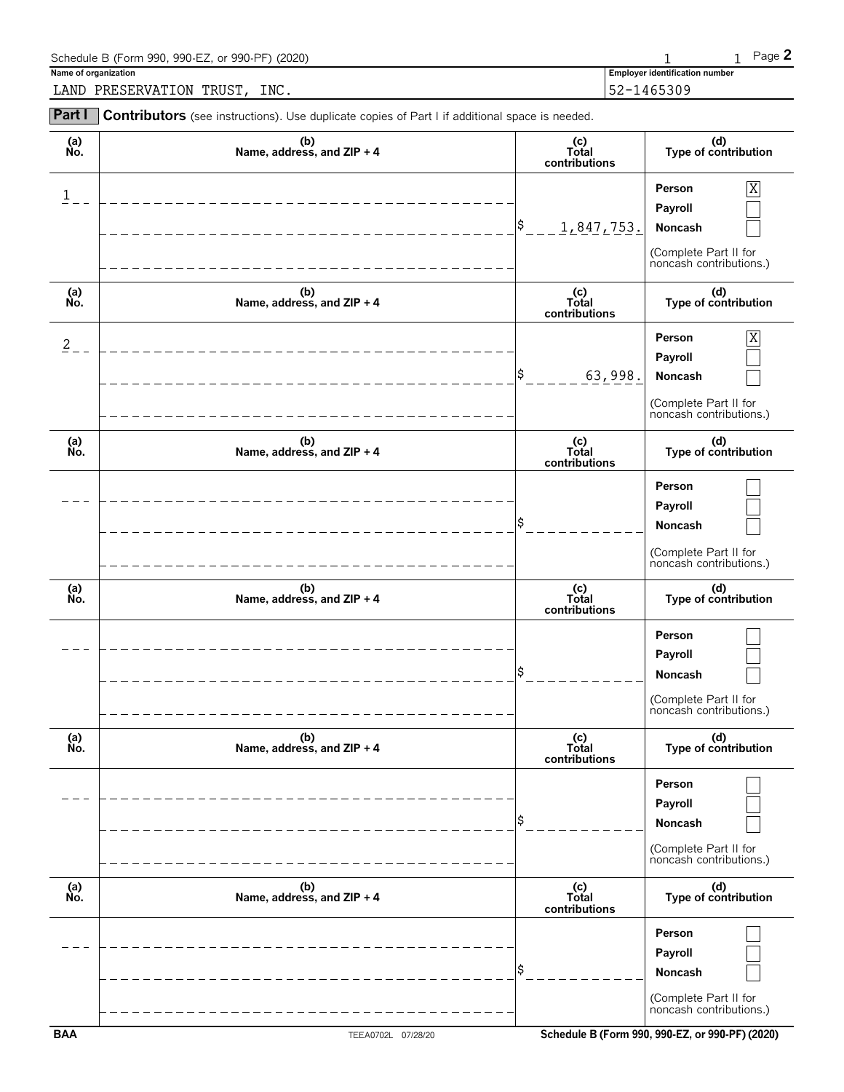| Schedule B (Form 990, 990-EZ, or 990-PF) (2020)                                                              |                                       | Page 2 |
|--------------------------------------------------------------------------------------------------------------|---------------------------------------|--------|
| Name of organization                                                                                         | <b>Employer identification number</b> |        |
| LAND PRESERVATION TRUST, INC.                                                                                | $152 - 1465309$                       |        |
| <b>Part I</b> Contributors (see instructions). Use duplicate copies of Part I if additional space is needed. |                                       |        |

| (a)<br>No.     | (b)<br>Name, address, and ZIP + 4 | (c)<br>Total<br>contributions | (d)<br>Type of contribution                                                           |
|----------------|-----------------------------------|-------------------------------|---------------------------------------------------------------------------------------|
| 1              |                                   | \$<br>1,847,753.              | Person<br>Χ<br>Payroll<br>Noncash<br>(Complete Part II for<br>noncash contributions.) |
| (a)<br>No.     | (b)<br>Name, address, and ZIP + 4 | (c)<br>Total<br>contributions | (d)<br>Type of contribution                                                           |
| $\overline{2}$ |                                   | \$<br>63,998.                 | Person<br>Χ<br>Payroll<br>Noncash<br>(Complete Part II for<br>noncash contributions.) |
| (a)<br>No.     | (b)<br>Name, address, and ZIP + 4 | (c)<br>Total<br>contributions | (d)<br>Type of contribution                                                           |
|                |                                   |                               | Person<br>Payroll<br>Noncash<br>(Complete Part II for<br>noncash contributions.)      |
| (a)<br>No.     | (b)<br>Name, address, and ZIP + 4 | (c)<br>Total<br>contributions | (d)<br>Type of contribution                                                           |
|                |                                   | Ś                             | Person<br>Payroll<br>Noncash<br>(Complete Part II for<br>noncash contributions.)      |
| (a)<br>Ňó.     | (b)<br>Name, address, and ZIP + 4 | (c)<br>Total<br>contributions | (d)<br>Type of contribution                                                           |
|                |                                   | \$                            | Person<br>Payroll<br>Noncash<br>(Complete Part II for<br>noncash contributions.)      |
| (a)<br>No.     | (b)<br>Name, address, and ZIP + 4 | (c)<br>Total<br>contributions | (d)<br>Type of contribution                                                           |
|                |                                   | \$                            | Person<br>Payroll<br>Noncash                                                          |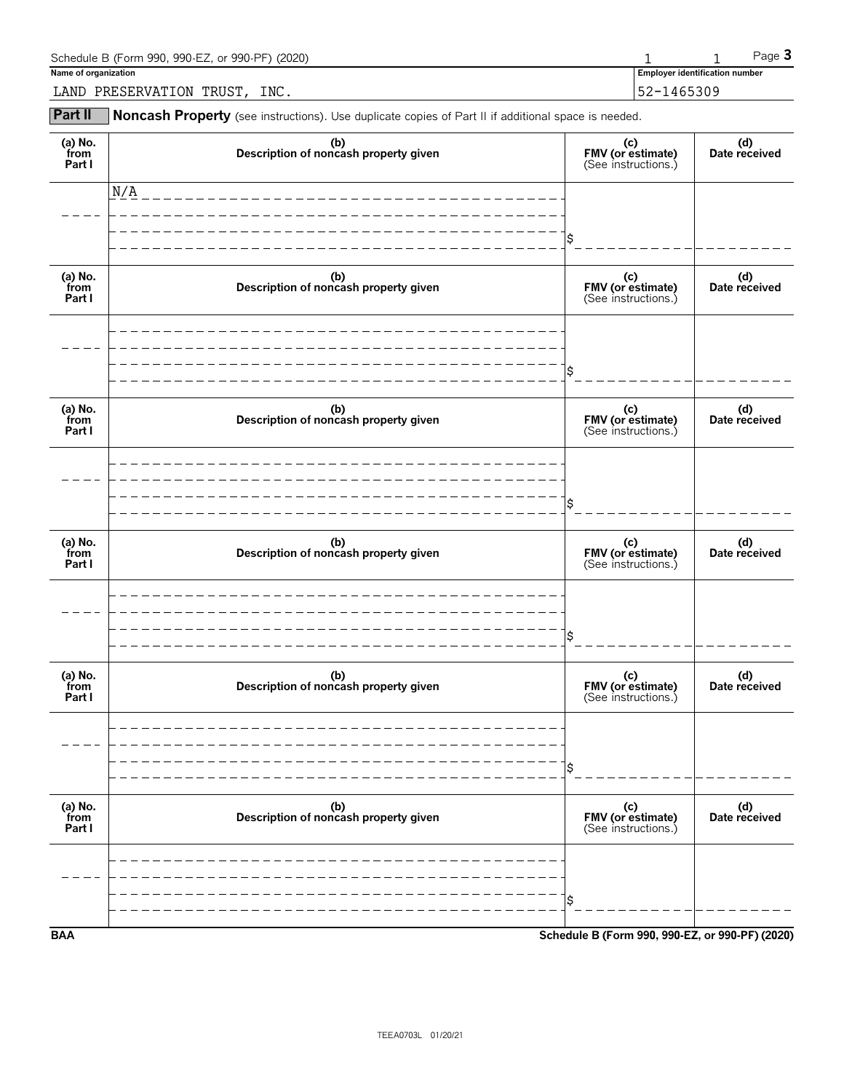| Schedule B (Form 990, 990-EZ, or 990-PF) (2020) |                                       | Page $\mathbf 5$ |
|-------------------------------------------------|---------------------------------------|------------------|
| Name of organization                            | <b>Employer identification number</b> |                  |
| INC.<br>LAND PRESERVATION TRUST,                | 52-1465309                            |                  |

**Part II** Noncash Property (see instructions). Use duplicate copies of Part II if additional space is needed.

| (a) $No.$ from<br>Part I  | (b)<br>Description of noncash property given | (c)<br>FMV (or estimate)<br>(See instructions.) | (d)<br>Date received |
|---------------------------|----------------------------------------------|-------------------------------------------------|----------------------|
|                           | N/A                                          |                                                 |                      |
|                           |                                              | \$                                              |                      |
| (a) No.<br>from<br>Part I | (b)<br>Description of noncash property given | (c)<br>FMV (or estimate)<br>(See instructions.) | (d)<br>Date received |
|                           |                                              |                                                 |                      |
|                           |                                              | \$                                              |                      |
| (a) No.<br>from<br>Part I | (b)<br>Description of noncash property given | (c)<br>FMV (or estimate)<br>(See instructions.) | (d)<br>Date received |
|                           |                                              |                                                 |                      |
|                           |                                              | \$                                              |                      |
| (a) No.<br>from<br>Part I | (b)<br>Description of noncash property given | (c)<br>FMV (or estimate)<br>(See instructions.) | (d)<br>Date received |
|                           |                                              |                                                 |                      |
|                           |                                              | \$                                              |                      |
| (a) No.<br>from<br>Part I | (b)<br>Description of noncash property given | (c)<br>FMV (or estimate)<br>(See instructions.) | (d)<br>Date received |
|                           |                                              |                                                 |                      |
|                           |                                              | \$                                              |                      |
| (a) $No.$ from<br>Part I  | (b)<br>Description of noncash property given | (c)<br>FMV (or estimate)<br>(See instructions.) | (d)<br>Date received |
|                           |                                              |                                                 |                      |
|                           |                                              |                                                 |                      |
| <b>BAA</b>                |                                              | Schedule B (Form 990, 990-EZ, or 990-PF) (2020) |                      |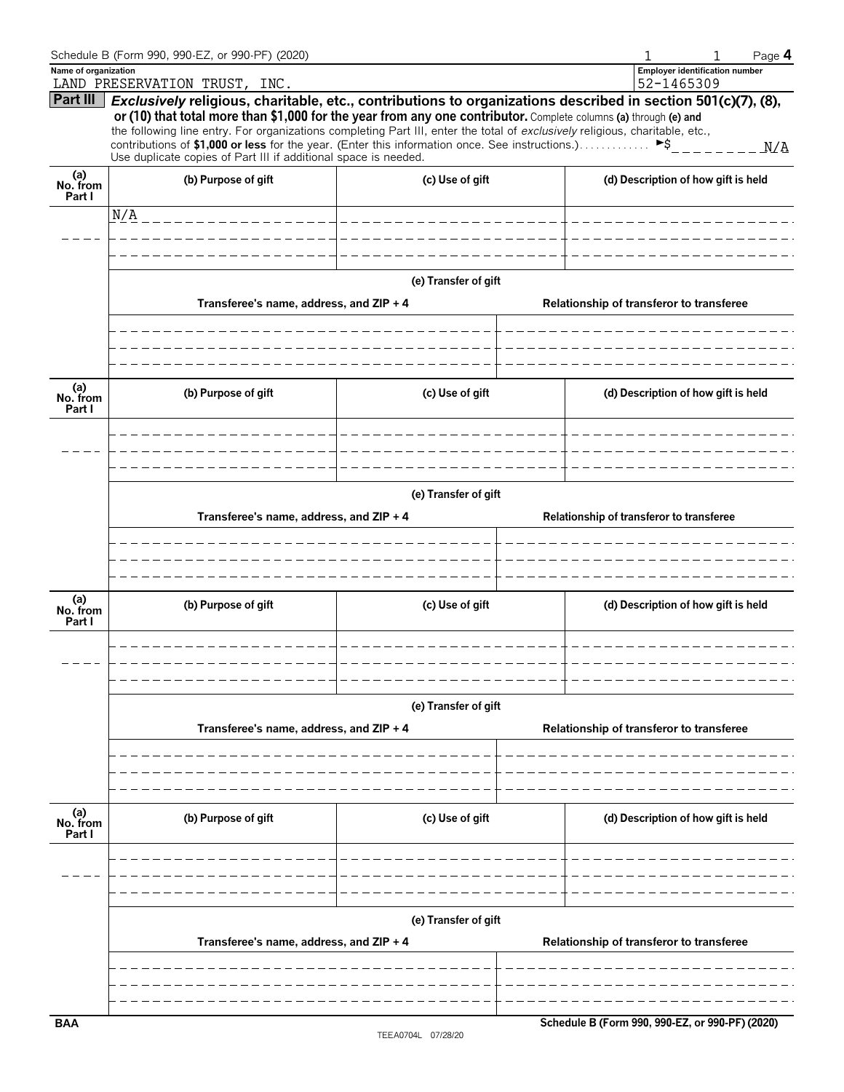|                           | Schedule B (Form 990, 990-EZ, or 990-PF) (2020)                                                                                                                                                                                                  |                       |                                          |                                                     | Page 4 |  |  |
|---------------------------|--------------------------------------------------------------------------------------------------------------------------------------------------------------------------------------------------------------------------------------------------|-----------------------|------------------------------------------|-----------------------------------------------------|--------|--|--|
| Name of organization      | LAND PRESERVATION TRUST, INC.                                                                                                                                                                                                                    |                       |                                          | <b>Employer identification number</b><br>52-1465309 |        |  |  |
| Part III                  | Exclusively religious, charitable, etc., contributions to organizations described in section 501(c)(7), (8),                                                                                                                                     |                       |                                          |                                                     |        |  |  |
|                           | or (10) that total more than \$1,000 for the year from any one contributor. Complete columns (a) through (e) and<br>the following line entry. For organizations completing Part III, enter the total of exclusively religious, charitable, etc., |                       |                                          |                                                     |        |  |  |
|                           | contributions of \$1,000 or less for the year. (Enter this information once. See instructions.)                                                                                                                                                  |                       |                                          | $\blacktriangleright$ \$                            | N/A    |  |  |
|                           | Use duplicate copies of Part III if additional space is needed.                                                                                                                                                                                  |                       |                                          |                                                     |        |  |  |
| (a)<br>No. from<br>Part I | (b) Purpose of gift                                                                                                                                                                                                                              | (c) Use of gift       |                                          | (d) Description of how gift is held                 |        |  |  |
|                           | N/A<br>_________________                                                                                                                                                                                                                         | _____________________ |                                          |                                                     |        |  |  |
|                           |                                                                                                                                                                                                                                                  |                       |                                          |                                                     |        |  |  |
|                           |                                                                                                                                                                                                                                                  |                       |                                          |                                                     |        |  |  |
|                           |                                                                                                                                                                                                                                                  | (e) Transfer of gift  |                                          |                                                     |        |  |  |
|                           | Transferee's name, address, and ZIP + 4                                                                                                                                                                                                          |                       |                                          | Relationship of transferor to transferee            |        |  |  |
|                           |                                                                                                                                                                                                                                                  |                       |                                          |                                                     |        |  |  |
|                           |                                                                                                                                                                                                                                                  |                       |                                          |                                                     |        |  |  |
|                           |                                                                                                                                                                                                                                                  |                       |                                          |                                                     |        |  |  |
| (a)<br>No. from           | (b) Purpose of gift                                                                                                                                                                                                                              | (c) Use of gift       |                                          | (d) Description of how gift is held                 |        |  |  |
| Part I                    |                                                                                                                                                                                                                                                  |                       |                                          |                                                     |        |  |  |
|                           |                                                                                                                                                                                                                                                  |                       |                                          |                                                     |        |  |  |
|                           |                                                                                                                                                                                                                                                  |                       |                                          |                                                     |        |  |  |
|                           |                                                                                                                                                                                                                                                  | (e) Transfer of gift  |                                          |                                                     |        |  |  |
|                           | Transferee's name, address, and ZIP + 4<br>Relationship of transferor to transferee                                                                                                                                                              |                       |                                          |                                                     |        |  |  |
|                           |                                                                                                                                                                                                                                                  |                       |                                          |                                                     |        |  |  |
|                           |                                                                                                                                                                                                                                                  |                       |                                          |                                                     |        |  |  |
|                           |                                                                                                                                                                                                                                                  |                       |                                          |                                                     |        |  |  |
| (a)<br>No. from           | (b) Purpose of gift                                                                                                                                                                                                                              | (c) Use of gift       |                                          | (d) Description of how gift is held                 |        |  |  |
| Part I                    |                                                                                                                                                                                                                                                  |                       |                                          |                                                     |        |  |  |
|                           |                                                                                                                                                                                                                                                  |                       |                                          |                                                     |        |  |  |
|                           |                                                                                                                                                                                                                                                  |                       |                                          |                                                     |        |  |  |
|                           |                                                                                                                                                                                                                                                  |                       |                                          |                                                     |        |  |  |
|                           |                                                                                                                                                                                                                                                  | (e) Transfer of gift  |                                          |                                                     |        |  |  |
|                           | Transferee's name, address, and ZIP + 4                                                                                                                                                                                                          |                       | Relationship of transferor to transferee |                                                     |        |  |  |
|                           |                                                                                                                                                                                                                                                  |                       |                                          |                                                     |        |  |  |
|                           |                                                                                                                                                                                                                                                  |                       |                                          |                                                     |        |  |  |
|                           |                                                                                                                                                                                                                                                  |                       |                                          |                                                     |        |  |  |
| (a)<br>No. from           | (b) Purpose of gift                                                                                                                                                                                                                              | (c) Use of gift       |                                          | (d) Description of how gift is held                 |        |  |  |
| Part I                    |                                                                                                                                                                                                                                                  |                       |                                          |                                                     |        |  |  |
|                           |                                                                                                                                                                                                                                                  |                       |                                          |                                                     |        |  |  |
|                           |                                                                                                                                                                                                                                                  |                       |                                          |                                                     |        |  |  |
|                           |                                                                                                                                                                                                                                                  |                       |                                          |                                                     |        |  |  |
|                           |                                                                                                                                                                                                                                                  | (e) Transfer of gift  |                                          |                                                     |        |  |  |
|                           | Transferee's name, address, and ZIP + 4                                                                                                                                                                                                          |                       |                                          | Relationship of transferor to transferee            |        |  |  |
|                           |                                                                                                                                                                                                                                                  |                       |                                          |                                                     |        |  |  |
|                           |                                                                                                                                                                                                                                                  |                       |                                          |                                                     |        |  |  |
| <b>BAA</b>                |                                                                                                                                                                                                                                                  |                       |                                          | Schedule B (Form 990, 990-EZ, or 990-PF) (2020)     |        |  |  |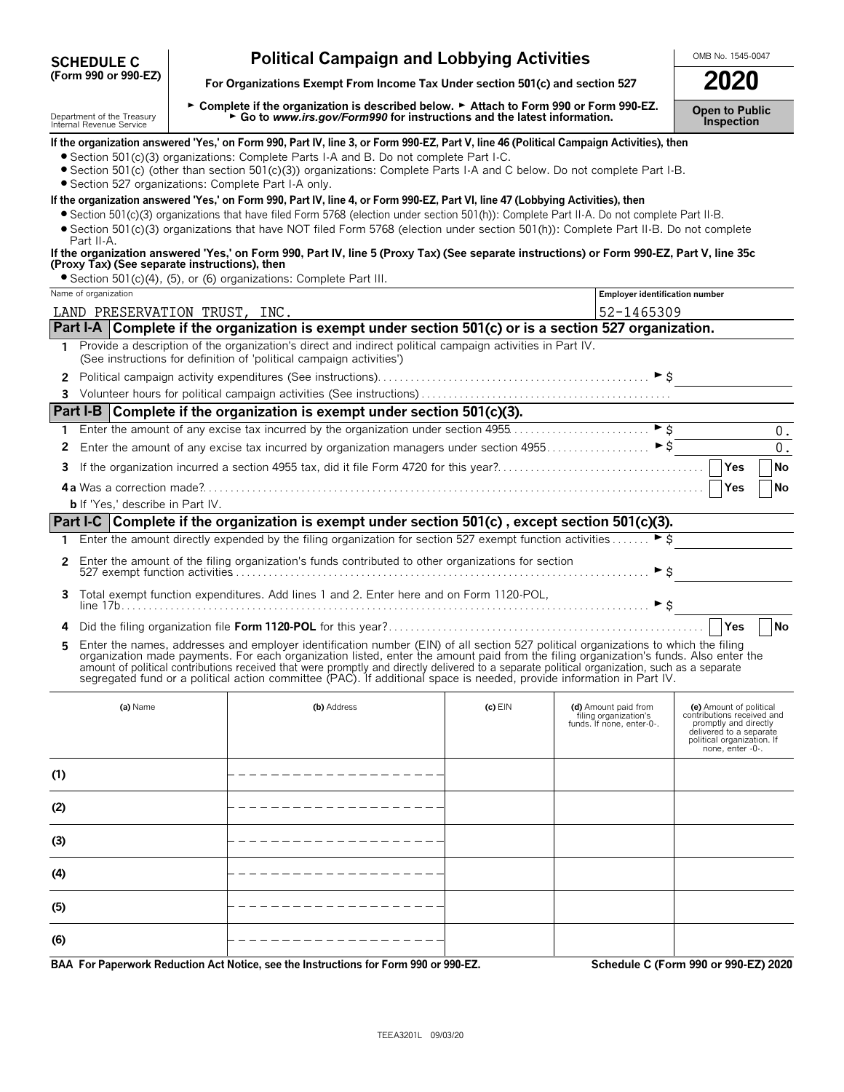| <b>SCHEDULE C</b>    |  |  |  |
|----------------------|--|--|--|
| (Form 990 or 990-EZ) |  |  |  |

# **Political Campaign and Lobbying Activities**  $\frac{\text{OMB No. 1545-0047}}{2020}$

For Organizations Exempt From Income Tax Under section 501(c) and section 527

**(6)**

Department of the Treasury Letton Departe if the organization is described below. ► Attach to Form 990 or Form 990-EZ.<br>Internal Revenue Service Letton Letton Control Museum Letton Control Museum Letton Museum Letton Museu

|              | Internal Revenue Service                             |                                                                                                                                                                                                                                                                                                                                                                                                                |           |                                                    | <b>IIISPECUOLI</b>                                                        |
|--------------|------------------------------------------------------|----------------------------------------------------------------------------------------------------------------------------------------------------------------------------------------------------------------------------------------------------------------------------------------------------------------------------------------------------------------------------------------------------------------|-----------|----------------------------------------------------|---------------------------------------------------------------------------|
|              |                                                      | If the organization answered 'Yes,' on Form 990, Part IV, line 3, or Form 990-EZ, Part V, line 46 (Political Campaign Activities), then                                                                                                                                                                                                                                                                        |           |                                                    |                                                                           |
|              |                                                      | • Section 501(c)(3) organizations: Complete Parts I-A and B. Do not complete Part I-C.<br>• Section 501(c) (other than section 501(c)(3)) organizations: Complete Parts I-A and C below. Do not complete Part I-B.                                                                                                                                                                                             |           |                                                    |                                                                           |
|              | · Section 527 organizations: Complete Part I-A only. |                                                                                                                                                                                                                                                                                                                                                                                                                |           |                                                    |                                                                           |
|              |                                                      | If the organization answered 'Yes,' on Form 990, Part IV, line 4, or Form 990-EZ, Part VI, line 47 (Lobbying Activities), then                                                                                                                                                                                                                                                                                 |           |                                                    |                                                                           |
|              |                                                      | • Section 501(c)(3) organizations that have filed Form 5768 (election under section 501(h)): Complete Part II-A. Do not complete Part II-B.<br>Section 501(c)(3) organizations that have NOT filed Form 5768 (election under section 501(h)): Complete Part II-B. Do not complete                                                                                                                              |           |                                                    |                                                                           |
|              | Part II-A.                                           |                                                                                                                                                                                                                                                                                                                                                                                                                |           |                                                    |                                                                           |
|              | (Proxy Tax) (See separate instructions), then        | If the organization answered 'Yes,' on Form 990, Part IV, line 5 (Proxy Tax) (See separate instructions) or Form 990-EZ, Part V, line 35c                                                                                                                                                                                                                                                                      |           |                                                    |                                                                           |
|              |                                                      | • Section 501(c)(4), (5), or (6) organizations: Complete Part III.                                                                                                                                                                                                                                                                                                                                             |           |                                                    |                                                                           |
|              | Name of organization                                 |                                                                                                                                                                                                                                                                                                                                                                                                                |           | <b>Employer identification number</b>              |                                                                           |
|              | LAND PRESERVATION TRUST, INC.                        |                                                                                                                                                                                                                                                                                                                                                                                                                |           | 52-1465309                                         |                                                                           |
|              |                                                      | Part I-A Complete if the organization is exempt under section 501(c) or is a section 527 organization.                                                                                                                                                                                                                                                                                                         |           |                                                    |                                                                           |
| 1            |                                                      | Provide a description of the organization's direct and indirect political campaign activities in Part IV.<br>(See instructions for definition of 'political campaign activities')                                                                                                                                                                                                                              |           |                                                    |                                                                           |
| $\mathbf{2}$ |                                                      |                                                                                                                                                                                                                                                                                                                                                                                                                |           |                                                    |                                                                           |
|              |                                                      |                                                                                                                                                                                                                                                                                                                                                                                                                |           |                                                    |                                                                           |
|              |                                                      | Part I-B Complete if the organization is exempt under section 501(c)(3).                                                                                                                                                                                                                                                                                                                                       |           |                                                    |                                                                           |
| 1            |                                                      | Enter the amount of any excise tax incurred by the organization under section 4955                                                                                                                                                                                                                                                                                                                             |           | $\triangleright$ \$                                | $0$ .                                                                     |
| 2            |                                                      |                                                                                                                                                                                                                                                                                                                                                                                                                |           |                                                    | $0$ .                                                                     |
| 3            |                                                      |                                                                                                                                                                                                                                                                                                                                                                                                                |           |                                                    | Yes<br><b>No</b>                                                          |
|              |                                                      |                                                                                                                                                                                                                                                                                                                                                                                                                |           |                                                    | Yes<br>No                                                                 |
|              | <b>b</b> If 'Yes,' describe in Part IV.              |                                                                                                                                                                                                                                                                                                                                                                                                                |           |                                                    |                                                                           |
|              |                                                      | Part I-C Complete if the organization is exempt under section 501(c), except section 501(c)(3).                                                                                                                                                                                                                                                                                                                |           |                                                    |                                                                           |
| 1            |                                                      | Enter the amount directly expended by the filing organization for section 527 exempt function activities                                                                                                                                                                                                                                                                                                       |           | ► \$                                               |                                                                           |
| 2            |                                                      | Enter the amount of the filing organization's funds contributed to other organizations for section                                                                                                                                                                                                                                                                                                             |           | ► \$                                               |                                                                           |
| 3            |                                                      | Total exempt function expenditures. Add lines 1 and 2. Enter here and on Form 1120-POL,                                                                                                                                                                                                                                                                                                                        |           | $\blacktriangleright$ \$                           |                                                                           |
| 4            |                                                      |                                                                                                                                                                                                                                                                                                                                                                                                                |           |                                                    | Yes<br><b>No</b>                                                          |
| 5            |                                                      | Enter the names, addresses and employer identification number (EIN) of all section 527 political organizations to which the filing                                                                                                                                                                                                                                                                             |           |                                                    |                                                                           |
|              |                                                      | organization made payments. For each organization listed, enter the amount paid from the filing organization's funds. Also enter the<br>amount of political contributions received that were promptly and directly delivered to a separate political organization, such as a separate<br>segregated fund or a political action committee (PAC). If additional space is needed, provide information in Part IV. |           |                                                    |                                                                           |
|              | (a) Name                                             | (b) Address                                                                                                                                                                                                                                                                                                                                                                                                    | $(c)$ EIN | (d) Amount paid from                               | (e) Amount of political                                                   |
|              |                                                      |                                                                                                                                                                                                                                                                                                                                                                                                                |           | filing organization's<br>funds. If none, enter-0-. | contributions received and<br>promptly and directly                       |
|              |                                                      |                                                                                                                                                                                                                                                                                                                                                                                                                |           |                                                    | delivered to a separate<br>political organization. If<br>none, enter -0-. |
|              |                                                      |                                                                                                                                                                                                                                                                                                                                                                                                                |           |                                                    |                                                                           |
| (1)          |                                                      |                                                                                                                                                                                                                                                                                                                                                                                                                |           |                                                    |                                                                           |
| (2)          |                                                      |                                                                                                                                                                                                                                                                                                                                                                                                                |           |                                                    |                                                                           |
| (3)          |                                                      |                                                                                                                                                                                                                                                                                                                                                                                                                |           |                                                    |                                                                           |
| (4)          |                                                      |                                                                                                                                                                                                                                                                                                                                                                                                                |           |                                                    |                                                                           |
| (5)          |                                                      |                                                                                                                                                                                                                                                                                                                                                                                                                |           |                                                    |                                                                           |

**BAA For Paperwork Reduction Act Notice, see the Instructions for Form 990 or 990-EZ. Schedule C (Form 990 or 990-EZ) 2020**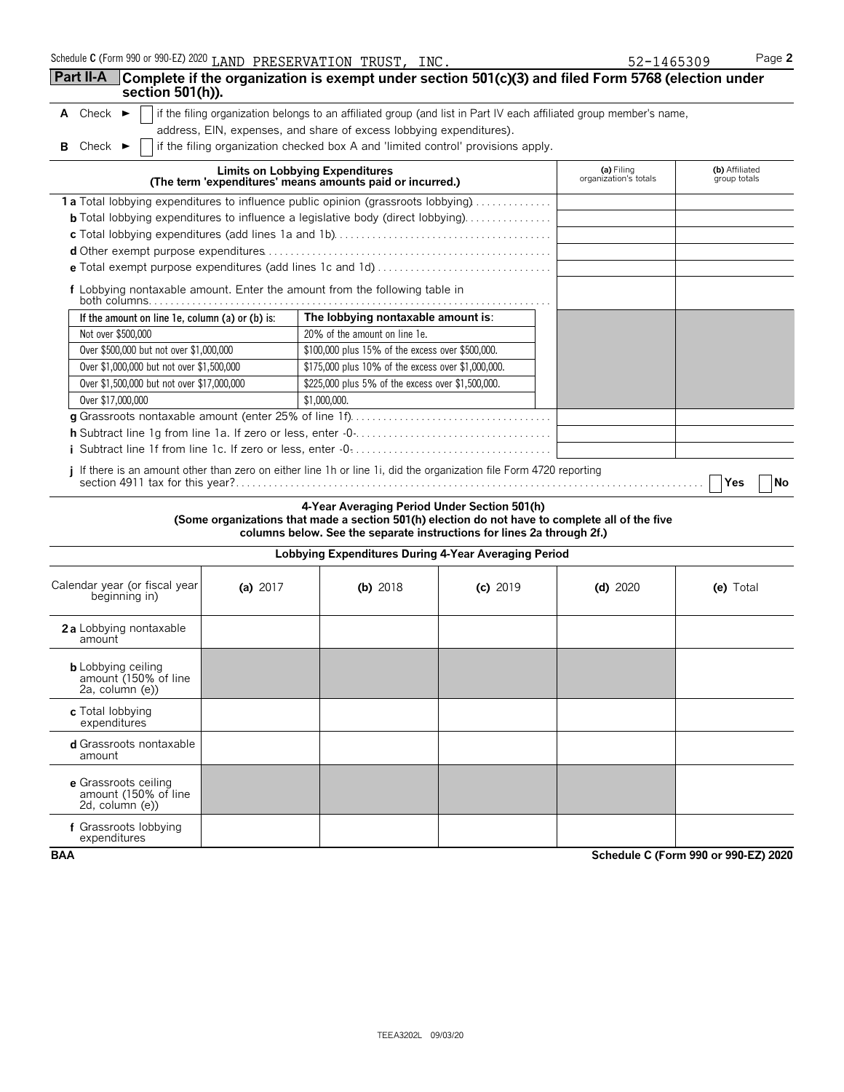| Schedule <b>C</b> (Form 990 or 990-EZ) 2020 $\,$ LAND $\,$ PRESERVATION $\,$ TRUST, $\,$ INC $\,$ |  |  |  |
|---------------------------------------------------------------------------------------------------|--|--|--|
|---------------------------------------------------------------------------------------------------|--|--|--|

|                                                                            | Schedule C (Form 990 or 990-EZ) 2020 LAND PRESERVATION TRUST, INC.                                                  | 52-1465309                          | Page 2                         |  |  |  |  |  |
|----------------------------------------------------------------------------|---------------------------------------------------------------------------------------------------------------------|-------------------------------------|--------------------------------|--|--|--|--|--|
| <b>Part II-A</b><br>section 501(h)).                                       | Complete if the organization is exempt under section 501(c)(3) and filed Form 5768 (election under                  |                                     |                                |  |  |  |  |  |
| A Check $\blacktriangleright$                                              | if the filing organization belongs to an affiliated group (and list in Part IV each affiliated group member's name, |                                     |                                |  |  |  |  |  |
|                                                                            | address, EIN, expenses, and share of excess lobbying expenditures).                                                 |                                     |                                |  |  |  |  |  |
| <b>B</b> Check $\blacktriangleright$                                       | if the filing organization checked box A and 'limited control' provisions apply.                                    |                                     |                                |  |  |  |  |  |
|                                                                            | Limits on Lobbying Expenditures<br>(The term 'expenditures' means amounts paid or incurred.)                        | (a) Filing<br>organization's totals | (b) Affiliated<br>group totals |  |  |  |  |  |
|                                                                            | 1a Total lobbying expenditures to influence public opinion (grassroots lobbying)                                    |                                     |                                |  |  |  |  |  |
|                                                                            | <b>b</b> Total lobbying expenditures to influence a legislative body (direct lobbying)                              |                                     |                                |  |  |  |  |  |
|                                                                            |                                                                                                                     |                                     |                                |  |  |  |  |  |
|                                                                            |                                                                                                                     |                                     |                                |  |  |  |  |  |
|                                                                            |                                                                                                                     |                                     |                                |  |  |  |  |  |
| f Lobbying nontaxable amount. Enter the amount from the following table in |                                                                                                                     |                                     |                                |  |  |  |  |  |
| If the amount on line 1e, column (a) or (b) is:                            | The lobbying nontaxable amount is:                                                                                  |                                     |                                |  |  |  |  |  |
| Not over \$500,000                                                         | 20% of the amount on line 1e.                                                                                       |                                     |                                |  |  |  |  |  |
| Over \$500,000 but not over \$1,000,000                                    | \$100,000 plus 15% of the excess over \$500,000.                                                                    |                                     |                                |  |  |  |  |  |
| Over \$1,000,000 but not over \$1,500,000                                  | \$175,000 plus 10% of the excess over \$1,000,000.                                                                  |                                     |                                |  |  |  |  |  |
| Over \$1,500,000 but not over \$17,000,000                                 | \$225,000 plus 5% of the excess over \$1,500,000.                                                                   |                                     |                                |  |  |  |  |  |
| Over \$17,000,000                                                          | \$1,000,000.                                                                                                        |                                     |                                |  |  |  |  |  |
|                                                                            |                                                                                                                     |                                     |                                |  |  |  |  |  |
|                                                                            |                                                                                                                     |                                     |                                |  |  |  |  |  |
|                                                                            |                                                                                                                     |                                     |                                |  |  |  |  |  |
|                                                                            | i If there is an amount other than zero on either line 1h or line 1i, did the organization file Form 4720 reporting |                                     | Yes<br>No                      |  |  |  |  |  |

### **4-Year Averaging Period Under Section 501(h) (Some organizations that made a section 501(h) election do not have to complete all of the five columns below. See the separate instructions for lines 2a through 2f.)**

## **Lobbying Expenditures During 4-Year Averaging Period** Calendar year (or fiscal year **(a)** 2017 **(b)** 2018 **(c)** 2019 **(d)** 2020 **(e)** Total beginning in) **2 a** Lobbying nontaxable amount **b** Lobbying ceiling<br>amount (150% of line<br>2a, column (e)) **c** Total lobbying expenditures **d** Grassroots nontaxable amount **e** Grassroots ceiling amount (150% of line 2d, column (e)) **f** Grassroots lobbying expenditures

**BAA Schedule C (Form 990 or 990-EZ) 2020**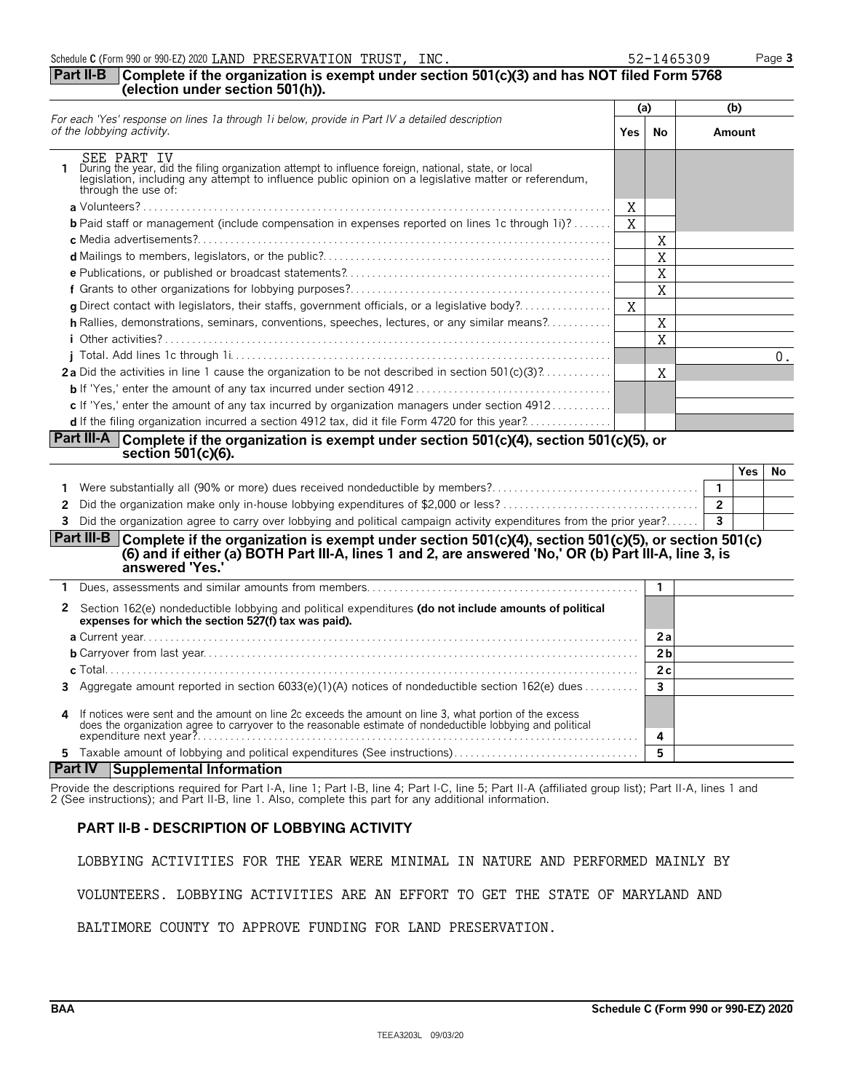|  |  |  | Schedule C (Form 990 or 990-EZ) 2020 LAND PRESERVATION TRUST, |  | INC. | 52-1465309 | $\circ$ age $\circ$ |
|--|--|--|---------------------------------------------------------------|--|------|------------|---------------------|
|--|--|--|---------------------------------------------------------------|--|------|------------|---------------------|

### **Part II-B Complete if the organization is exempt under section 501(c)(3) and has NOT filed Form 5768 (election under section 501(h)).**

| For each 'Yes' response on lines 1a through 1i below, provide in Part IV a detailed description<br>of the lobbying activity.<br><b>Yes</b>                                                                                                               |   | (a) | (b)                     |        |     |  |
|----------------------------------------------------------------------------------------------------------------------------------------------------------------------------------------------------------------------------------------------------------|---|-----|-------------------------|--------|-----|--|
|                                                                                                                                                                                                                                                          |   | No  |                         | Amount |     |  |
| SEE PART TV<br>During the year, did the filing organization attempt to influence foreign, national, state, or local<br>legislation, including any attempt to influence public opinion on a legislative matter or referendum,<br>through the use of:      |   |     |                         |        |     |  |
|                                                                                                                                                                                                                                                          | X |     |                         |        |     |  |
| <b>b</b> Paid staff or management (include compensation in expenses reported on lines 1c through 1i)?                                                                                                                                                    | X |     |                         |        |     |  |
|                                                                                                                                                                                                                                                          |   | X   |                         |        |     |  |
|                                                                                                                                                                                                                                                          |   | X   |                         |        |     |  |
|                                                                                                                                                                                                                                                          |   | X   |                         |        |     |  |
|                                                                                                                                                                                                                                                          |   | X   |                         |        |     |  |
| <b>g</b> Direct contact with legislators, their staffs, government officials, or a legislative body?                                                                                                                                                     | X |     |                         |        |     |  |
| h Rallies, demonstrations, seminars, conventions, speeches, lectures, or any similar means?                                                                                                                                                              |   | X   |                         |        |     |  |
|                                                                                                                                                                                                                                                          |   | X   |                         |        |     |  |
|                                                                                                                                                                                                                                                          |   |     |                         |        | 0.  |  |
| <b>2a</b> Did the activities in line 1 cause the organization to be not described in section $501(c)(3)$ ?                                                                                                                                               |   | X   |                         |        |     |  |
|                                                                                                                                                                                                                                                          |   |     |                         |        |     |  |
| c If 'Yes,' enter the amount of any tax incurred by organization managers under section $4912$                                                                                                                                                           |   |     |                         |        |     |  |
| d If the filing organization incurred a section 4912 tax, did it file Form 4720 for this year?                                                                                                                                                           |   |     |                         |        |     |  |
| <b>Part III-A</b> Complete if the organization is exempt under section 501(c)(4), section 501(c)(5), or<br>section $501(c)(6)$ .                                                                                                                         |   |     |                         |        |     |  |
|                                                                                                                                                                                                                                                          |   |     |                         | Yes    | No. |  |
| Were substantially all (90% or more) dues received nondeductible by members?<br>1                                                                                                                                                                        |   |     | $\overline{1}$          |        |     |  |
| 2                                                                                                                                                                                                                                                        |   |     | $\overline{2}$          |        |     |  |
| Did the organization agree to carry over lobbying and political campaign activity expenditures from the prior year?<br>3                                                                                                                                 |   |     | $\overline{\mathbf{3}}$ |        |     |  |
| Part III-B <br>Complete if the organization is exempt under section $501(c)(4)$ , section $501(c)(5)$ , or section $501(c)$<br>(6) and if either (a) BOTH Part III-A, lines 1 and 2, are answered 'No,' OR (b) Part III-A, line 3, is<br>answered 'Yes.' |   |     |                         |        |     |  |

### **1** Dues, assessments and similar amounts from members. . . . . . . . . . . . . . . . . . . . . . . . . . . . . . . . . . . . . . . . . . . . . . . . . . **1 2** Section 162(e) nondeductible lobbying and political expenditures **(do not include amounts of political expenses for which the section 527(f) tax was paid). a** Current year. . . . . . . . . . . . . . . . . . . . . . . . . . . . . . . . . . . . . . . . . . . . . . . . . . . . . . . . . . . . . . . . . . . . . . . . . . . . . . . . . . . . . . . . . . . **2 a b** Carryover from last year. . . . . . . . . . . . . . . . . . . . . . . . . . . . . . . . . . . . . . . . . . . . . . . . . . . . . . . . . . . . . . . . . . . . . . . . . . . . . . . . **2 b c** Total. . . . . . . . . . . . . . . . . . . . . . . . . . . . . . . . . . . . . . . . . . . . . . . . . . . . . . . . . . . . . . . . . . . . . . . . . . . . . . . . . . . . . . . . . . . . . . . . . . **2 c 3** Aggregate amount reported in section 6033(e)(1)(A) notices of nondeductible section 162(e) dues . . . . . . . . . . **3 4** If notices were sent and the amount on line 2c exceeds the amount on line 3, what portion of the excess does the organization agree to carryover to the reasonable estimate of nondeductible lobbying and political

### **Part IV Supplemental Information**

Provide the descriptions required for Part I-A, line 1; Part I-B, line 4; Part I-C, line 5; Part II-A (affiliated group list); Part II-A, lines 1 and 2 (See instructions); and Part II-B, line 1. Also, complete this part for any additional information.

expenditure next year?. . . . . . . . . . . . . . . . . . . . . . . . . . . . . . . . . . . . . . . . . . . . . . . . . . . . . . . . . . . . . . . . . . . . . . . . . . . . . . . . . **4 5** Taxable amount of lobbying and political expenditures (See instructions). . . . . . . . . . . . . . . . . . . . . . . . . . . . . . . . . . **5**

### **PART II-B - DESCRIPTION OF LOBBYING ACTIVITY**

LOBBYING ACTIVITIES FOR THE YEAR WERE MINIMAL IN NATURE AND PERFORMED MAINLY BY

VOLUNTEERS. LOBBYING ACTIVITIES ARE AN EFFORT TO GET THE STATE OF MARYLAND AND

BALTIMORE COUNTY TO APPROVE FUNDING FOR LAND PRESERVATION.

52-1465309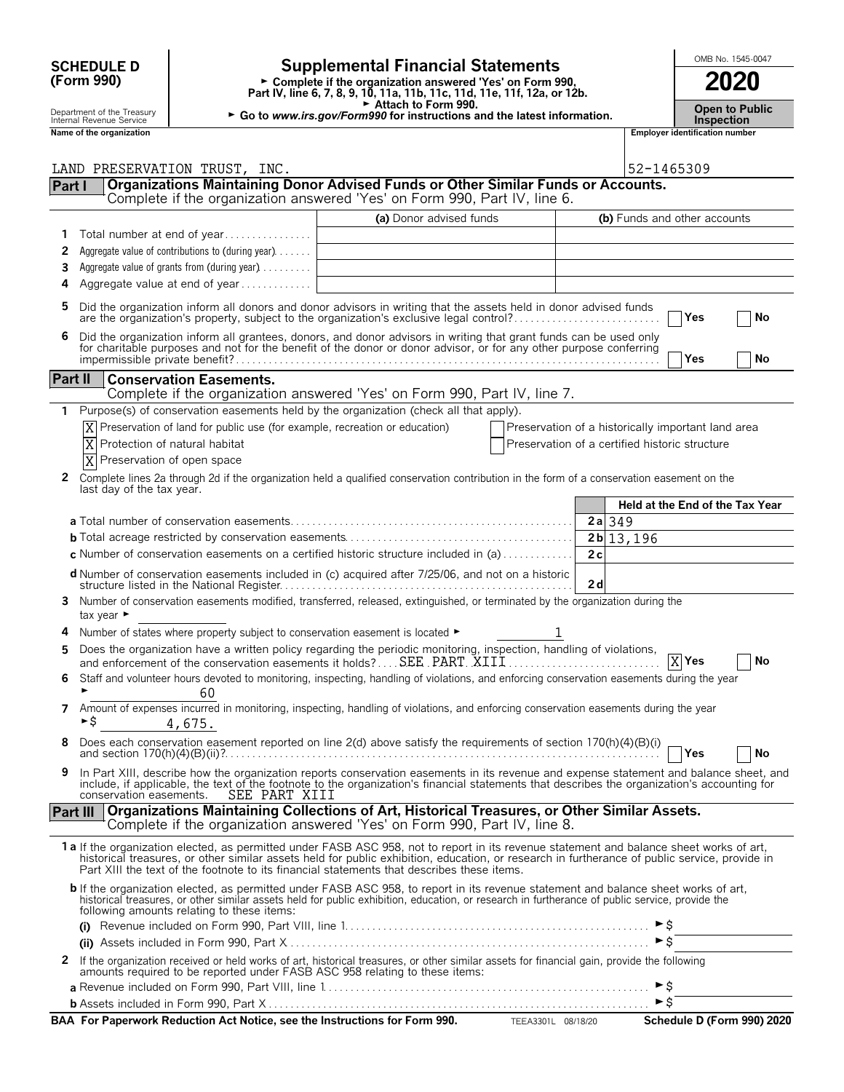| <b>SCHEDULE D</b> |  |
|-------------------|--|
| (Form 990)        |  |

### **SCHEDULE D Supplemental Financial Statements CHEDULE D COOL**

**Part IV, line 6, 7, 8, 9, 10, 11a, 11b, 11c, 11d, 11e, 11f, 12a, or 12b.**<br>
Part IV, line 6, 7, 8, 9, 10, 11a, 11b, 11c, 11d, 11e, 11f, 12a, or 12b.

Attach to Form 990.

Department of the Treasury **Constitution Compartment of the Treasury <b>Constitution Compartment of the Treasury Public**<br>Inspection **Inspection**<br>**Name of the organization** 

**Name of the organization Employer identification number**

|          | LAND PRESERVATION TRUST, INC.                                                                                                                                                                                                                                                                                                                                                          |                         |                                                | 52-1465309                                         |
|----------|----------------------------------------------------------------------------------------------------------------------------------------------------------------------------------------------------------------------------------------------------------------------------------------------------------------------------------------------------------------------------------------|-------------------------|------------------------------------------------|----------------------------------------------------|
| Part I   | Organizations Maintaining Donor Advised Funds or Other Similar Funds or Accounts.                                                                                                                                                                                                                                                                                                      |                         |                                                |                                                    |
|          | Complete if the organization answered 'Yes' on Form 990, Part IV, line 6.                                                                                                                                                                                                                                                                                                              |                         |                                                |                                                    |
|          |                                                                                                                                                                                                                                                                                                                                                                                        | (a) Donor advised funds |                                                | (b) Funds and other accounts                       |
| 1        | Total number at end of year                                                                                                                                                                                                                                                                                                                                                            |                         |                                                |                                                    |
| 2        | Aggregate value of contributions to (during year).                                                                                                                                                                                                                                                                                                                                     |                         |                                                |                                                    |
| 3        | Aggregate value of grants from (during year)                                                                                                                                                                                                                                                                                                                                           |                         |                                                |                                                    |
| 4        | Aggregate value at end of year                                                                                                                                                                                                                                                                                                                                                         |                         |                                                |                                                    |
|          |                                                                                                                                                                                                                                                                                                                                                                                        |                         |                                                |                                                    |
| 5        | Did the organization inform all donors and donor advisors in writing that the assets held in donor advised funds<br>are the organization's property, subject to the organization's exclusive legal control?                                                                                                                                                                            |                         |                                                | Yes<br>No                                          |
| 6        | Did the organization inform all grantees, donors, and donor advisors in writing that grant funds can be used only for charitable purposes and not for the benefit of the donor or donor advisor, or for any other purpose conf                                                                                                                                                         |                         |                                                | Yes<br>No                                          |
| Part II  | <b>Conservation Easements.</b>                                                                                                                                                                                                                                                                                                                                                         |                         |                                                |                                                    |
|          | Complete if the organization answered 'Yes' on Form 990, Part IV, line 7.                                                                                                                                                                                                                                                                                                              |                         |                                                |                                                    |
| 1        | Purpose(s) of conservation easements held by the organization (check all that apply).                                                                                                                                                                                                                                                                                                  |                         |                                                |                                                    |
|          | Preservation of land for public use (for example, recreation or education)                                                                                                                                                                                                                                                                                                             |                         |                                                | Preservation of a historically important land area |
|          | X<br>Protection of natural habitat                                                                                                                                                                                                                                                                                                                                                     |                         | Preservation of a certified historic structure |                                                    |
|          | ΙX<br>Preservation of open space                                                                                                                                                                                                                                                                                                                                                       |                         |                                                |                                                    |
| 2        | Complete lines 2a through 2d if the organization held a qualified conservation contribution in the form of a conservation easement on the                                                                                                                                                                                                                                              |                         |                                                |                                                    |
|          | last day of the tax year.                                                                                                                                                                                                                                                                                                                                                              |                         |                                                |                                                    |
|          |                                                                                                                                                                                                                                                                                                                                                                                        |                         |                                                | Held at the End of the Tax Year                    |
|          |                                                                                                                                                                                                                                                                                                                                                                                        |                         | $2a$ 349                                       |                                                    |
|          |                                                                                                                                                                                                                                                                                                                                                                                        |                         | $2b$  13,196                                   |                                                    |
|          | c Number of conservation easements on a certified historic structure included in (a) $\dots \dots \dots$                                                                                                                                                                                                                                                                               |                         | 2c                                             |                                                    |
|          | <b>d</b> Number of conservation easements included in (c) acquired after 7/25/06, and not on a historic                                                                                                                                                                                                                                                                                |                         | 2d                                             |                                                    |
| 3        | Number of conservation easements modified, transferred, released, extinguished, or terminated by the organization during the<br>tax year ►                                                                                                                                                                                                                                             |                         |                                                |                                                    |
|          | Number of states where property subject to conservation easement is located ►                                                                                                                                                                                                                                                                                                          |                         | 1                                              |                                                    |
| 5        | Does the organization have a written policy regarding the periodic monitoring, inspection, handling of violations,                                                                                                                                                                                                                                                                     |                         |                                                |                                                    |
|          | and enforcement of the conservation easements it holds? SEE PART XIII                                                                                                                                                                                                                                                                                                                  |                         |                                                | $X$ Yes<br>No                                      |
| 6        | Staff and volunteer hours devoted to monitoring, inspecting, handling of violations, and enforcing conservation easements during the year<br>60                                                                                                                                                                                                                                        |                         |                                                |                                                    |
| 7        | Amount of expenses incurred in monitoring, inspecting, handling of violations, and enforcing conservation easements during the year<br>►S<br>4,675.                                                                                                                                                                                                                                    |                         |                                                |                                                    |
|          | Does each conservation easement reported on line 2(d) above satisfy the requirements of section 170(h)(4)(B)(i)<br>and section $170(h)(4)(B)(ii)$ ?.                                                                                                                                                                                                                                   |                         |                                                | $\neg$ Yes<br>No                                   |
| 9.       | In Part XIII, describe how the organization reports conservation easements in its revenue and expense statement and balance sheet, and<br>include, if applicable, the text of the footnote to the organization's financial statements that describes the organization's accounting for<br>SEE PART XIII<br>conservation easements.                                                     |                         |                                                |                                                    |
| Part III | Organizations Maintaining Collections of Art, Historical Treasures, or Other Similar Assets.                                                                                                                                                                                                                                                                                           |                         |                                                |                                                    |
|          | Complete if the organization answered 'Yes' on Form 990, Part IV, line 8.                                                                                                                                                                                                                                                                                                              |                         |                                                |                                                    |
|          | 1a If the organization elected, as permitted under FASB ASC 958, not to report in its revenue statement and balance sheet works of art,<br>historical treasures, or other similar assets held for public exhibition, education, or research in furtherance of public service, provide in<br>Part XIII the text of the footnote to its financial statements that describes these items. |                         |                                                |                                                    |
|          | b If the organization elected, as permitted under FASB ASC 958, to report in its revenue statement and balance sheet works of art,<br>historical treasures, or other similar assets held for public exhibition, education, or research in furtherance of public service, provide the<br>following amounts relating to these items:                                                     |                         |                                                |                                                    |
|          |                                                                                                                                                                                                                                                                                                                                                                                        |                         |                                                |                                                    |
|          |                                                                                                                                                                                                                                                                                                                                                                                        |                         |                                                | $\triangleright$ \$                                |
|          | 2 If the organization received or held works of art, historical treasures, or other similar assets for financial gain, provide the following<br>amounts required to be reported under FASB ASC 958 relating to these items:                                                                                                                                                            |                         |                                                |                                                    |
|          |                                                                                                                                                                                                                                                                                                                                                                                        |                         |                                                | ►\$                                                |
|          |                                                                                                                                                                                                                                                                                                                                                                                        |                         |                                                | $\blacktriangleright$ \$                           |
|          | BAA For Paperwork Reduction Act Notice, see the Instructions for Form 990. TEEA3301L 08/18/20                                                                                                                                                                                                                                                                                          |                         |                                                | Schedule D (Form 990) 2020                         |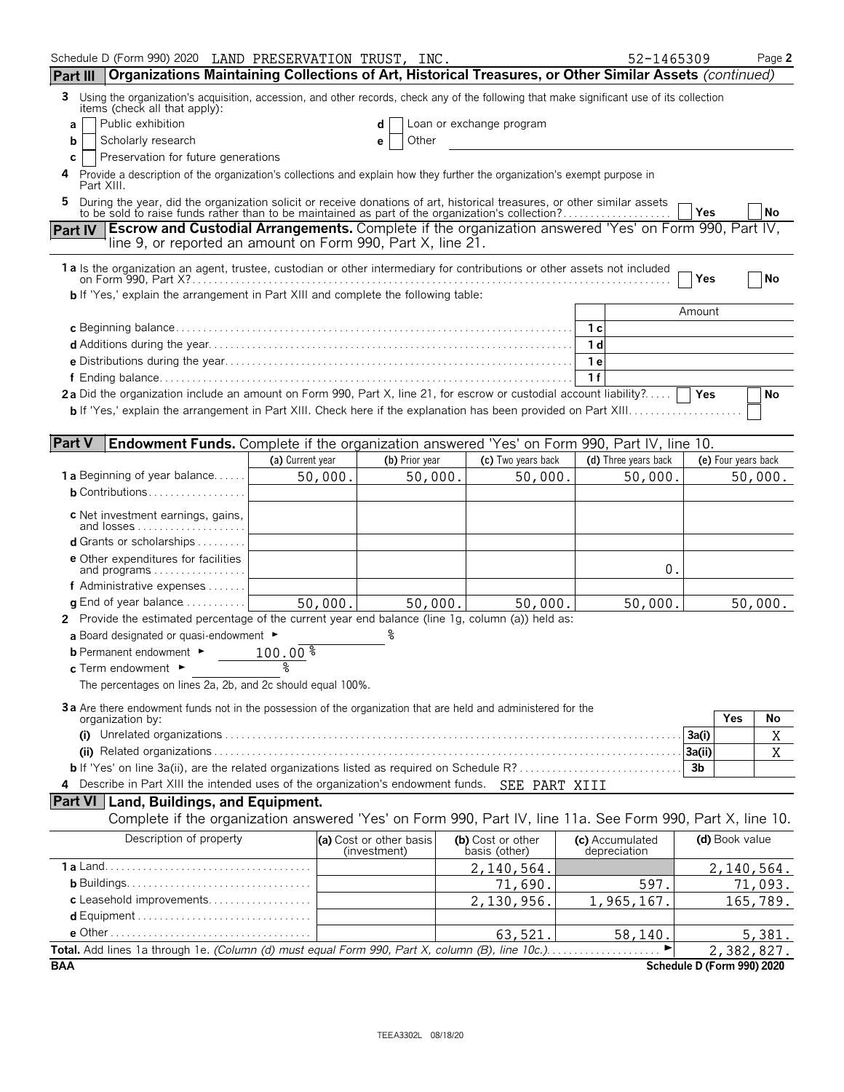| Schedule D (Form 990) 2020 LAND PRESERVATION TRUST, INC.                                                                                                                                                                  |                                                                                                                                                                  |                                         |         |                                    | 52-1465309                      |                |                            | Page 2    |  |
|---------------------------------------------------------------------------------------------------------------------------------------------------------------------------------------------------------------------------|------------------------------------------------------------------------------------------------------------------------------------------------------------------|-----------------------------------------|---------|------------------------------------|---------------------------------|----------------|----------------------------|-----------|--|
| Organizations Maintaining Collections of Art, Historical Treasures, or Other Similar Assets (continued)<br>Part III                                                                                                       |                                                                                                                                                                  |                                         |         |                                    |                                 |                |                            |           |  |
| Using the organization's acquisition, accession, and other records, check any of the following that make significant use of its collection<br>3.<br>items (check all that apply):                                         |                                                                                                                                                                  |                                         |         |                                    |                                 |                |                            |           |  |
| Public exhibition<br>Loan or exchange program<br>a<br>d                                                                                                                                                                   |                                                                                                                                                                  |                                         |         |                                    |                                 |                |                            |           |  |
| Scholarly research<br>Other<br>b                                                                                                                                                                                          |                                                                                                                                                                  |                                         |         |                                    |                                 |                |                            |           |  |
| C<br>4                                                                                                                                                                                                                    | Preservation for future generations<br>Provide a description of the organization's collections and explain how they further the organization's exempt purpose in |                                         |         |                                    |                                 |                |                            |           |  |
| Part XIII.<br>5                                                                                                                                                                                                           |                                                                                                                                                                  |                                         |         |                                    |                                 |                |                            |           |  |
| During the year, did the organization solicit or receive donations of art, historical treasures, or other similar assets to be sold to raise funds rather than to be maintained as part of the organization's collection? |                                                                                                                                                                  |                                         |         |                                    |                                 | Yes            |                            | No        |  |
| Part IV Escrow and Custodial Arrangements. Complete if the organization answered 'Yes' on Form 990, Part IV,                                                                                                              |                                                                                                                                                                  |                                         |         |                                    |                                 |                |                            |           |  |
| line 9, or reported an amount on Form 990, Part X, line 21.                                                                                                                                                               |                                                                                                                                                                  |                                         |         |                                    |                                 |                |                            |           |  |
| 1a Is the organization an agent, trustee, custodian or other intermediary for contributions or other assets not included                                                                                                  |                                                                                                                                                                  |                                         |         |                                    |                                 | Yes            |                            | <b>No</b> |  |
| <b>b</b> If 'Yes,' explain the arrangement in Part XIII and complete the following table:                                                                                                                                 |                                                                                                                                                                  |                                         |         |                                    |                                 |                |                            |           |  |
|                                                                                                                                                                                                                           |                                                                                                                                                                  |                                         |         |                                    |                                 | Amount         |                            |           |  |
|                                                                                                                                                                                                                           |                                                                                                                                                                  |                                         |         |                                    |                                 |                |                            |           |  |
|                                                                                                                                                                                                                           |                                                                                                                                                                  |                                         |         |                                    | 1 d                             |                |                            |           |  |
|                                                                                                                                                                                                                           |                                                                                                                                                                  |                                         |         |                                    | 1e                              |                |                            |           |  |
|                                                                                                                                                                                                                           |                                                                                                                                                                  |                                         |         |                                    | 1f                              |                |                            |           |  |
| 2a Did the organization include an amount on Form 990, Part X, line 21, for escrow or custodial account liability?                                                                                                        |                                                                                                                                                                  |                                         |         |                                    |                                 |                |                            | No        |  |
|                                                                                                                                                                                                                           |                                                                                                                                                                  |                                         |         |                                    |                                 |                |                            |           |  |
| <b>Part V</b><br>Endowment Funds. Complete if the organization answered 'Yes' on Form 990, Part IV, line 10.                                                                                                              |                                                                                                                                                                  |                                         |         |                                    |                                 |                |                            |           |  |
|                                                                                                                                                                                                                           | (a) Current year                                                                                                                                                 | (b) Prior year                          |         | (c) Two years back                 | (d) Three years back            |                | (e) Four years back        |           |  |
| <b>1 a</b> Beginning of year balance                                                                                                                                                                                      | 50,000.                                                                                                                                                          |                                         | 50,000. | 50,000.                            | 50,000.                         |                |                            | 50,000.   |  |
| <b>b</b> Contributions                                                                                                                                                                                                    |                                                                                                                                                                  |                                         |         |                                    |                                 |                |                            |           |  |
| <b>c</b> Net investment earnings, gains,                                                                                                                                                                                  |                                                                                                                                                                  |                                         |         |                                    |                                 |                |                            |           |  |
| <b>d</b> Grants or scholarships $\ldots$                                                                                                                                                                                  |                                                                                                                                                                  |                                         |         |                                    |                                 |                |                            |           |  |
| <b>e</b> Other expenditures for facilities                                                                                                                                                                                |                                                                                                                                                                  |                                         |         |                                    |                                 |                |                            |           |  |
| and programs                                                                                                                                                                                                              |                                                                                                                                                                  |                                         |         |                                    | 0.                              |                |                            |           |  |
| f Administrative expenses                                                                                                                                                                                                 |                                                                                                                                                                  |                                         |         |                                    |                                 |                |                            |           |  |
| <b>g</b> End of year balance $\ldots \ldots \ldots$                                                                                                                                                                       | 50,000.                                                                                                                                                          |                                         | 50,000. | 50,000.                            | 50,000.                         |                |                            | 50,000.   |  |
| 2 Provide the estimated percentage of the current year end balance (line 1g, column (a)) held as:                                                                                                                         |                                                                                                                                                                  |                                         |         |                                    |                                 |                |                            |           |  |
| a Board designated or quasi-endowment $\blacktriangleright$                                                                                                                                                               |                                                                                                                                                                  |                                         |         |                                    |                                 |                |                            |           |  |
| <b>b</b> Permanent endowment ►<br>c Term endowment ►                                                                                                                                                                      | $100.00\text{ }^{\circ}$                                                                                                                                         |                                         |         |                                    |                                 |                |                            |           |  |
| The percentages on lines 2a, 2b, and 2c should equal 100%.                                                                                                                                                                |                                                                                                                                                                  |                                         |         |                                    |                                 |                |                            |           |  |
|                                                                                                                                                                                                                           |                                                                                                                                                                  |                                         |         |                                    |                                 |                |                            |           |  |
| 3 a Are there endowment funds not in the possession of the organization that are held and administered for the<br>organization by:                                                                                        |                                                                                                                                                                  |                                         |         |                                    |                                 |                | <b>Yes</b>                 | No        |  |
|                                                                                                                                                                                                                           |                                                                                                                                                                  |                                         |         |                                    |                                 | 3a(i)          |                            | Χ         |  |
|                                                                                                                                                                                                                           |                                                                                                                                                                  |                                         |         |                                    |                                 | 3a(ii)         |                            | X         |  |
|                                                                                                                                                                                                                           |                                                                                                                                                                  |                                         |         |                                    |                                 | 3 <sub>b</sub> |                            |           |  |
| 4 Describe in Part XIII the intended uses of the organization's endowment funds. SEE PART XIII                                                                                                                            |                                                                                                                                                                  |                                         |         |                                    |                                 |                |                            |           |  |
| <b>Part VI</b> Land, Buildings, and Equipment.                                                                                                                                                                            |                                                                                                                                                                  |                                         |         |                                    |                                 |                |                            |           |  |
| Complete if the organization answered 'Yes' on Form 990, Part IV, line 11a. See Form 990, Part X, line 10.                                                                                                                |                                                                                                                                                                  |                                         |         |                                    |                                 |                |                            |           |  |
| Description of property                                                                                                                                                                                                   |                                                                                                                                                                  | (a) Cost or other basis<br>(investment) |         | (b) Cost or other<br>basis (other) | (c) Accumulated<br>depreciation |                | (d) Book value             |           |  |
|                                                                                                                                                                                                                           |                                                                                                                                                                  |                                         |         | 2,140,564.                         |                                 |                | 2,140,564.                 |           |  |
|                                                                                                                                                                                                                           |                                                                                                                                                                  |                                         |         | 71,690.                            | 597.                            |                |                            | 71,093.   |  |
| c Leasehold improvements                                                                                                                                                                                                  |                                                                                                                                                                  |                                         |         | 2,130,956.                         | 1,965,167.                      |                |                            | 165,789.  |  |
|                                                                                                                                                                                                                           |                                                                                                                                                                  |                                         |         |                                    |                                 |                |                            |           |  |
|                                                                                                                                                                                                                           |                                                                                                                                                                  |                                         |         | 63,521.                            | 58,140.                         |                |                            | 5,381.    |  |
| Total. Add lines 1a through 1e. (Column (d) must equal Form 990, Part X, column (B), line 10c.)                                                                                                                           |                                                                                                                                                                  |                                         |         |                                    |                                 |                | 2,382,827.                 |           |  |
| <b>BAA</b>                                                                                                                                                                                                                |                                                                                                                                                                  |                                         |         |                                    |                                 |                | Schedule D (Form 990) 2020 |           |  |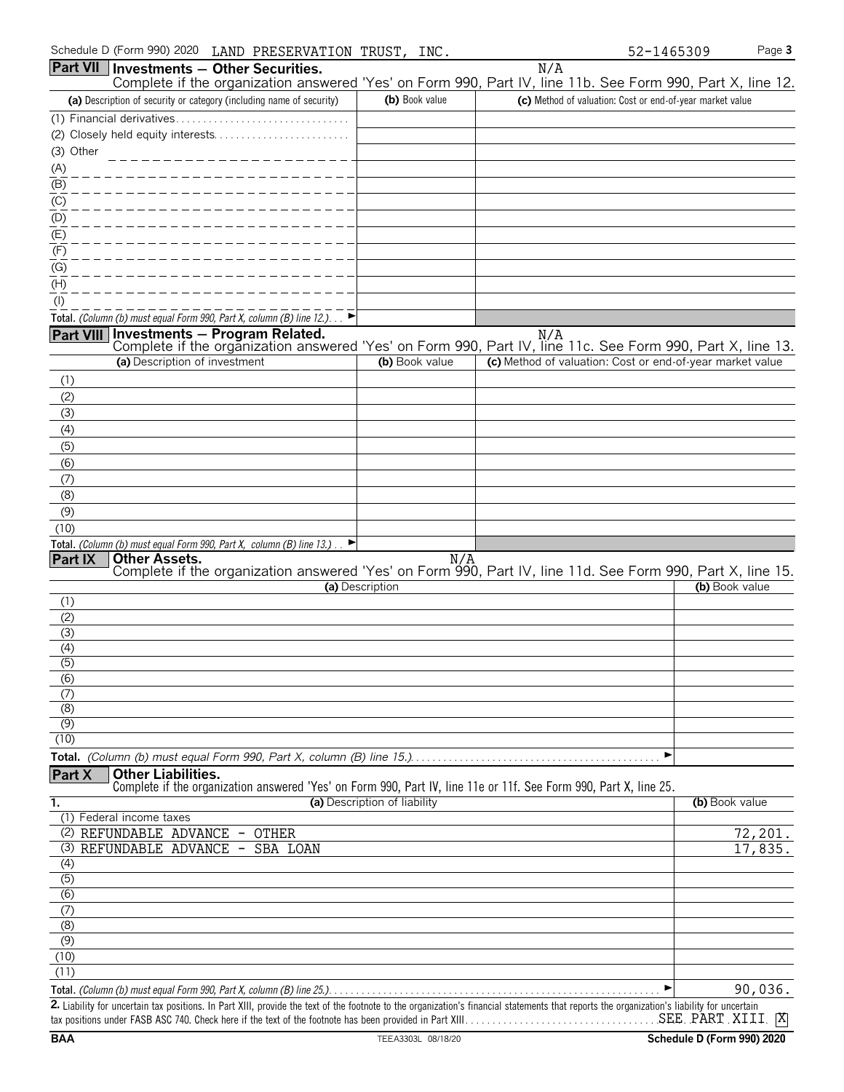| Schedule D (Form 990) 2020<br>LAND PRESERVATION TRUST,                                                                                                   | INC.                         | 52-1465309                                                | Page 3         |
|----------------------------------------------------------------------------------------------------------------------------------------------------------|------------------------------|-----------------------------------------------------------|----------------|
| Part VII   Investments - Other Securities.<br>Complete if the organization answered 'Yes' on Form 990, Part IV, line 11b. See Form 990, Part X, line 12. |                              | N/A                                                       |                |
| (a) Description of security or category (including name of security)                                                                                     | (b) Book value               | (c) Method of valuation: Cost or end-of-year market value |                |
| (1) Financial derivatives                                                                                                                                |                              |                                                           |                |
|                                                                                                                                                          |                              |                                                           |                |
| (3) Other                                                                                                                                                |                              |                                                           |                |
| (A)                                                                                                                                                      |                              |                                                           |                |
| (B)                                                                                                                                                      |                              |                                                           |                |
| (C)                                                                                                                                                      |                              |                                                           |                |
| (D)<br>(E)                                                                                                                                               |                              |                                                           |                |
| (F)                                                                                                                                                      |                              |                                                           |                |
| (G)                                                                                                                                                      |                              |                                                           |                |
| (H)                                                                                                                                                      |                              |                                                           |                |
| $($ l $)$                                                                                                                                                |                              |                                                           |                |
| Total. (Column (b) must equal Form 990, Part X, column (B) line 12.)                                                                                     |                              |                                                           |                |
| Part VIII Investments - Program Related.                                                                                                                 |                              | N/A                                                       |                |
| Complete if the organization answered 'Yes' on Form 990, Part IV, line 11c. See Form 990, Part X, line 13.                                               |                              |                                                           |                |
| (a) Description of investment                                                                                                                            | (b) Book value               | (c) Method of valuation: Cost or end-of-year market value |                |
| (1)                                                                                                                                                      |                              |                                                           |                |
| (2)<br>(3)                                                                                                                                               |                              |                                                           |                |
| (4)                                                                                                                                                      |                              |                                                           |                |
| (5)                                                                                                                                                      |                              |                                                           |                |
| (6)                                                                                                                                                      |                              |                                                           |                |
| (7)                                                                                                                                                      |                              |                                                           |                |
| (8)                                                                                                                                                      |                              |                                                           |                |
| (9)                                                                                                                                                      |                              |                                                           |                |
| (10)                                                                                                                                                     |                              |                                                           |                |
| Total. (Column (b) must equal Form 990, Part X, column (B) line 13.).                                                                                    |                              |                                                           |                |
| Part IX<br><b>Other Assets.</b><br>Complete if the organization answered 'Yes' on Form 990, Part IV, line 11d. See Form 990, Part X, line 15.            | N/A                          |                                                           |                |
|                                                                                                                                                          | (a) Description              |                                                           | (b) Book value |
| (1)                                                                                                                                                      |                              |                                                           |                |
| (2)                                                                                                                                                      |                              |                                                           |                |
| (3)<br>(4)                                                                                                                                               |                              |                                                           |                |
| $\overline{(5)}$                                                                                                                                         |                              |                                                           |                |
| (6)                                                                                                                                                      |                              |                                                           |                |
| (7)                                                                                                                                                      |                              |                                                           |                |
| (8)                                                                                                                                                      |                              |                                                           |                |
| (9)<br>(10)                                                                                                                                              |                              |                                                           |                |
|                                                                                                                                                          |                              | ▶                                                         |                |
| <b>Other Liabilities.</b><br>Part X                                                                                                                      |                              |                                                           |                |
| Complete if the organization answered 'Yes' on Form 990, Part IV, line 11e or 11f. See Form 990, Part X, line 25.                                        |                              |                                                           |                |
| 1.                                                                                                                                                       | (a) Description of liability |                                                           | (b) Book value |
| (1) Federal income taxes                                                                                                                                 |                              |                                                           |                |
| (2) REFUNDABLE ADVANCE -<br><b>OTHER</b><br>(3) REFUNDABLE ADVANCE<br>SBA LOAN                                                                           |                              |                                                           | 72,201.        |
| $\overline{\phantom{a}}$<br>(4)                                                                                                                          |                              |                                                           | 17,835.        |
| $\overline{(5)}$                                                                                                                                         |                              |                                                           |                |
| (6)                                                                                                                                                      |                              |                                                           |                |
| (7)                                                                                                                                                      |                              |                                                           |                |
| (8)                                                                                                                                                      |                              |                                                           |                |
| (9)                                                                                                                                                      |                              |                                                           |                |
| (10)<br>(11)                                                                                                                                             |                              |                                                           |                |
|                                                                                                                                                          |                              |                                                           | 90,036.        |
|                                                                                                                                                          |                              |                                                           |                |

2. Liability for uncertain tax positions. In Part XIII, provide the text of the footnote to the organization's financial statements that reports the organization's liability for uncertain tax positions under FASB ASC 740. Check here if the text of the footnote has been provided in Part XIII. . . . . . . . . . . . . . . . . . . . . . . . . . . . . . . . . . . . . . . . . . . . . . . . . . . . . . . . X SEE PART XIII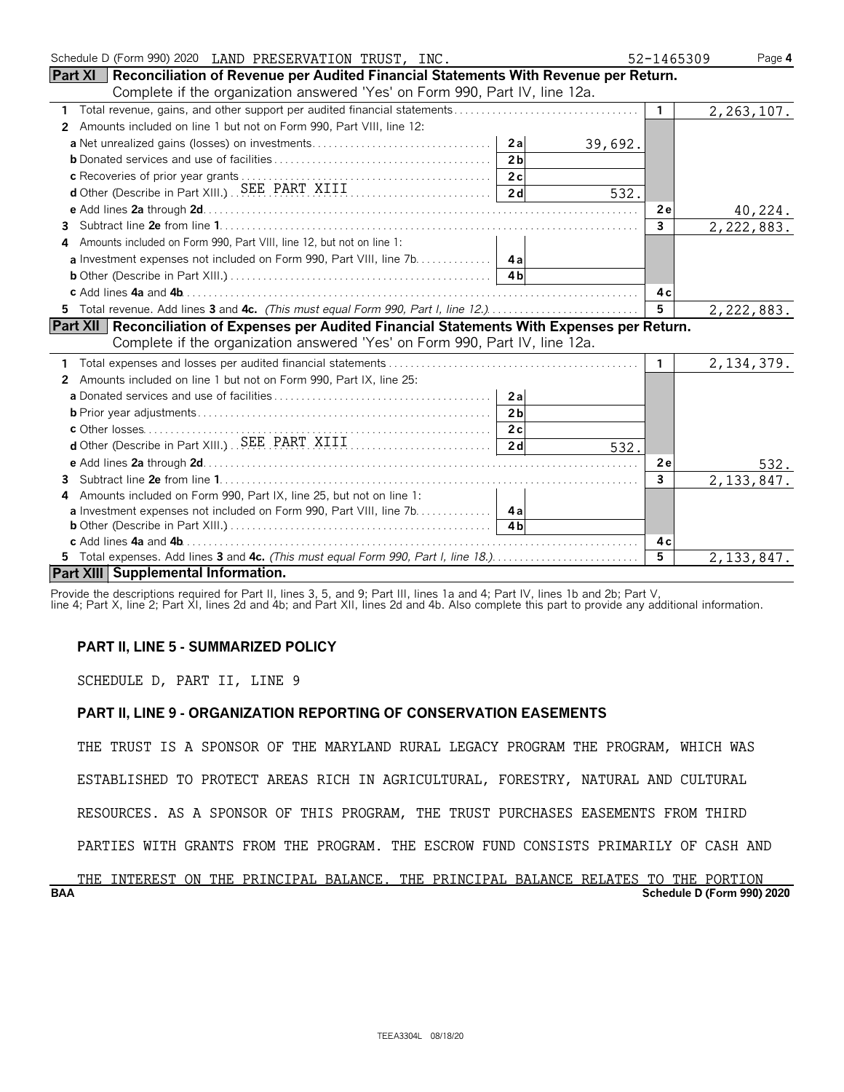| Schedule D (Form 990) 2020 LAND PRESERVATION TRUST, INC.                                              | 52-1465309     | Page 4       |
|-------------------------------------------------------------------------------------------------------|----------------|--------------|
| <b>Part XI</b> Reconciliation of Revenue per Audited Financial Statements With Revenue per Return.    |                |              |
| Complete if the organization answered 'Yes' on Form 990, Part IV, line 12a.                           |                |              |
| $\mathbf{1}$                                                                                          | $\mathbf{1}$   | 2, 263, 107. |
| Amounts included on line 1 but not on Form 990, Part VIII, line 12:<br>2                              |                |              |
| 39,692.                                                                                               |                |              |
| 2 <sub>b</sub>                                                                                        |                |              |
|                                                                                                       |                |              |
| d Other (Describe in Part XIII.) SEE PART XIII [1]<br>532.                                            |                |              |
|                                                                                                       | 2e             | 40,224.      |
| 3.                                                                                                    | $\mathbf{3}$   | 2,222,883.   |
| Amounts included on Form 990, Part VIII, line 12, but not on line 1:                                  |                |              |
|                                                                                                       |                |              |
|                                                                                                       |                |              |
|                                                                                                       | 4с             |              |
| 5 Total revenue. Add lines 3 and 4c. (This must equal Form 990, Part I, line 12.)                     | $5^{\circ}$    | 2,222,883.   |
| <b>Part XII</b> Reconciliation of Expenses per Audited Financial Statements With Expenses per Return. |                |              |
| Complete if the organization answered 'Yes' on Form 990, Part IV, line 12a.                           |                |              |
|                                                                                                       | $\mathbf{1}$   | 2, 134, 379. |
| Amounts included on line 1 but not on Form 990, Part IX, line 25:<br>2                                |                |              |
|                                                                                                       |                |              |
| 2 <sub>b</sub>                                                                                        |                |              |
|                                                                                                       |                |              |
| 2d<br>532.                                                                                            |                |              |
|                                                                                                       | 2e             | 532.         |
| 3                                                                                                     | 3              | 2, 133, 847. |
| Amounts included on Form 990, Part IX, line 25, but not on line 1:<br>4                               |                |              |
| <b>a</b> Investment expenses not included on Form 990, Part VIII, line 7b. 4a                         |                |              |
|                                                                                                       |                |              |
|                                                                                                       | 4 c            |              |
|                                                                                                       | $\overline{5}$ | 2, 133, 847. |
| Part XIII Supplemental Information.                                                                   |                |              |

Provide the descriptions required for Part II, lines 3, 5, and 9; Part III, lines 1a and 4; Part IV, lines 1b and 2b; Part V,

line 4; Part X, line 2; Part XI, lines 2d and 4b; and Part XII, lines 2d and 4b. Also complete this part to provide any additional information.

### **PART II, LINE 5 - SUMMARIZED POLICY**

SCHEDULE D, PART II, LINE 9

### **PART II, LINE 9 - ORGANIZATION REPORTING OF CONSERVATION EASEMENTS**

THE TRUST IS A SPONSOR OF THE MARYLAND RURAL LEGACY PROGRAM THE PROGRAM, WHICH WAS

ESTABLISHED TO PROTECT AREAS RICH IN AGRICULTURAL, FORESTRY, NATURAL AND CULTURAL

RESOURCES. AS A SPONSOR OF THIS PROGRAM, THE TRUST PURCHASES EASEMENTS FROM THIRD

PARTIES WITH GRANTS FROM THE PROGRAM. THE ESCROW FUND CONSISTS PRIMARILY OF CASH AND

### **BAA Schedule D (Form 990) 2020** THE INTEREST ON THE PRINCIPAL BALANCE. THE PRINCIPAL BALANCE RELATES TO THE PORTION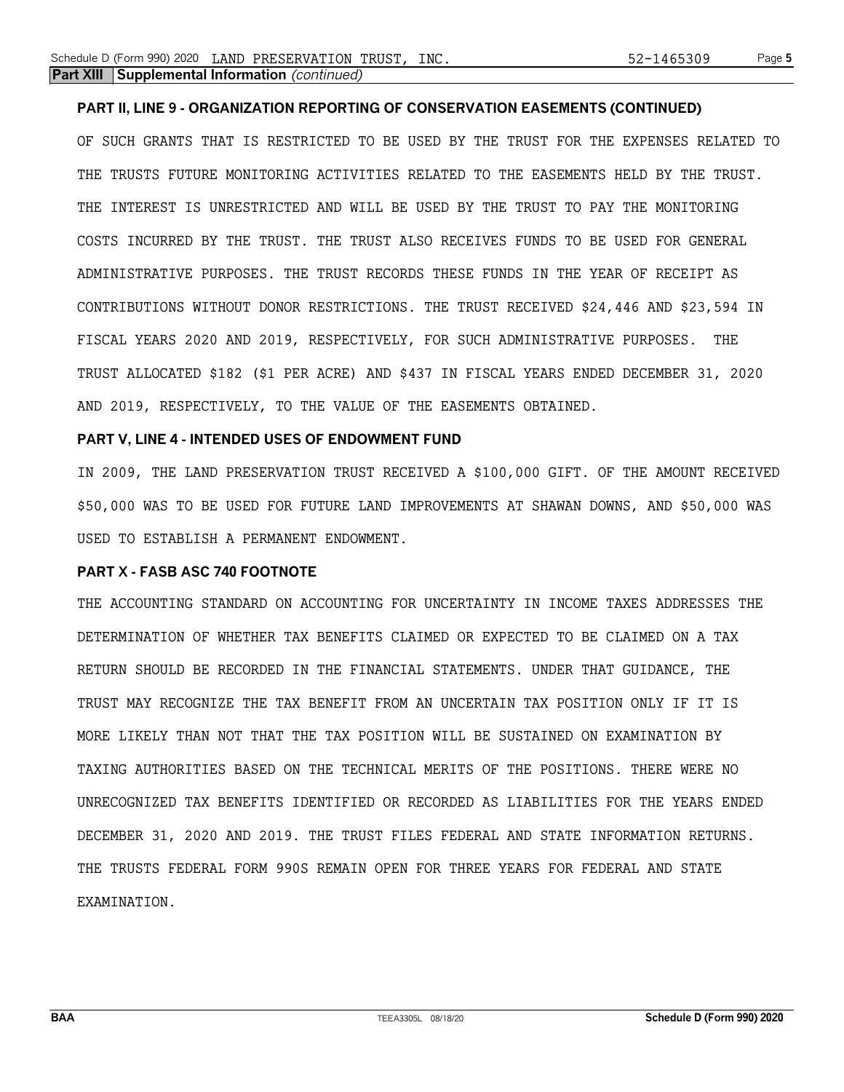### **PART II, LINE 9 - ORGANIZATION REPORTING OF CONSERVATION EASEMENTS (CONTINUED)**

OF SUCH GRANTS THAT IS RESTRICTED TO BE USED BY THE TRUST FOR THE EXPENSES RELATED TO THE TRUSTS FUTURE MONITORING ACTIVITIES RELATED TO THE EASEMENTS HELD BY THE TRUST. THE INTEREST IS UNRESTRICTED AND WILL BE USED BY THE TRUST TO PAY THE MONITORING COSTS INCURRED BY THE TRUST. THE TRUST ALSO RECEIVES FUNDS TO BE USED FOR GENERAL ADMINISTRATIVE PURPOSES. THE TRUST RECORDS THESE FUNDS IN THE YEAR OF RECEIPT AS CONTRIBUTIONS WITHOUT DONOR RESTRICTIONS. THE TRUST RECEIVED \$24,446 AND \$23,594 IN FISCAL YEARS 2020 AND 2019, RESPECTIVELY, FOR SUCH ADMINISTRATIVE PURPOSES. THE TRUST ALLOCATED \$182 (\$1 PER ACRE) AND \$437 IN FISCAL YEARS ENDED DECEMBER 31, 2020 AND 2019, RESPECTIVELY, TO THE VALUE OF THE EASEMENTS OBTAINED.

### **PART V, LINE 4 - INTENDED USES OF ENDOWMENT FUND**

IN 2009, THE LAND PRESERVATION TRUST RECEIVED A \$100,000 GIFT. OF THE AMOUNT RECEIVED \$50,000 WAS TO BE USED FOR FUTURE LAND IMPROVEMENTS AT SHAWAN DOWNS, AND \$50,000 WAS USED TO ESTABLISH A PERMANENT ENDOWMENT.

### **PART X - FASB ASC 740 FOOTNOTE**

THE ACCOUNTING STANDARD ON ACCOUNTING FOR UNCERTAINTY IN INCOME TAXES ADDRESSES THE DETERMINATION OF WHETHER TAX BENEFITS CLAIMED OR EXPECTED TO BE CLAIMED ON A TAX RETURN SHOULD BE RECORDED IN THE FINANCIAL STATEMENTS. UNDER THAT GUIDANCE, THE TRUST MAY RECOGNIZE THE TAX BENEFIT FROM AN UNCERTAIN TAX POSITION ONLY IF IT IS MORE LIKELY THAN NOT THAT THE TAX POSITION WILL BE SUSTAINED ON EXAMINATION BY TAXING AUTHORITIES BASED ON THE TECHNICAL MERITS OF THE POSITIONS. THERE WERE NO UNRECOGNIZED TAX BENEFITS IDENTIFIED OR RECORDED AS LIABILITIES FOR THE YEARS ENDED DECEMBER 31, 2020 AND 2019. THE TRUST FILES FEDERAL AND STATE INFORMATION RETURNS. THE TRUSTS FEDERAL FORM 990S REMAIN OPEN FOR THREE YEARS FOR FEDERAL AND STATE EXAMINATION.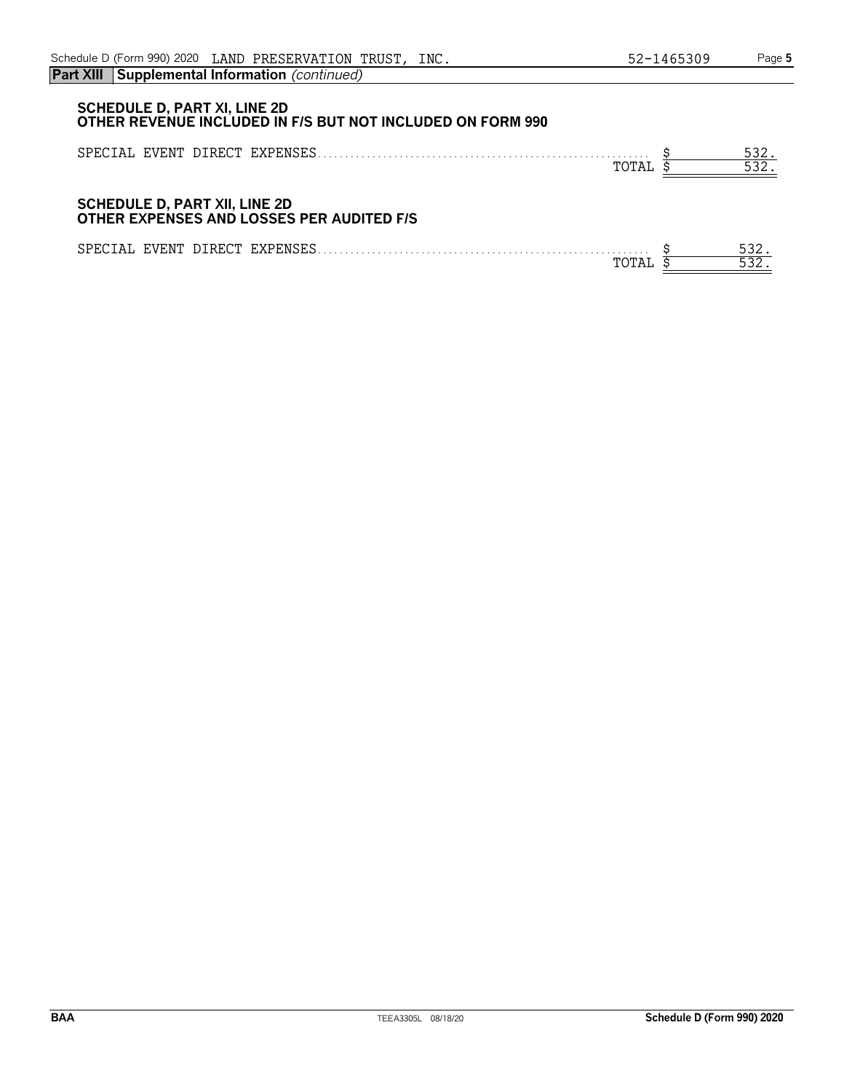| <b>SCHEDULE D, PART XI, LINE 2D</b><br>OTHER REVENUE INCLUDED IN F/S BUT NOT INCLUDED ON FORM 990 |              |
|---------------------------------------------------------------------------------------------------|--------------|
| SPECIAL EVENT DIRECT EXPENSES<br>TOTAL                                                            | 532.<br>532. |
| <b>SCHEDULE D, PART XII, LINE 2D</b>                                                              |              |

## **OTHER EXPENSES AND LOSSES PER AUDITED F/S**

| SPE <sub>0</sub><br>۰д. | . F.VENT | <b>DIRECT</b> | FYPFNS<br>. | <u>JJL</u> |
|-------------------------|----------|---------------|-------------|------------|
|                         |          |               | നറπ         |            |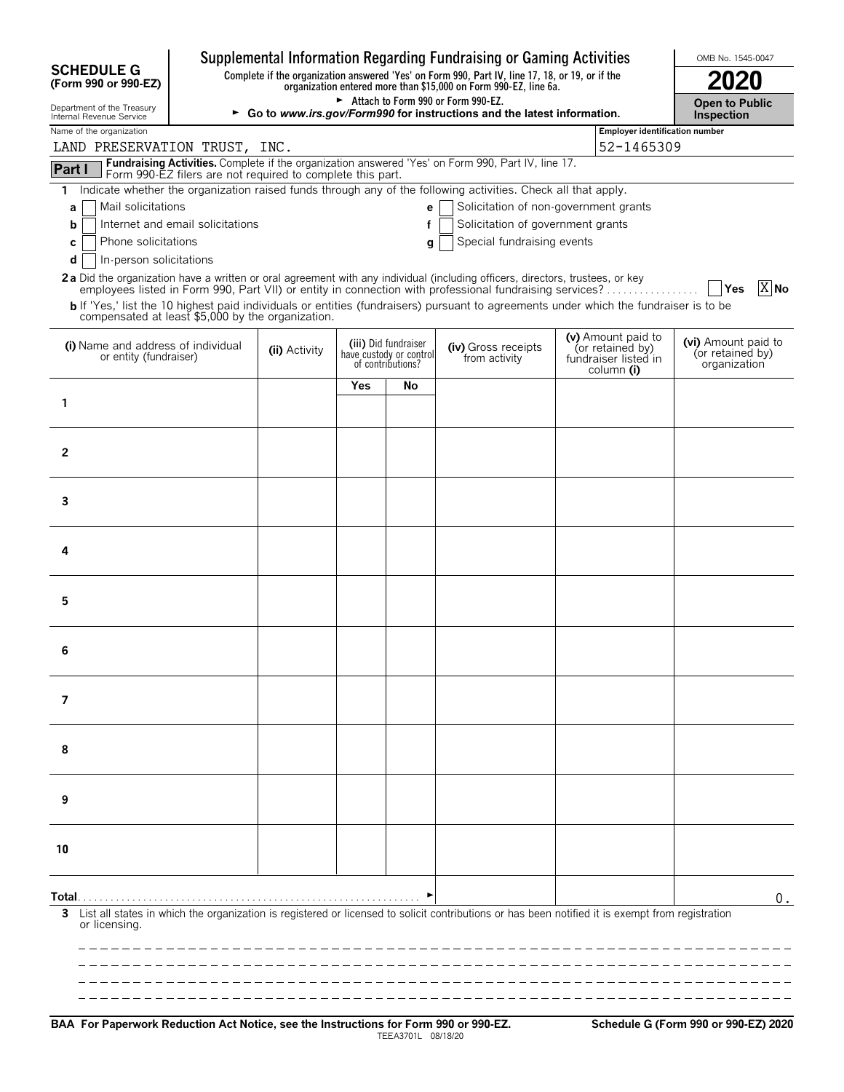|                                                              |                                                                                                    |               |     |                                                                      | Supplemental Information Regarding Fundraising or Gaming Activities                                                                                                 |                                                                | OMB No. 1545-0047                                       |  |  |  |
|--------------------------------------------------------------|----------------------------------------------------------------------------------------------------|---------------|-----|----------------------------------------------------------------------|---------------------------------------------------------------------------------------------------------------------------------------------------------------------|----------------------------------------------------------------|---------------------------------------------------------|--|--|--|
| <b>SCHEDULE G</b><br>(Form 990 or 990-EZ)                    |                                                                                                    |               |     |                                                                      | Complete if the organization answered 'Yes' on Form 990, Part IV, line 17, 18, or 19, or if the<br>organization entered more than \$15,000 on Form 990-EZ, line 6a. |                                                                | 2020                                                    |  |  |  |
| Department of the Treasury<br>Internal Revenue Service       |                                                                                                    |               |     |                                                                      | Attach to Form 990 or Form 990-EZ.<br>► Go to www.irs.gov/Form990 for instructions and the latest information.                                                      |                                                                | <b>Open to Public</b><br>Inspection                     |  |  |  |
| Name of the organization                                     |                                                                                                    |               |     |                                                                      |                                                                                                                                                                     |                                                                | Employer identification number                          |  |  |  |
| LAND PRESERVATION TRUST, INC.                                | Fundraising Activities. Complete if the organization answered 'Yes' on Form 990, Part IV, line 17. | 52-1465309    |     |                                                                      |                                                                                                                                                                     |                                                                |                                                         |  |  |  |
| Part I                                                       | Form 990-EZ filers are not required to complete this part.                                         |               |     |                                                                      |                                                                                                                                                                     |                                                                |                                                         |  |  |  |
| 1.                                                           |                                                                                                    |               |     |                                                                      | Indicate whether the organization raised funds through any of the following activities. Check all that apply.                                                       |                                                                |                                                         |  |  |  |
| Mail solicitations<br>a<br>b                                 | Internet and email solicitations                                                                   |               |     | e                                                                    | Solicitation of non-government grants<br>Solicitation of government grants                                                                                          |                                                                |                                                         |  |  |  |
| Phone solicitations<br>C                                     |                                                                                                    |               |     | g                                                                    | Special fundraising events                                                                                                                                          |                                                                |                                                         |  |  |  |
| In-person solicitations<br>d                                 |                                                                                                    |               |     |                                                                      |                                                                                                                                                                     |                                                                |                                                         |  |  |  |
|                                                              |                                                                                                    |               |     |                                                                      | 2a Did the organization have a written or oral agreement with any individual (including officers, directors, trustees, or key                                       |                                                                |                                                         |  |  |  |
|                                                              |                                                                                                    |               |     |                                                                      | employees listed in Form 990, Part VII) or entity in connection with professional fundraising services?                                                             |                                                                | $\overline{X}$ No<br><b>Yes</b>                         |  |  |  |
| compensated at least \$5,000 by the organization.            |                                                                                                    |               |     |                                                                      | b If 'Yes,' list the 10 highest paid individuals or entities (fundraisers) pursuant to agreements under which the fundraiser is to be                               |                                                                |                                                         |  |  |  |
| (i) Name and address of individual<br>or entity (fundraiser) |                                                                                                    | (ii) Activity |     | (iii) Did fundraiser<br>have custody or control<br>of contributions? | (iv) Gross receipts<br>from activity                                                                                                                                | (v) Amount paid to<br>(or retained by)<br>fundraiser listed in | (vi) Amount paid to<br>(or retained by)<br>organization |  |  |  |
|                                                              |                                                                                                    |               | Yes | No                                                                   |                                                                                                                                                                     | column (i)                                                     |                                                         |  |  |  |
| 1                                                            |                                                                                                    |               |     |                                                                      |                                                                                                                                                                     |                                                                |                                                         |  |  |  |
|                                                              |                                                                                                    |               |     |                                                                      |                                                                                                                                                                     |                                                                |                                                         |  |  |  |
| $\mathbf{2}$                                                 |                                                                                                    |               |     |                                                                      |                                                                                                                                                                     |                                                                |                                                         |  |  |  |
|                                                              |                                                                                                    |               |     |                                                                      |                                                                                                                                                                     |                                                                |                                                         |  |  |  |
|                                                              |                                                                                                    |               |     |                                                                      |                                                                                                                                                                     |                                                                |                                                         |  |  |  |
| 3                                                            |                                                                                                    |               |     |                                                                      |                                                                                                                                                                     |                                                                |                                                         |  |  |  |
|                                                              |                                                                                                    |               |     |                                                                      |                                                                                                                                                                     |                                                                |                                                         |  |  |  |
| 4                                                            |                                                                                                    |               |     |                                                                      |                                                                                                                                                                     |                                                                |                                                         |  |  |  |
|                                                              |                                                                                                    |               |     |                                                                      |                                                                                                                                                                     |                                                                |                                                         |  |  |  |
| 5                                                            |                                                                                                    |               |     |                                                                      |                                                                                                                                                                     |                                                                |                                                         |  |  |  |
|                                                              |                                                                                                    |               |     |                                                                      |                                                                                                                                                                     |                                                                |                                                         |  |  |  |
|                                                              |                                                                                                    |               |     |                                                                      |                                                                                                                                                                     |                                                                |                                                         |  |  |  |
| 6                                                            |                                                                                                    |               |     |                                                                      |                                                                                                                                                                     |                                                                |                                                         |  |  |  |
|                                                              |                                                                                                    |               |     |                                                                      |                                                                                                                                                                     |                                                                |                                                         |  |  |  |
| 7                                                            |                                                                                                    |               |     |                                                                      |                                                                                                                                                                     |                                                                |                                                         |  |  |  |
|                                                              |                                                                                                    |               |     |                                                                      |                                                                                                                                                                     |                                                                |                                                         |  |  |  |
| 8                                                            |                                                                                                    |               |     |                                                                      |                                                                                                                                                                     |                                                                |                                                         |  |  |  |
|                                                              |                                                                                                    |               |     |                                                                      |                                                                                                                                                                     |                                                                |                                                         |  |  |  |
|                                                              |                                                                                                    |               |     |                                                                      |                                                                                                                                                                     |                                                                |                                                         |  |  |  |
| 9                                                            |                                                                                                    |               |     |                                                                      |                                                                                                                                                                     |                                                                |                                                         |  |  |  |
|                                                              |                                                                                                    |               |     |                                                                      |                                                                                                                                                                     |                                                                |                                                         |  |  |  |
| 10                                                           |                                                                                                    |               |     |                                                                      |                                                                                                                                                                     |                                                                |                                                         |  |  |  |
|                                                              |                                                                                                    |               |     |                                                                      |                                                                                                                                                                     |                                                                |                                                         |  |  |  |
|                                                              |                                                                                                    |               |     |                                                                      |                                                                                                                                                                     |                                                                |                                                         |  |  |  |
| 3                                                            |                                                                                                    |               |     |                                                                      | List all states in which the organization is registered or licensed to solicit contributions or has been notified it is exempt from registration                    |                                                                | 0.                                                      |  |  |  |
| or licensing.                                                |                                                                                                    |               |     |                                                                      |                                                                                                                                                                     |                                                                |                                                         |  |  |  |
|                                                              |                                                                                                    |               |     |                                                                      |                                                                                                                                                                     |                                                                |                                                         |  |  |  |
|                                                              |                                                                                                    |               |     |                                                                      |                                                                                                                                                                     |                                                                |                                                         |  |  |  |
|                                                              |                                                                                                    |               |     |                                                                      |                                                                                                                                                                     |                                                                |                                                         |  |  |  |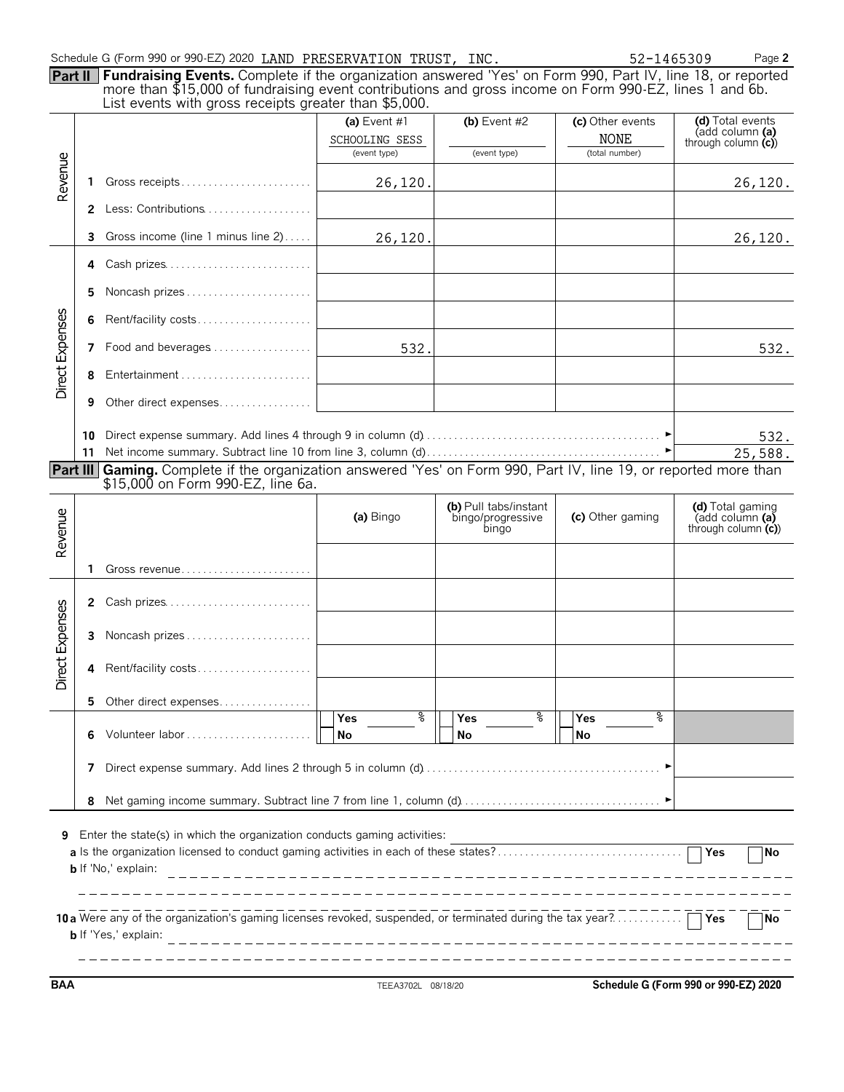| Schedule G (Form 990 or 990-EZ) 2020 LAND PRESERVATION TRUST, INC. |  | 52-1465309 | Page 2 |
|--------------------------------------------------------------------|--|------------|--------|
|--------------------------------------------------------------------|--|------------|--------|

| Part II Fundraising Events. Complete if the organization answered 'Yes' on Form 990, Part IV, line 18, or reported                                              |              |  |
|-----------------------------------------------------------------------------------------------------------------------------------------------------------------|--------------|--|
| more than \$15,000 of fundraising event contributions and gross income on Form 990-EZ, lines 1 and 6b.<br>List events with gross receipts greater than \$5,000. |              |  |
|                                                                                                                                                                 | $4.1 \pm .1$ |  |

|                 |              | List crents with gross receipts greater than \$9,000.                                                                                                | (a) Event $#1$<br>SCHOOLING SESS<br>(event type) | (b) Event $#2$<br>(event type)                      | (c) Other events<br><b>NONE</b><br>(total number) | (d) Total events<br>(add column (a)<br>through column $(c)$ |
|-----------------|--------------|------------------------------------------------------------------------------------------------------------------------------------------------------|--------------------------------------------------|-----------------------------------------------------|---------------------------------------------------|-------------------------------------------------------------|
| Revenue         | 1            | Gross receipts                                                                                                                                       | 26,120.                                          |                                                     |                                                   | 26,120.                                                     |
|                 |              | 2 Less: Contributions                                                                                                                                |                                                  |                                                     |                                                   |                                                             |
|                 | 3.           | Gross income (line 1 minus line 2)                                                                                                                   | 26,120.                                          |                                                     |                                                   | 26, 120.                                                    |
|                 | 4            | Cash prizes                                                                                                                                          |                                                  |                                                     |                                                   |                                                             |
|                 | 5.           | Noncash prizes                                                                                                                                       |                                                  |                                                     |                                                   |                                                             |
|                 | 6            | Rent/facility costs                                                                                                                                  |                                                  |                                                     |                                                   |                                                             |
| Direct Expenses |              | 7 Food and beverages                                                                                                                                 | 532.                                             |                                                     |                                                   | 532.                                                        |
|                 | 8            | Entertainment                                                                                                                                        |                                                  |                                                     |                                                   |                                                             |
|                 | 9            | Other direct expenses                                                                                                                                |                                                  |                                                     |                                                   |                                                             |
|                 | 10<br>11     |                                                                                                                                                      |                                                  |                                                     |                                                   | 532.<br>25,588.                                             |
| Part III        |              | Gaming. Complete if the organization answered 'Yes' on Form 990, Part IV, line 19, or reported more than<br>\$15,000 on Form 990-EZ, line 6a.        |                                                  |                                                     |                                                   |                                                             |
| Revenue         |              |                                                                                                                                                      | (a) Bingo                                        | (b) Pull tabs/instant<br>bingo/progressive<br>bingo | (c) Other gaming                                  | (d) Total gaming<br>(add column (a)<br>through column $(c)$ |
|                 | 1            |                                                                                                                                                      |                                                  |                                                     |                                                   |                                                             |
|                 | $\mathbf{2}$ | Cash prizes                                                                                                                                          |                                                  |                                                     |                                                   |                                                             |
|                 | 3            | Noncash prizes                                                                                                                                       |                                                  |                                                     |                                                   |                                                             |
| Direct Expenses | 4            | Rent/facility costs                                                                                                                                  |                                                  |                                                     |                                                   |                                                             |
|                 | 5.           | Other direct expenses                                                                                                                                |                                                  |                                                     |                                                   |                                                             |
|                 | 6            | Volunteer labor                                                                                                                                      | နွ<br>Yes<br>No                                  | နွ<br>Yes<br>No                                     | နွ<br>Yes<br>No                                   |                                                             |
|                 | 7            |                                                                                                                                                      |                                                  |                                                     |                                                   |                                                             |
|                 | 8            |                                                                                                                                                      |                                                  |                                                     |                                                   |                                                             |
| 9               |              | Enter the state(s) in which the organization conducts gaming activities:<br><b>b</b> If 'No,' explain:                                               |                                                  |                                                     |                                                   | <b>No</b>                                                   |
|                 |              | 10 a Were any of the organization's gaming licenses revoked, suspended, or terminated during the tax year? $\Box$ Yes<br><b>b</b> If 'Yes,' explain: |                                                  |                                                     |                                                   | <b>No</b>                                                   |

**BAA** TEEA3702L 08/18/20 **Schedule G (Form 990 or 990-EZ) 2020**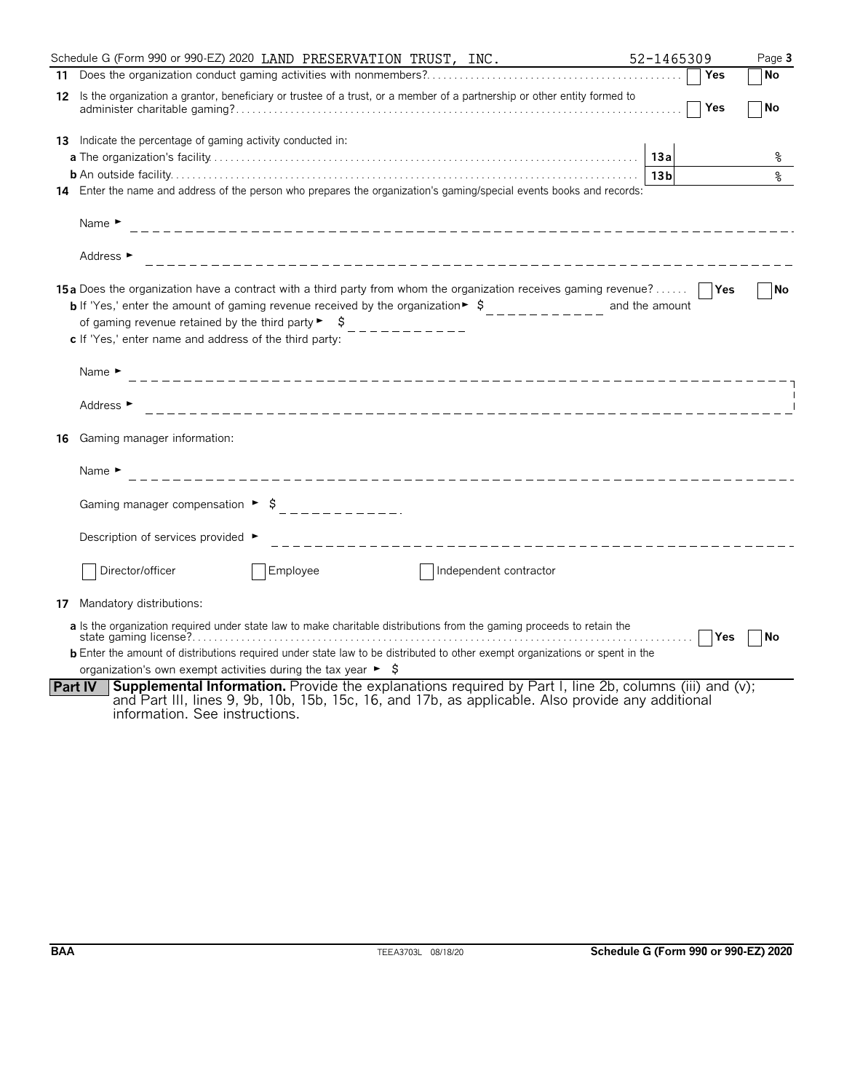|    | Schedule G (Form 990 or 990-EZ) 2020 LAND PRESERVATION TRUST, INC.                                                                                                                                                                                                                                                                                                                                    | 52-1465309      | Page 3    |
|----|-------------------------------------------------------------------------------------------------------------------------------------------------------------------------------------------------------------------------------------------------------------------------------------------------------------------------------------------------------------------------------------------------------|-----------------|-----------|
|    |                                                                                                                                                                                                                                                                                                                                                                                                       | Yes             | No        |
| 12 | Is the organization a grantor, beneficiary or trustee of a trust, or a member of a partnership or other entity formed to                                                                                                                                                                                                                                                                              | Yes             | No        |
| 13 | Indicate the percentage of gaming activity conducted in:                                                                                                                                                                                                                                                                                                                                              | 13a             | ႜ         |
|    |                                                                                                                                                                                                                                                                                                                                                                                                       | 13 <sub>b</sub> | နွ        |
|    | 14 Enter the name and address of the person who prepares the organization's gaming/special events books and records:                                                                                                                                                                                                                                                                                  |                 |           |
|    | Name $\blacktriangleright$                                                                                                                                                                                                                                                                                                                                                                            |                 |           |
|    | Address ►<br>_______________________________                                                                                                                                                                                                                                                                                                                                                          |                 |           |
|    | 15a Does the organization have a contract with a third party from whom the organization receives gaming revenue?<br><b>b</b> If 'Yes,' enter the amount of gaming revenue received by the organization $\ast$ $\uparrow$<br>of gaming revenue retained by the third party $\blacktriangleright$ $\blacktriangleright$ $\blacktriangleright$<br>c If 'Yes,' enter name and address of the third party: | and the amount  | No        |
|    | Name $\blacktriangleright$                                                                                                                                                                                                                                                                                                                                                                            |                 |           |
|    | Address $\blacktriangleright$                                                                                                                                                                                                                                                                                                                                                                         |                 |           |
| 16 | Gaming manager information:                                                                                                                                                                                                                                                                                                                                                                           |                 |           |
|    | Name $\blacktriangleright$                                                                                                                                                                                                                                                                                                                                                                            |                 |           |
|    | Gaming manager compensation $\rightarrow$ \$<br>------------                                                                                                                                                                                                                                                                                                                                          |                 |           |
|    | Description of services provided ►<br>_____________________________________                                                                                                                                                                                                                                                                                                                           |                 |           |
|    | Director/officer<br>Employee<br>Independent contractor                                                                                                                                                                                                                                                                                                                                                |                 |           |
| 17 | Mandatory distributions:                                                                                                                                                                                                                                                                                                                                                                              |                 |           |
|    | a Is the organization required under state law to make charitable distributions from the gaming proceeds to retain the                                                                                                                                                                                                                                                                                | <b>Yes</b><br>. | <b>No</b> |
|    | <b>b</b> Enter the amount of distributions required under state law to be distributed to other exempt organizations or spent in the                                                                                                                                                                                                                                                                   |                 |           |
|    | organization's own exempt activities during the tax year $\blacktriangleright$ $\blacktriangleright$                                                                                                                                                                                                                                                                                                  |                 |           |
|    | Supplemental Information. Provide the explanations required by Part I, line 2b, columns (iii) and (v);<br><b>Part IV</b><br>and Part III, lines 9, 9b, 10b, 15b, 15c, 16, and 17b, as applicable. Also provide any additional<br>information. See instructions.                                                                                                                                       |                 |           |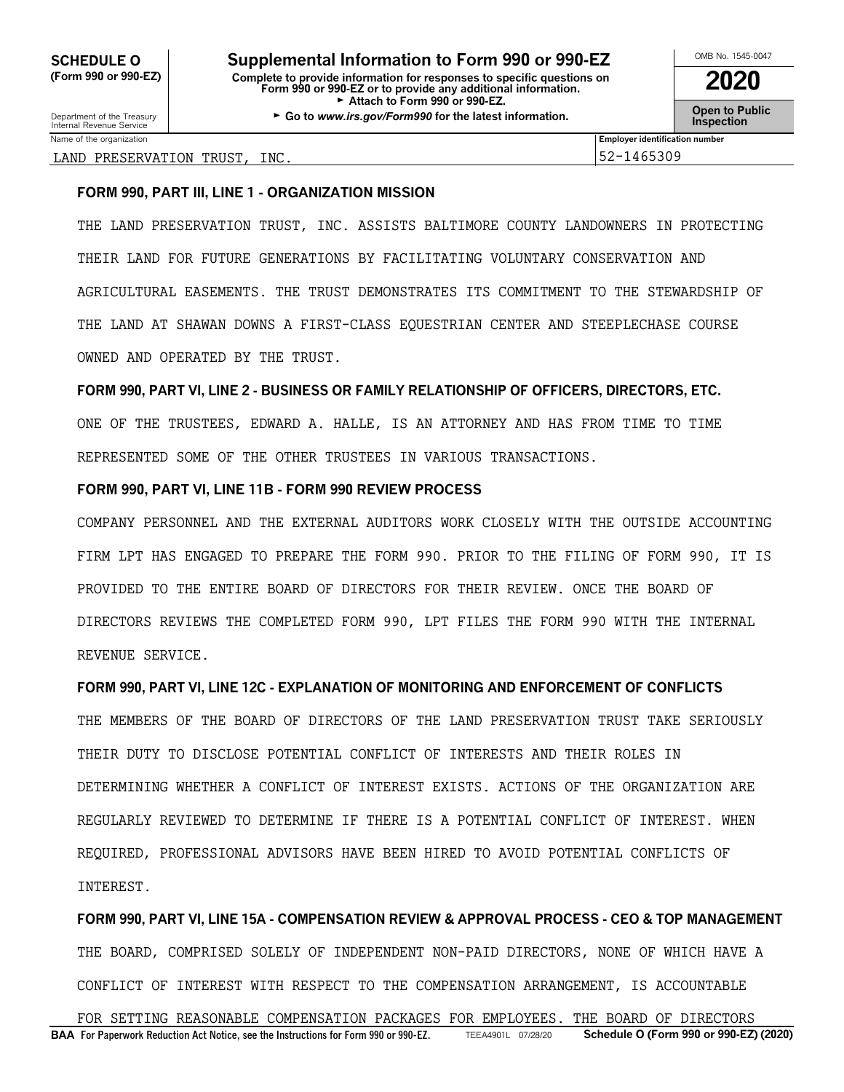Department of the Treasury **Constant Comment of the Collaboration Constant Constant Comment Constant Constant Constant Constant Constant Constant Constant Constant Constant Constant Constant Constant Constant Constant C** 

| OMB No. 1545-0047 |
|-------------------|
| 2020              |

Name of the organization **Employer identification number Employer identification number** 

### LAND PRESERVATION TRUST, INC. 52-1465309

### **FORM 990, PART III, LINE 1 - ORGANIZATION MISSION**

THE LAND PRESERVATION TRUST, INC. ASSISTS BALTIMORE COUNTY LANDOWNERS IN PROTECTING THEIR LAND FOR FUTURE GENERATIONS BY FACILITATING VOLUNTARY CONSERVATION AND AGRICULTURAL EASEMENTS. THE TRUST DEMONSTRATES ITS COMMITMENT TO THE STEWARDSHIP OF THE LAND AT SHAWAN DOWNS A FIRST-CLASS EQUESTRIAN CENTER AND STEEPLECHASE COURSE OWNED AND OPERATED BY THE TRUST.

### **FORM 990, PART VI, LINE 2 - BUSINESS OR FAMILY RELATIONSHIP OF OFFICERS, DIRECTORS, ETC.**

ONE OF THE TRUSTEES, EDWARD A. HALLE, IS AN ATTORNEY AND HAS FROM TIME TO TIME REPRESENTED SOME OF THE OTHER TRUSTEES IN VARIOUS TRANSACTIONS.

### **FORM 990, PART VI, LINE 11B - FORM 990 REVIEW PROCESS**

COMPANY PERSONNEL AND THE EXTERNAL AUDITORS WORK CLOSELY WITH THE OUTSIDE ACCOUNTING FIRM LPT HAS ENGAGED TO PREPARE THE FORM 990. PRIOR TO THE FILING OF FORM 990, IT IS PROVIDED TO THE ENTIRE BOARD OF DIRECTORS FOR THEIR REVIEW. ONCE THE BOARD OF DIRECTORS REVIEWS THE COMPLETED FORM 990, LPT FILES THE FORM 990 WITH THE INTERNAL REVENUE SERVICE.

### **FORM 990, PART VI, LINE 12C - EXPLANATION OF MONITORING AND ENFORCEMENT OF CONFLICTS**

THE MEMBERS OF THE BOARD OF DIRECTORS OF THE LAND PRESERVATION TRUST TAKE SERIOUSLY THEIR DUTY TO DISCLOSE POTENTIAL CONFLICT OF INTERESTS AND THEIR ROLES IN DETERMINING WHETHER A CONFLICT OF INTEREST EXISTS. ACTIONS OF THE ORGANIZATION ARE REGULARLY REVIEWED TO DETERMINE IF THERE IS A POTENTIAL CONFLICT OF INTEREST. WHEN REQUIRED, PROFESSIONAL ADVISORS HAVE BEEN HIRED TO AVOID POTENTIAL CONFLICTS OF INTEREST.

**FORM 990, PART VI, LINE 15A - COMPENSATION REVIEW & APPROVAL PROCESS - CEO & TOP MANAGEMENT** THE BOARD, COMPRISED SOLELY OF INDEPENDENT NON-PAID DIRECTORS, NONE OF WHICH HAVE A CONFLICT OF INTEREST WITH RESPECT TO THE COMPENSATION ARRANGEMENT, IS ACCOUNTABLE